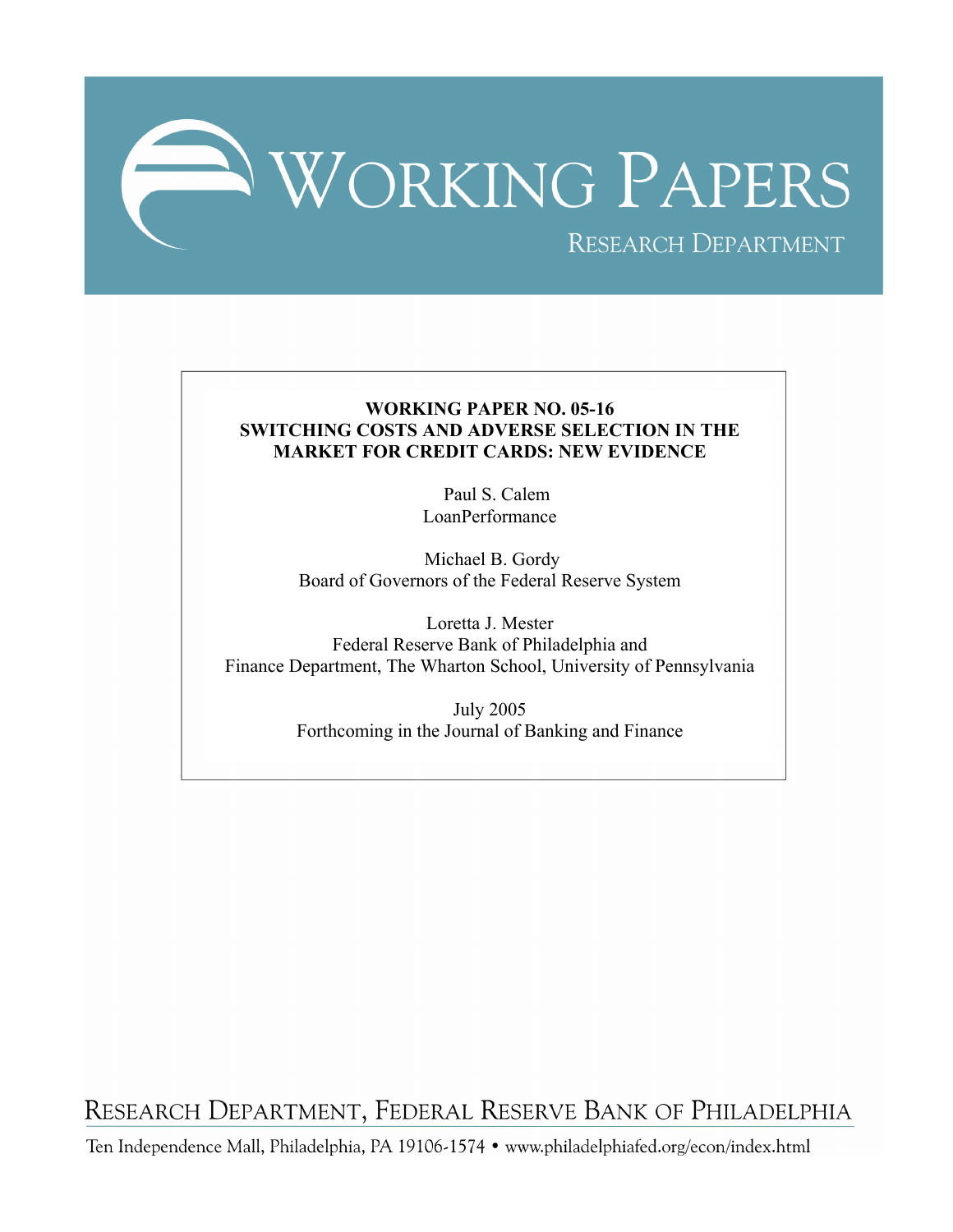

# **WORKING PAPER NO. 05-16 SWITCHING COSTS AND ADVERSE SELECTION IN THE MARKET FOR CREDIT CARDS: NEW EVIDENCE**

Paul S. Calem LoanPerformance

 Michael B. Gordy Board of Governors of the Federal Reserve System

Loretta J. Mester Federal Reserve Bank of Philadelphia and Finance Department, The Wharton School, University of Pennsylvania

> July 2005 Forthcoming in the Journal of Banking and Finance

RESEARCH DEPARTMENT, FEDERAL RESERVE BANK OF PHILADELPHIA

Ten Independence Mall, Philadelphia, PA 19106-1574 · www.philadelphiafed.org/econ/index.html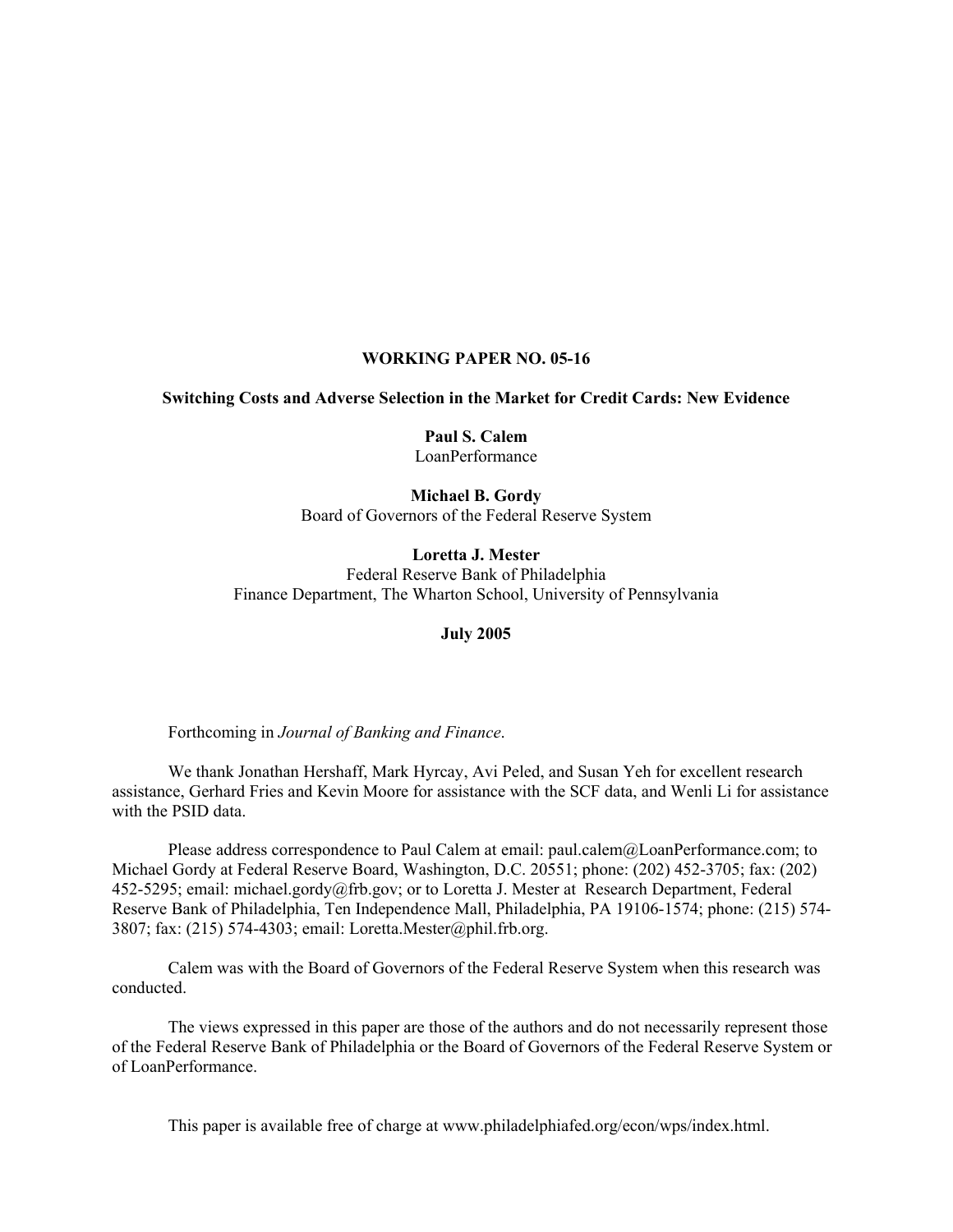### **WORKING PAPER NO. 05-16**

### **Switching Costs and Adverse Selection in the Market for Credit Cards: New Evidence**

**Paul S. Calem**  LoanPerformance

 **Michael B. Gordy**  Board of Governors of the Federal Reserve System

**Loretta J. Mester** Federal Reserve Bank of Philadelphia Finance Department, The Wharton School, University of Pennsylvania

 **July 2005** 

Forthcoming in *Journal of Banking and Finance*.

We thank Jonathan Hershaff, Mark Hyrcay, Avi Peled, and Susan Yeh for excellent research assistance, Gerhard Fries and Kevin Moore for assistance with the SCF data, and Wenli Li for assistance with the PSID data

Please address correspondence to Paul Calem at email: paul.calem@LoanPerformance.com; to Michael Gordy at Federal Reserve Board, Washington, D.C. 20551; phone: (202) 452-3705; fax: (202) 452-5295; email: michael.gordy@frb.gov; or to Loretta J. Mester at Research Department, Federal Reserve Bank of Philadelphia, Ten Independence Mall, Philadelphia, PA 19106-1574; phone: (215) 574- 3807; fax: (215) 574-4303; email: Loretta.Mester@phil.frb.org.

Calem was with the Board of Governors of the Federal Reserve System when this research was conducted.

The views expressed in this paper are those of the authors and do not necessarily represent those of the Federal Reserve Bank of Philadelphia or the Board of Governors of the Federal Reserve System or of LoanPerformance.

This paper is available free of charge at www.philadelphiafed.org/econ/wps/index.html.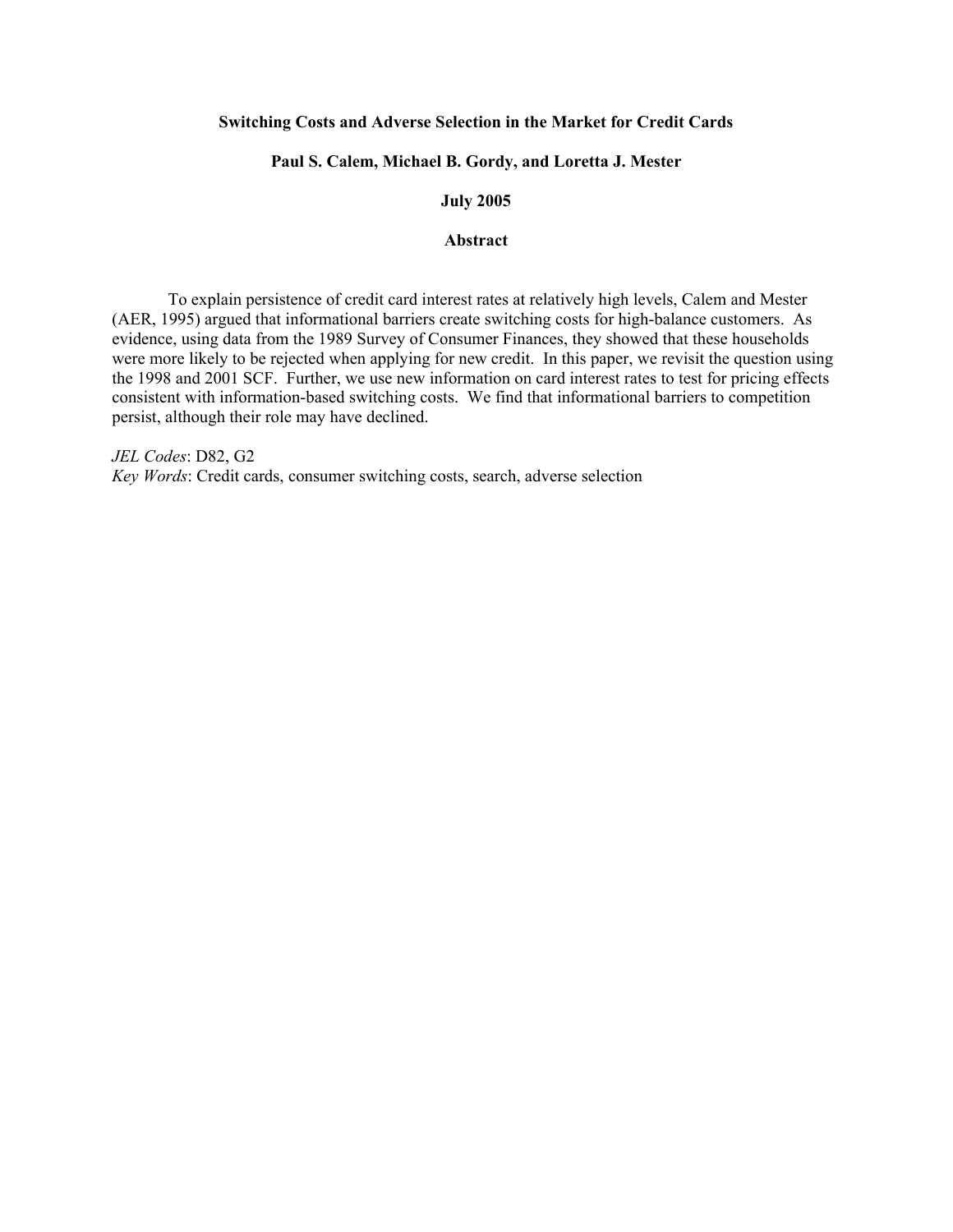### **Switching Costs and Adverse Selection in the Market for Credit Cards**

### **Paul S. Calem, Michael B. Gordy, and Loretta J. Mester**

### **July 2005**

### **Abstract**

To explain persistence of credit card interest rates at relatively high levels, Calem and Mester (AER, 1995) argued that informational barriers create switching costs for high-balance customers. As evidence, using data from the 1989 Survey of Consumer Finances, they showed that these households were more likely to be rejected when applying for new credit. In this paper, we revisit the question using the 1998 and 2001 SCF. Further, we use new information on card interest rates to test for pricing effects consistent with information-based switching costs. We find that informational barriers to competition persist, although their role may have declined.

*JEL Codes*: D82, G2 *Key Words*: Credit cards, consumer switching costs, search, adverse selection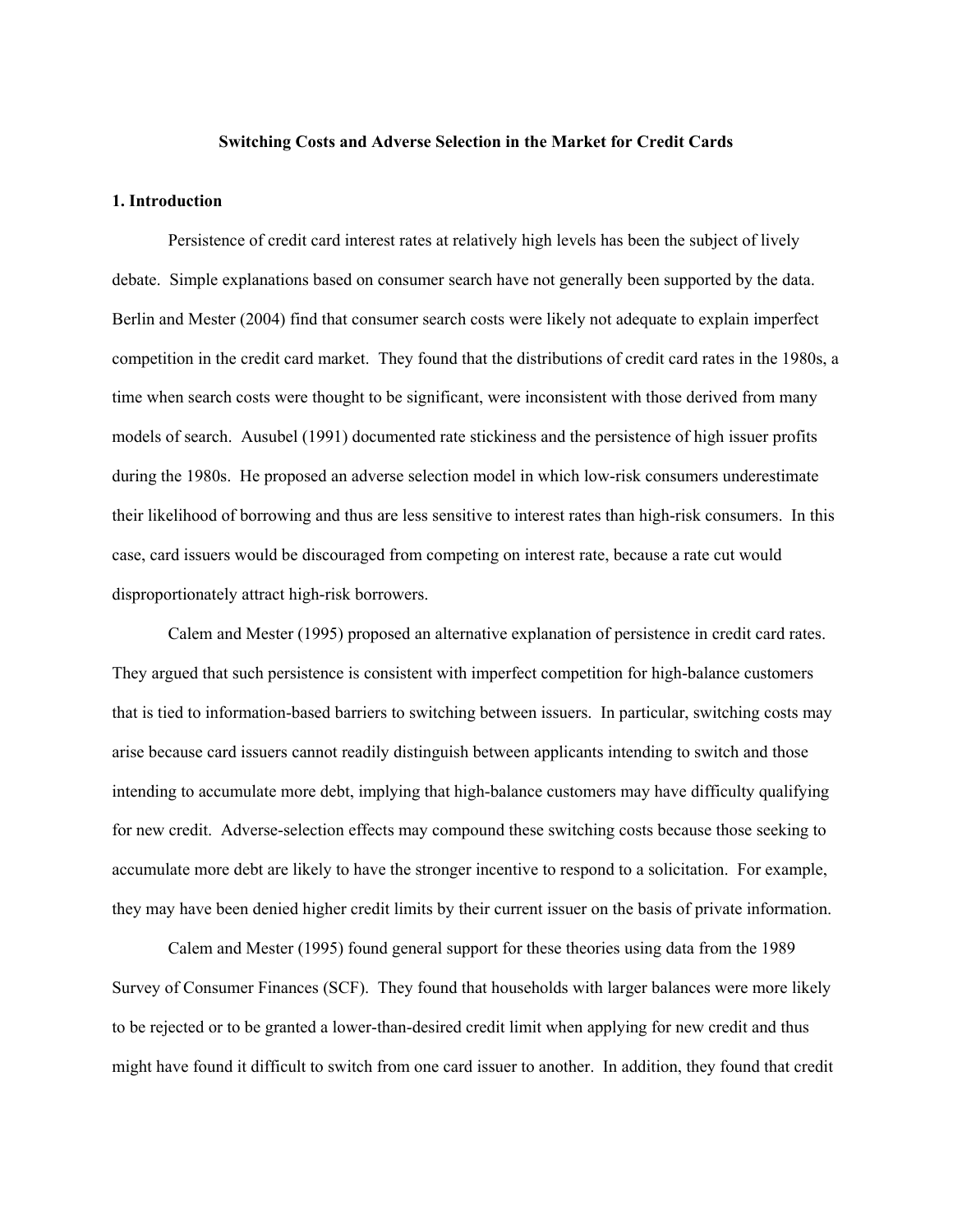#### **Switching Costs and Adverse Selection in the Market for Credit Cards**

### **1. Introduction**

Persistence of credit card interest rates at relatively high levels has been the subject of lively debate. Simple explanations based on consumer search have not generally been supported by the data. Berlin and Mester (2004) find that consumer search costs were likely not adequate to explain imperfect competition in the credit card market. They found that the distributions of credit card rates in the 1980s, a time when search costs were thought to be significant, were inconsistent with those derived from many models of search. Ausubel (1991) documented rate stickiness and the persistence of high issuer profits during the 1980s. He proposed an adverse selection model in which low-risk consumers underestimate their likelihood of borrowing and thus are less sensitive to interest rates than high-risk consumers. In this case, card issuers would be discouraged from competing on interest rate, because a rate cut would disproportionately attract high-risk borrowers.

Calem and Mester (1995) proposed an alternative explanation of persistence in credit card rates. They argued that such persistence is consistent with imperfect competition for high-balance customers that is tied to information-based barriers to switching between issuers. In particular, switching costs may arise because card issuers cannot readily distinguish between applicants intending to switch and those intending to accumulate more debt, implying that high-balance customers may have difficulty qualifying for new credit. Adverse-selection effects may compound these switching costs because those seeking to accumulate more debt are likely to have the stronger incentive to respond to a solicitation. For example, they may have been denied higher credit limits by their current issuer on the basis of private information.

Calem and Mester (1995) found general support for these theories using data from the 1989 Survey of Consumer Finances (SCF). They found that households with larger balances were more likely to be rejected or to be granted a lower-than-desired credit limit when applying for new credit and thus might have found it difficult to switch from one card issuer to another. In addition, they found that credit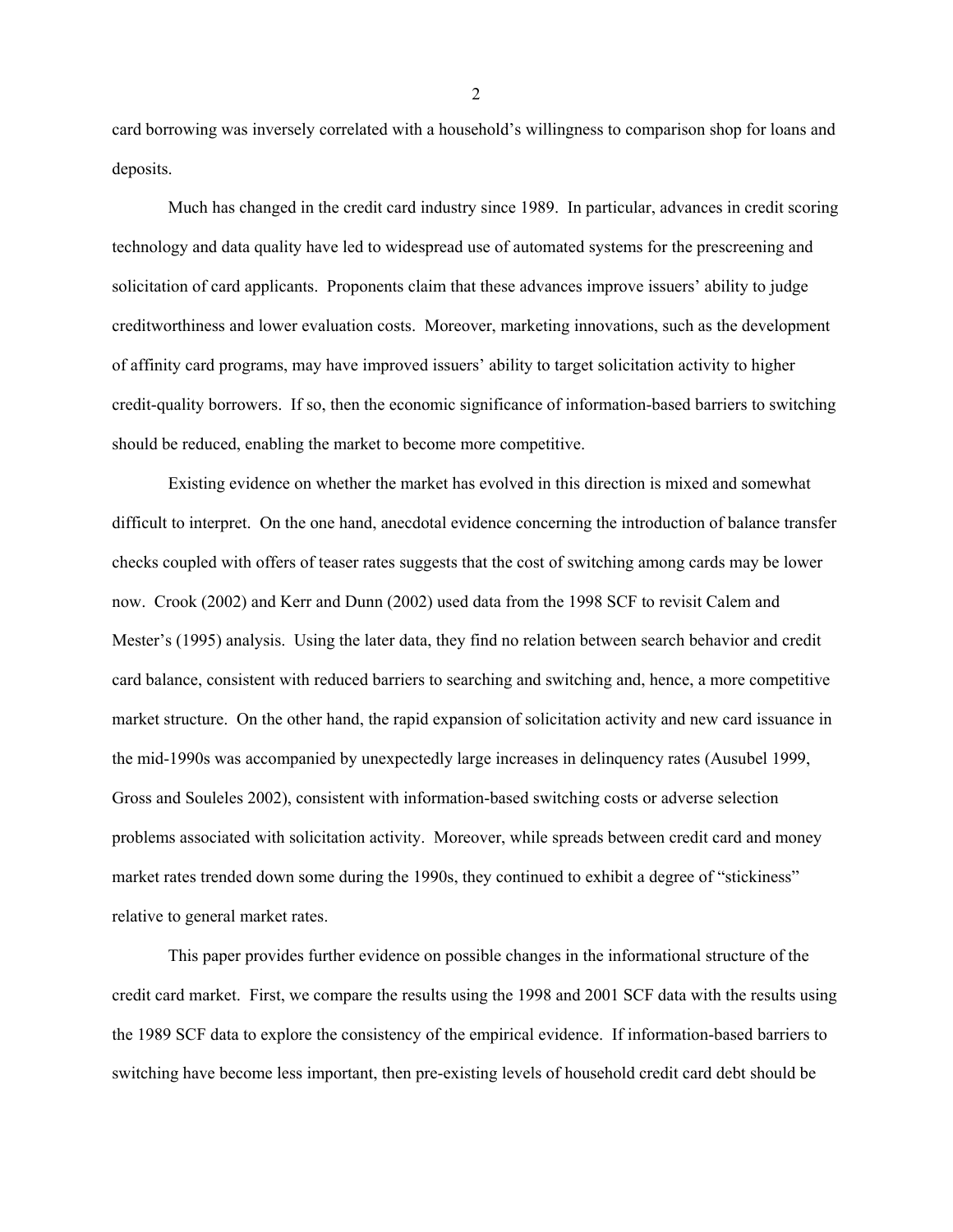card borrowing was inversely correlated with a household's willingness to comparison shop for loans and deposits.

Much has changed in the credit card industry since 1989. In particular, advances in credit scoring technology and data quality have led to widespread use of automated systems for the prescreening and solicitation of card applicants. Proponents claim that these advances improve issuers' ability to judge creditworthiness and lower evaluation costs. Moreover, marketing innovations, such as the development of affinity card programs, may have improved issuers' ability to target solicitation activity to higher credit-quality borrowers. If so, then the economic significance of information-based barriers to switching should be reduced, enabling the market to become more competitive.

Existing evidence on whether the market has evolved in this direction is mixed and somewhat difficult to interpret. On the one hand, anecdotal evidence concerning the introduction of balance transfer checks coupled with offers of teaser rates suggests that the cost of switching among cards may be lower now. Crook (2002) and Kerr and Dunn (2002) used data from the 1998 SCF to revisit Calem and Mester's (1995) analysis. Using the later data, they find no relation between search behavior and credit card balance, consistent with reduced barriers to searching and switching and, hence, a more competitive market structure. On the other hand, the rapid expansion of solicitation activity and new card issuance in the mid-1990s was accompanied by unexpectedly large increases in delinquency rates (Ausubel 1999, Gross and Souleles 2002), consistent with information-based switching costs or adverse selection problems associated with solicitation activity. Moreover, while spreads between credit card and money market rates trended down some during the 1990s, they continued to exhibit a degree of "stickiness" relative to general market rates.

This paper provides further evidence on possible changes in the informational structure of the credit card market. First, we compare the results using the 1998 and 2001 SCF data with the results using the 1989 SCF data to explore the consistency of the empirical evidence. If information-based barriers to switching have become less important, then pre-existing levels of household credit card debt should be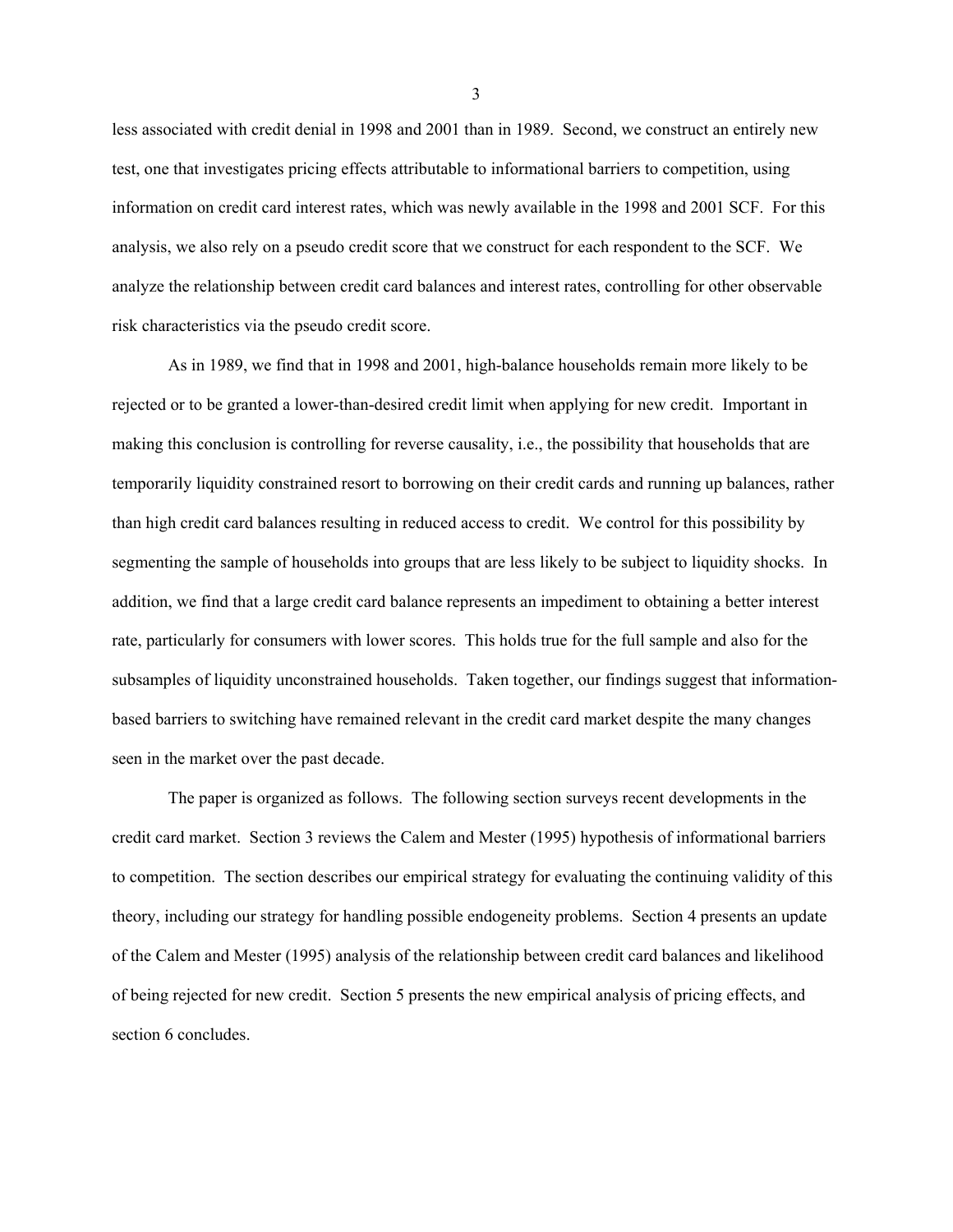less associated with credit denial in 1998 and 2001 than in 1989. Second, we construct an entirely new test, one that investigates pricing effects attributable to informational barriers to competition, using information on credit card interest rates, which was newly available in the 1998 and 2001 SCF. For this analysis, we also rely on a pseudo credit score that we construct for each respondent to the SCF. We analyze the relationship between credit card balances and interest rates, controlling for other observable risk characteristics via the pseudo credit score.

As in 1989, we find that in 1998 and 2001, high-balance households remain more likely to be rejected or to be granted a lower-than-desired credit limit when applying for new credit. Important in making this conclusion is controlling for reverse causality, i.e., the possibility that households that are temporarily liquidity constrained resort to borrowing on their credit cards and running up balances, rather than high credit card balances resulting in reduced access to credit. We control for this possibility by segmenting the sample of households into groups that are less likely to be subject to liquidity shocks. In addition, we find that a large credit card balance represents an impediment to obtaining a better interest rate, particularly for consumers with lower scores. This holds true for the full sample and also for the subsamples of liquidity unconstrained households. Taken together, our findings suggest that informationbased barriers to switching have remained relevant in the credit card market despite the many changes seen in the market over the past decade.

The paper is organized as follows. The following section surveys recent developments in the credit card market. Section 3 reviews the Calem and Mester (1995) hypothesis of informational barriers to competition. The section describes our empirical strategy for evaluating the continuing validity of this theory, including our strategy for handling possible endogeneity problems. Section 4 presents an update of the Calem and Mester (1995) analysis of the relationship between credit card balances and likelihood of being rejected for new credit. Section 5 presents the new empirical analysis of pricing effects, and section 6 concludes.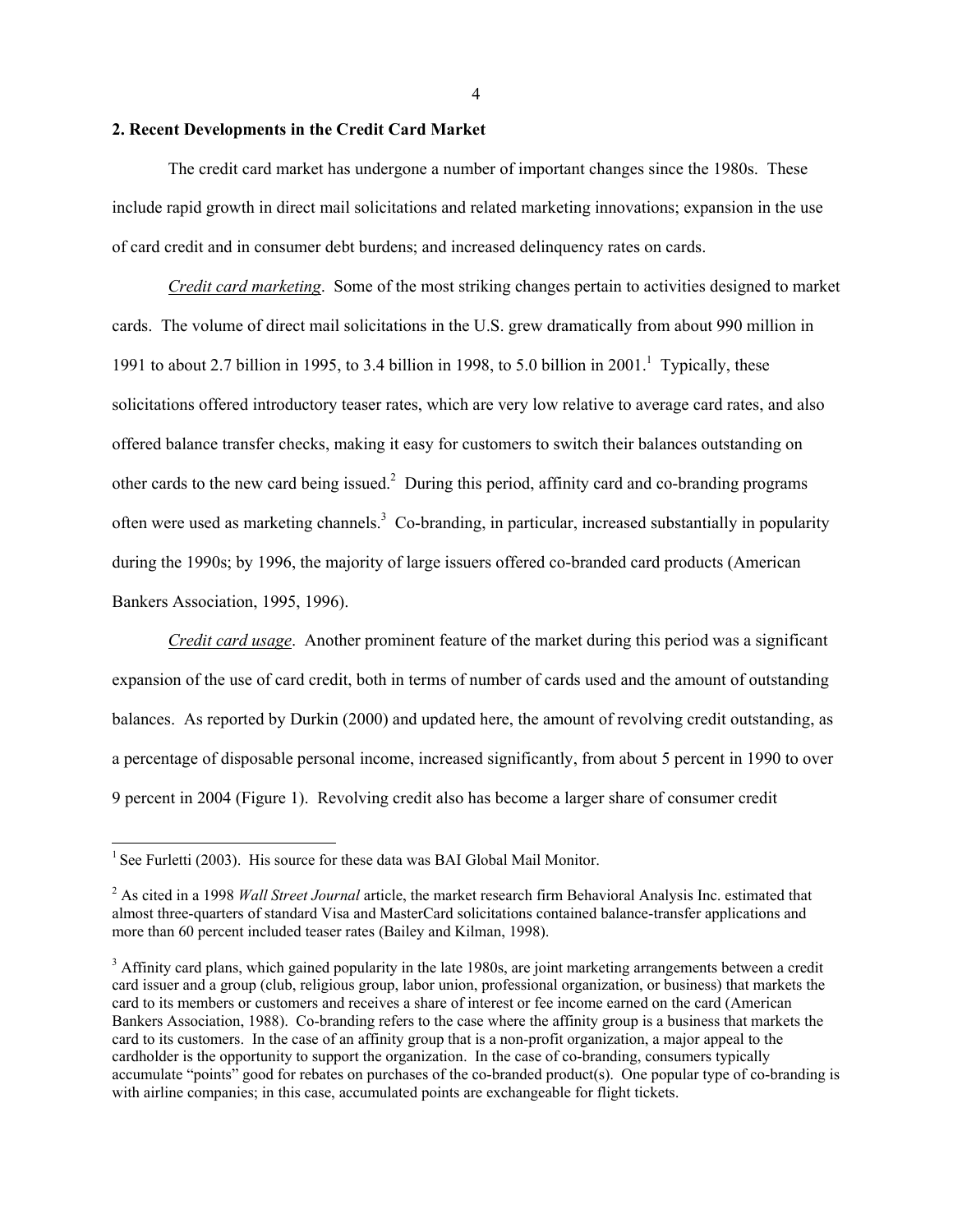### **2. Recent Developments in the Credit Card Market**

The credit card market has undergone a number of important changes since the 1980s. These include rapid growth in direct mail solicitations and related marketing innovations; expansion in the use of card credit and in consumer debt burdens; and increased delinquency rates on cards.

*Credit card marketing*. Some of the most striking changes pertain to activities designed to market cards. The volume of direct mail solicitations in the U.S. grew dramatically from about 990 million in 1991 to about 2.7 billion in 1995, to 3.4 billion in 1998, to 5.0 billion in 2001.<sup>1</sup> Typically, these solicitations offered introductory teaser rates, which are very low relative to average card rates, and also offered balance transfer checks, making it easy for customers to switch their balances outstanding on other cards to the new card being issued. $2$  During this period, affinity card and co-branding programs often were used as marketing channels.<sup>3</sup> Co-branding, in particular, increased substantially in popularity during the 1990s; by 1996, the majority of large issuers offered co-branded card products (American Bankers Association, 1995, 1996).

*Credit card usage*. Another prominent feature of the market during this period was a significant expansion of the use of card credit, both in terms of number of cards used and the amount of outstanding balances. As reported by Durkin (2000) and updated here, the amount of revolving credit outstanding, as a percentage of disposable personal income, increased significantly, from about 5 percent in 1990 to over 9 percent in 2004 (Figure 1). Revolving credit also has become a larger share of consumer credit

1

<sup>&</sup>lt;sup>1</sup> See Furletti (2003). His source for these data was BAI Global Mail Monitor.

<sup>2</sup> As cited in a 1998 *Wall Street Journal* article, the market research firm Behavioral Analysis Inc. estimated that almost three-quarters of standard Visa and MasterCard solicitations contained balance-transfer applications and more than 60 percent included teaser rates (Bailey and Kilman, 1998).

<sup>&</sup>lt;sup>3</sup> Affinity card plans, which gained popularity in the late 1980s, are joint marketing arrangements between a credit card issuer and a group (club, religious group, labor union, professional organization, or business) that markets the card to its members or customers and receives a share of interest or fee income earned on the card (American Bankers Association, 1988). Co-branding refers to the case where the affinity group is a business that markets the card to its customers. In the case of an affinity group that is a non-profit organization, a major appeal to the cardholder is the opportunity to support the organization. In the case of co-branding, consumers typically accumulate "points" good for rebates on purchases of the co-branded product(s). One popular type of co-branding is with airline companies; in this case, accumulated points are exchangeable for flight tickets.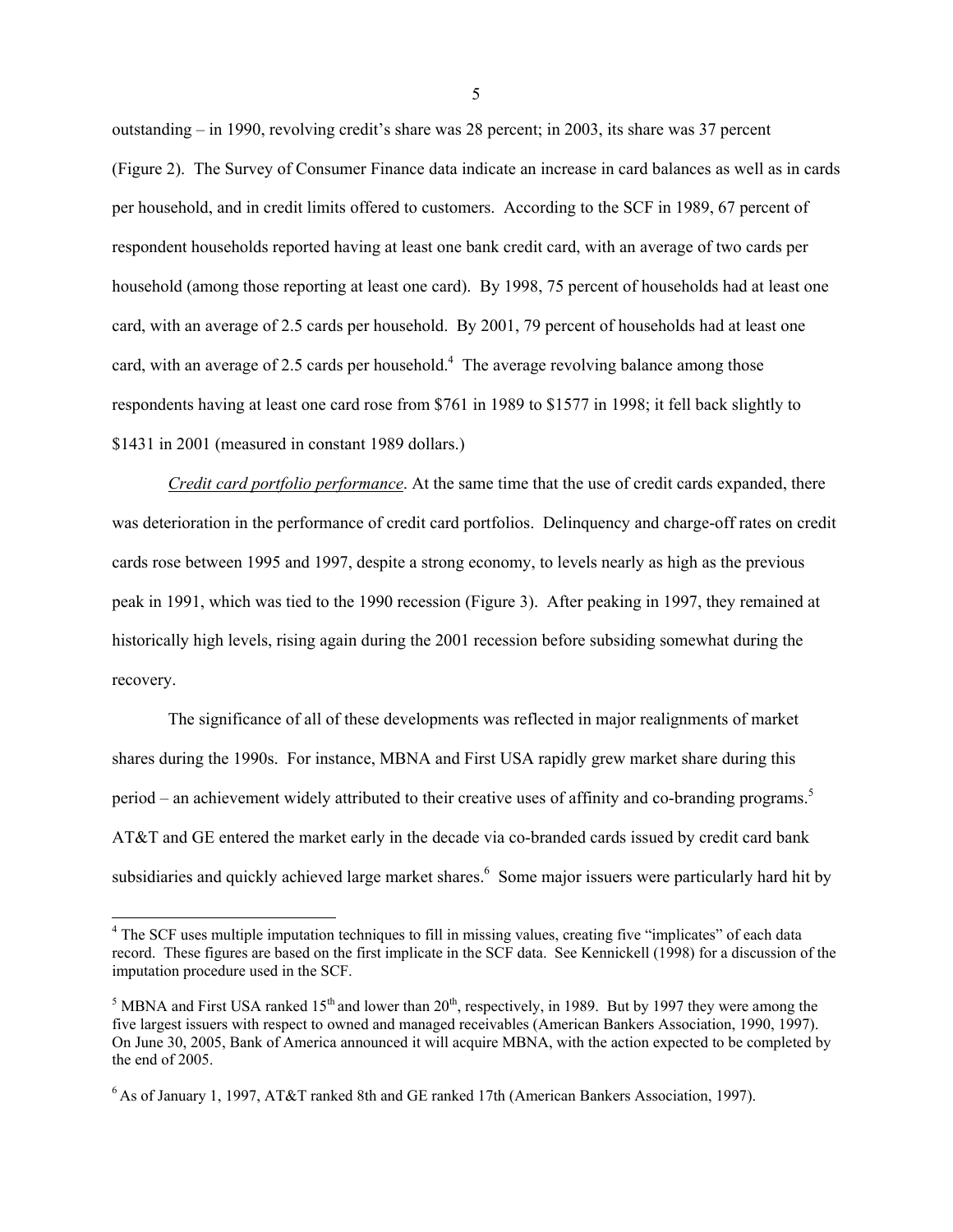outstanding – in 1990, revolving credit's share was 28 percent; in 2003, its share was 37 percent (Figure 2). The Survey of Consumer Finance data indicate an increase in card balances as well as in cards per household, and in credit limits offered to customers. According to the SCF in 1989, 67 percent of respondent households reported having at least one bank credit card, with an average of two cards per household (among those reporting at least one card). By 1998, 75 percent of households had at least one card, with an average of 2.5 cards per household. By 2001, 79 percent of households had at least one card, with an average of 2.5 cards per household.<sup>4</sup> The average revolving balance among those respondents having at least one card rose from \$761 in 1989 to \$1577 in 1998; it fell back slightly to \$1431 in 2001 (measured in constant 1989 dollars.)

*Credit card portfolio performance*. At the same time that the use of credit cards expanded, there was deterioration in the performance of credit card portfolios. Delinquency and charge-off rates on credit cards rose between 1995 and 1997, despite a strong economy, to levels nearly as high as the previous peak in 1991, which was tied to the 1990 recession (Figure 3). After peaking in 1997, they remained at historically high levels, rising again during the 2001 recession before subsiding somewhat during the recovery.

The significance of all of these developments was reflected in major realignments of market shares during the 1990s. For instance, MBNA and First USA rapidly grew market share during this period – an achievement widely attributed to their creative uses of affinity and co-branding programs.<sup>5</sup> AT&T and GE entered the market early in the decade via co-branded cards issued by credit card bank subsidiaries and quickly achieved large market shares. <sup>6</sup> Some major issuers were particularly hard hit by

The SCF uses multiple imputation techniques to fill in missing values, creating five "implicates" of each data record. These figures are based on the first implicate in the SCF data. See Kennickell (1998) for a discussion of the imputation procedure used in the SCF.

<sup>&</sup>lt;sup>5</sup> MBNA and First USA ranked  $15<sup>th</sup>$  and lower than  $20<sup>th</sup>$ , respectively, in 1989. But by 1997 they were among the five largest issuers with respect to owned and managed receivables (American Bankers Association, 1990, 1997). On June 30, 2005, Bank of America announced it will acquire MBNA, with the action expected to be completed by the end of 2005.

<sup>&</sup>lt;sup>6</sup> As of January 1, 1997, AT&T ranked 8th and GE ranked 17th (American Bankers Association, 1997).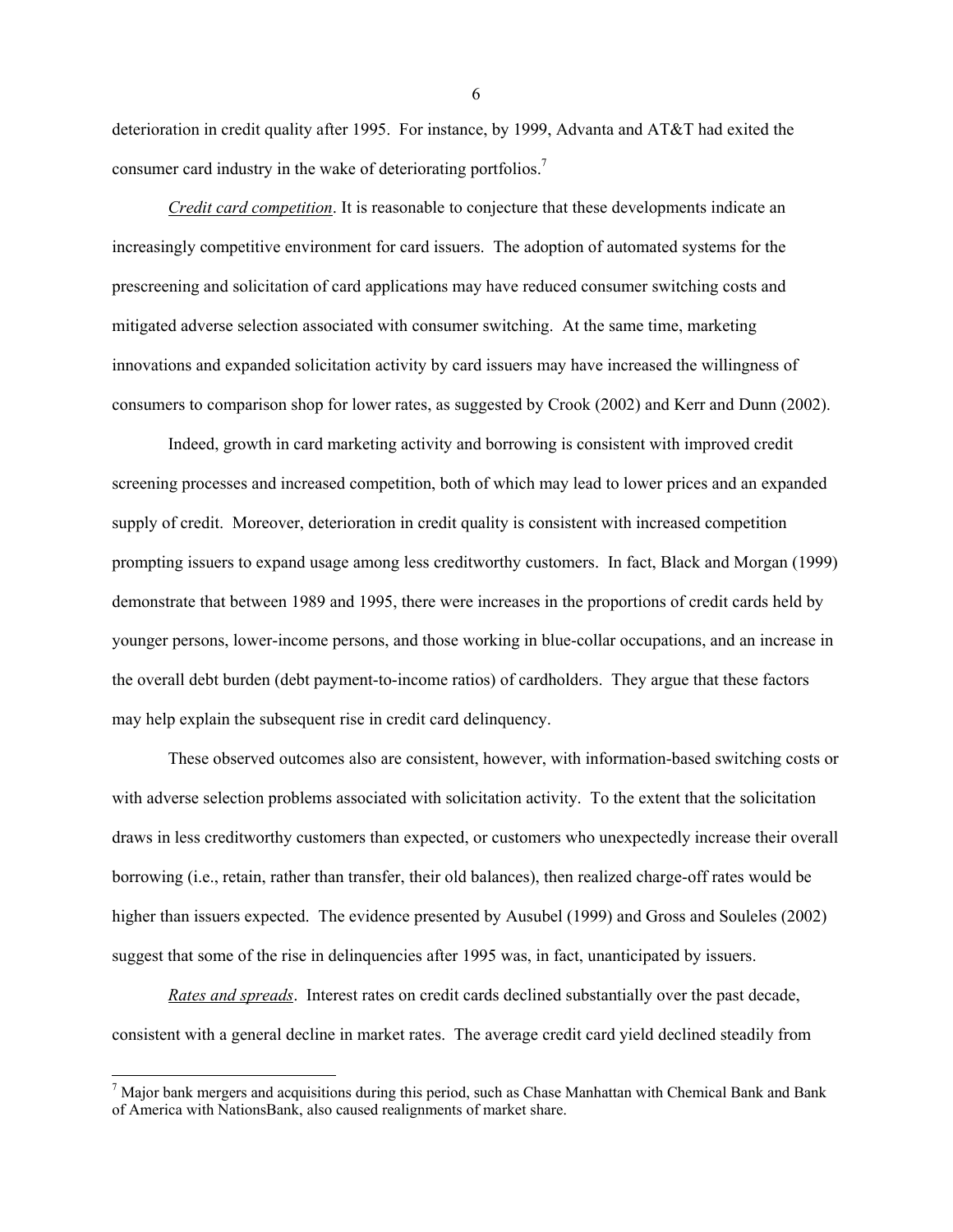deterioration in credit quality after 1995. For instance, by 1999, Advanta and AT&T had exited the consumer card industry in the wake of deteriorating portfolios.<sup>7</sup>

*Credit card competition*. It is reasonable to conjecture that these developments indicate an increasingly competitive environment for card issuers. The adoption of automated systems for the prescreening and solicitation of card applications may have reduced consumer switching costs and mitigated adverse selection associated with consumer switching. At the same time, marketing innovations and expanded solicitation activity by card issuers may have increased the willingness of consumers to comparison shop for lower rates, as suggested by Crook (2002) and Kerr and Dunn (2002).

Indeed, growth in card marketing activity and borrowing is consistent with improved credit screening processes and increased competition, both of which may lead to lower prices and an expanded supply of credit. Moreover, deterioration in credit quality is consistent with increased competition prompting issuers to expand usage among less creditworthy customers. In fact, Black and Morgan (1999) demonstrate that between 1989 and 1995, there were increases in the proportions of credit cards held by younger persons, lower-income persons, and those working in blue-collar occupations, and an increase in the overall debt burden (debt payment-to-income ratios) of cardholders. They argue that these factors may help explain the subsequent rise in credit card delinquency.

These observed outcomes also are consistent, however, with information-based switching costs or with adverse selection problems associated with solicitation activity. To the extent that the solicitation draws in less creditworthy customers than expected, or customers who unexpectedly increase their overall borrowing (i.e., retain, rather than transfer, their old balances), then realized charge-off rates would be higher than issuers expected. The evidence presented by Ausubel (1999) and Gross and Souleles (2002) suggest that some of the rise in delinquencies after 1995 was, in fact, unanticipated by issuers.

*Rates and spreads*. Interest rates on credit cards declined substantially over the past decade, consistent with a general decline in market rates. The average credit card yield declined steadily from

l

 $<sup>7</sup>$  Major bank mergers and acquisitions during this period, such as Chase Manhattan with Chemical Bank and Bank</sup> of America with NationsBank, also caused realignments of market share.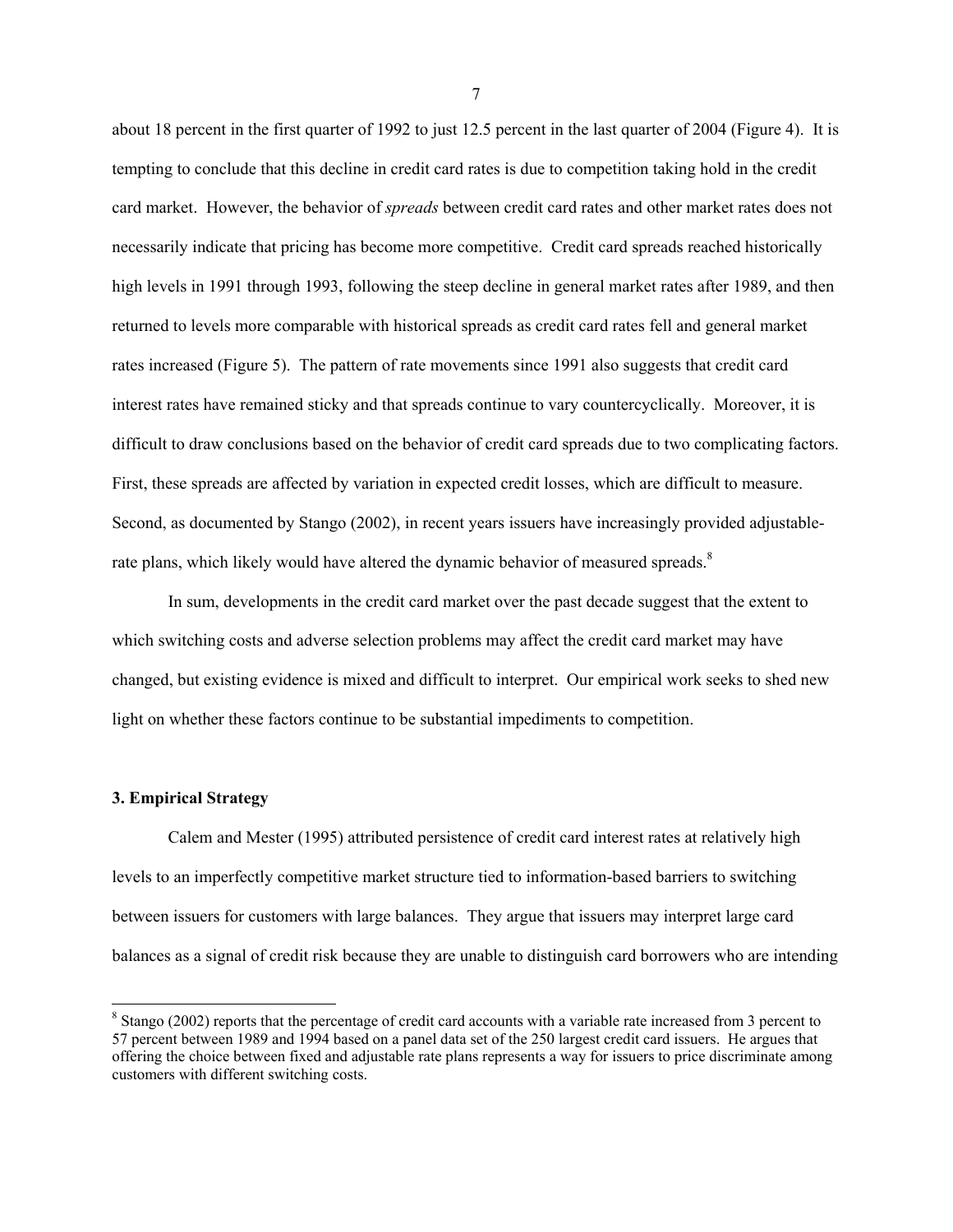about 18 percent in the first quarter of 1992 to just 12.5 percent in the last quarter of 2004 (Figure 4). It is tempting to conclude that this decline in credit card rates is due to competition taking hold in the credit card market. However, the behavior of *spreads* between credit card rates and other market rates does not necessarily indicate that pricing has become more competitive. Credit card spreads reached historically high levels in 1991 through 1993, following the steep decline in general market rates after 1989, and then returned to levels more comparable with historical spreads as credit card rates fell and general market rates increased (Figure 5). The pattern of rate movements since 1991 also suggests that credit card interest rates have remained sticky and that spreads continue to vary countercyclically. Moreover, it is difficult to draw conclusions based on the behavior of credit card spreads due to two complicating factors. First, these spreads are affected by variation in expected credit losses, which are difficult to measure. Second, as documented by Stango (2002), in recent years issuers have increasingly provided adjustablerate plans, which likely would have altered the dynamic behavior of measured spreads.<sup>8</sup>

 In sum, developments in the credit card market over the past decade suggest that the extent to which switching costs and adverse selection problems may affect the credit card market may have changed, but existing evidence is mixed and difficult to interpret. Our empirical work seeks to shed new light on whether these factors continue to be substantial impediments to competition.

### **3. Empirical Strategy**

l

Calem and Mester (1995) attributed persistence of credit card interest rates at relatively high levels to an imperfectly competitive market structure tied to information-based barriers to switching between issuers for customers with large balances. They argue that issuers may interpret large card balances as a signal of credit risk because they are unable to distinguish card borrowers who are intending

<sup>&</sup>lt;sup>8</sup> Stango (2002) reports that the percentage of credit card accounts with a variable rate increased from 3 percent to 57 percent between 1989 and 1994 based on a panel data set of the 250 largest credit card issuers. He argues that offering the choice between fixed and adjustable rate plans represents a way for issuers to price discriminate among customers with different switching costs.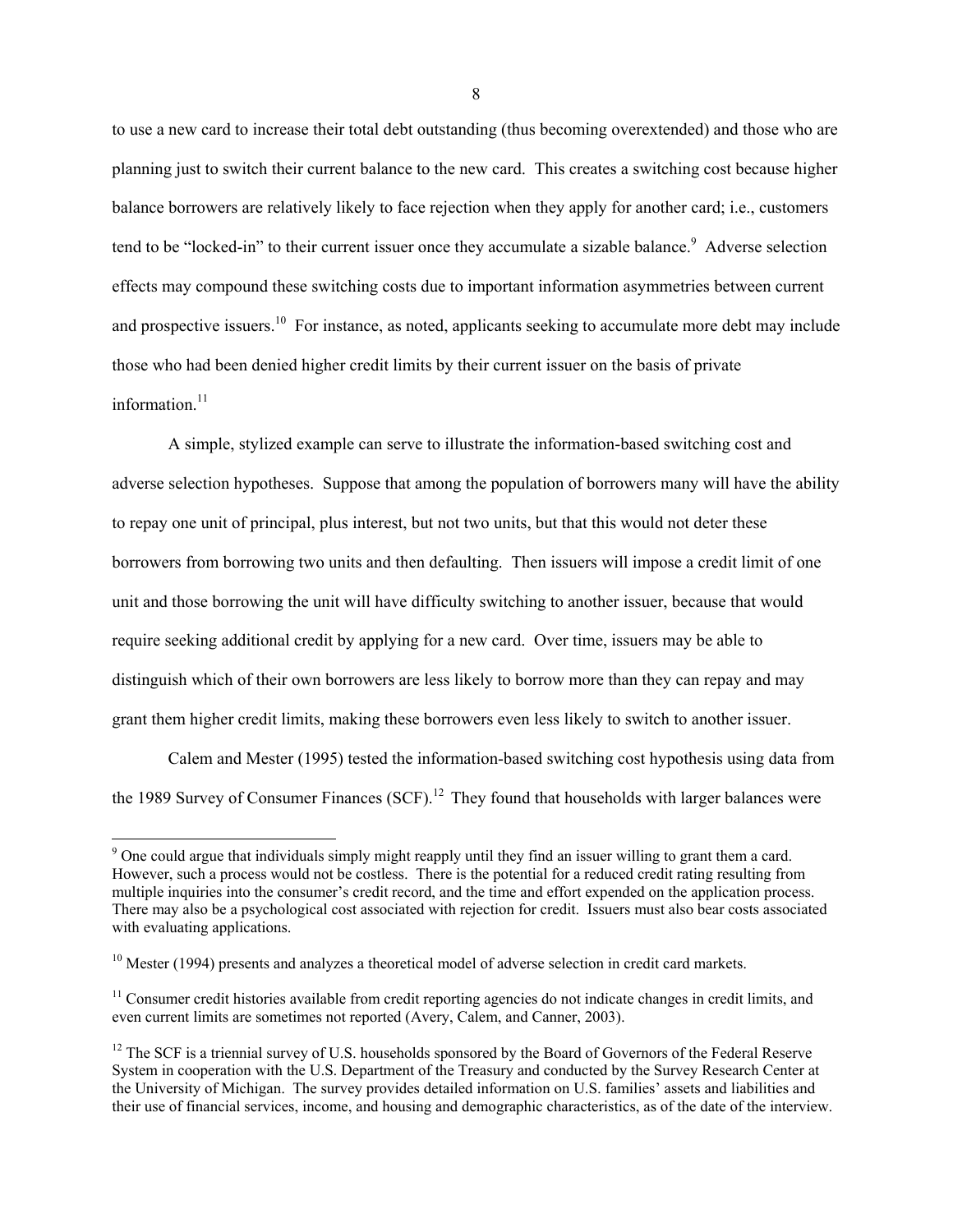to use a new card to increase their total debt outstanding (thus becoming overextended) and those who are planning just to switch their current balance to the new card. This creates a switching cost because higher balance borrowers are relatively likely to face rejection when they apply for another card; i.e., customers tend to be "locked-in" to their current issuer once they accumulate a sizable balance.<sup>9</sup> Adverse selection effects may compound these switching costs due to important information asymmetries between current and prospective issuers.<sup>10</sup> For instance, as noted, applicants seeking to accumulate more debt may include those who had been denied higher credit limits by their current issuer on the basis of private information.<sup>11</sup>

 A simple, stylized example can serve to illustrate the information-based switching cost and adverse selection hypotheses. Suppose that among the population of borrowers many will have the ability to repay one unit of principal, plus interest, but not two units, but that this would not deter these borrowers from borrowing two units and then defaulting. Then issuers will impose a credit limit of one unit and those borrowing the unit will have difficulty switching to another issuer, because that would require seeking additional credit by applying for a new card. Over time, issuers may be able to distinguish which of their own borrowers are less likely to borrow more than they can repay and may grant them higher credit limits, making these borrowers even less likely to switch to another issuer.

Calem and Mester (1995) tested the information-based switching cost hypothesis using data from the 1989 Survey of Consumer Finances (SCF).<sup>12</sup> They found that households with larger balances were

1

 $9^9$  One could argue that individuals simply might reapply until they find an issuer willing to grant them a card. However, such a process would not be costless. There is the potential for a reduced credit rating resulting from multiple inquiries into the consumer's credit record, and the time and effort expended on the application process. There may also be a psychological cost associated with rejection for credit. Issuers must also bear costs associated with evaluating applications.

 $10$  Mester (1994) presents and analyzes a theoretical model of adverse selection in credit card markets.

<sup>&</sup>lt;sup>11</sup> Consumer credit histories available from credit reporting agencies do not indicate changes in credit limits, and even current limits are sometimes not reported (Avery, Calem, and Canner, 2003).

<sup>&</sup>lt;sup>12</sup> The SCF is a triennial survey of U.S. households sponsored by the Board of Governors of the Federal Reserve System in cooperation with the U.S. Department of the Treasury and conducted by the Survey Research Center at the University of Michigan. The survey provides detailed information on U.S. families' assets and liabilities and their use of financial services, income, and housing and demographic characteristics, as of the date of the interview.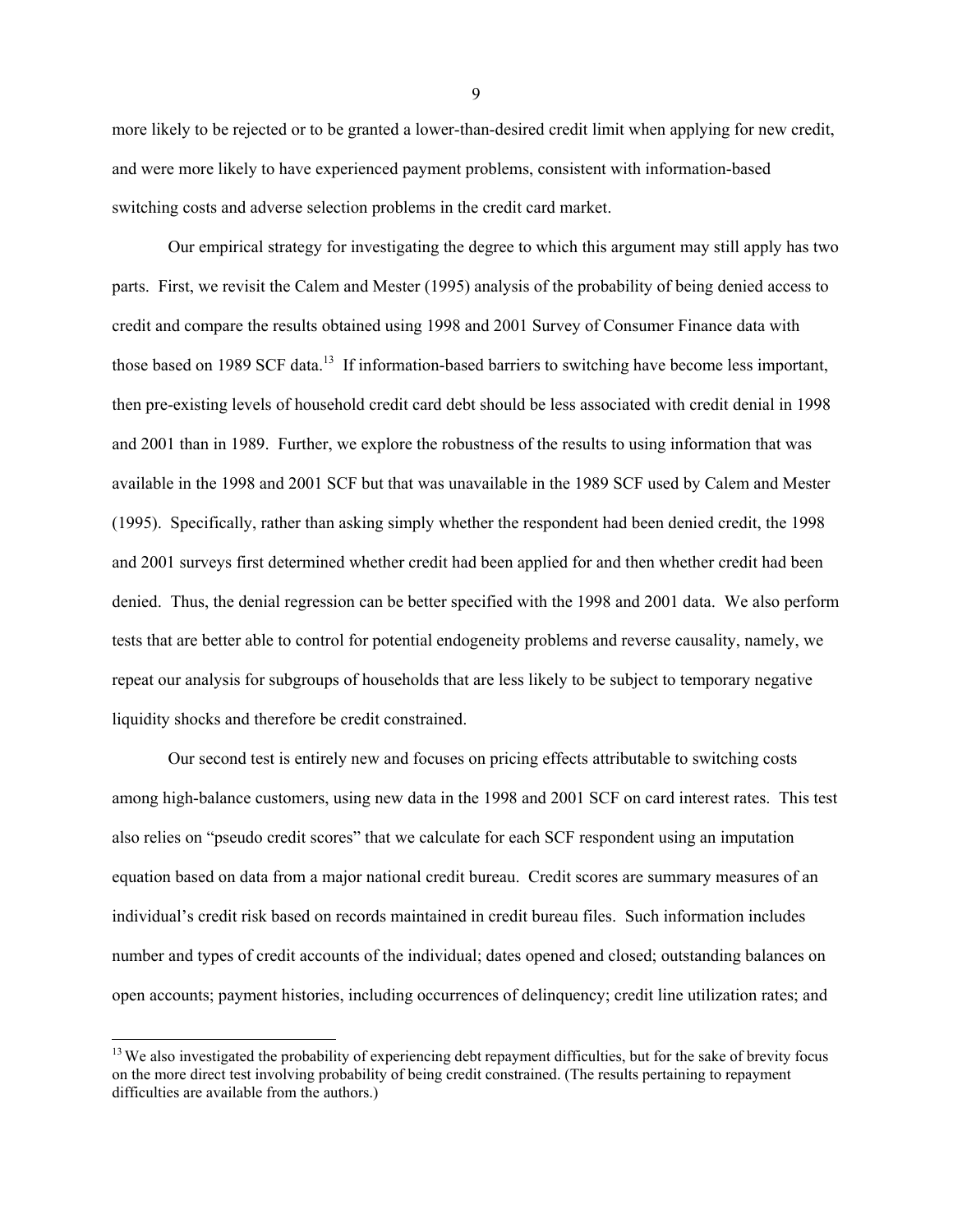more likely to be rejected or to be granted a lower-than-desired credit limit when applying for new credit, and were more likely to have experienced payment problems, consistent with information-based switching costs and adverse selection problems in the credit card market.

Our empirical strategy for investigating the degree to which this argument may still apply has two parts. First, we revisit the Calem and Mester (1995) analysis of the probability of being denied access to credit and compare the results obtained using 1998 and 2001 Survey of Consumer Finance data with those based on 1989 SCF data.<sup>13</sup> If information-based barriers to switching have become less important, then pre-existing levels of household credit card debt should be less associated with credit denial in 1998 and 2001 than in 1989. Further, we explore the robustness of the results to using information that was available in the 1998 and 2001 SCF but that was unavailable in the 1989 SCF used by Calem and Mester (1995). Specifically, rather than asking simply whether the respondent had been denied credit, the 1998 and 2001 surveys first determined whether credit had been applied for and then whether credit had been denied. Thus, the denial regression can be better specified with the 1998 and 2001 data. We also perform tests that are better able to control for potential endogeneity problems and reverse causality, namely, we repeat our analysis for subgroups of households that are less likely to be subject to temporary negative liquidity shocks and therefore be credit constrained.

Our second test is entirely new and focuses on pricing effects attributable to switching costs among high-balance customers, using new data in the 1998 and 2001 SCF on card interest rates. This test also relies on "pseudo credit scores" that we calculate for each SCF respondent using an imputation equation based on data from a major national credit bureau. Credit scores are summary measures of an individual's credit risk based on records maintained in credit bureau files. Such information includes number and types of credit accounts of the individual; dates opened and closed; outstanding balances on open accounts; payment histories, including occurrences of delinquency; credit line utilization rates; and

1

<sup>&</sup>lt;sup>13</sup> We also investigated the probability of experiencing debt repayment difficulties, but for the sake of brevity focus on the more direct test involving probability of being credit constrained. (The results pertaining to repayment difficulties are available from the authors.)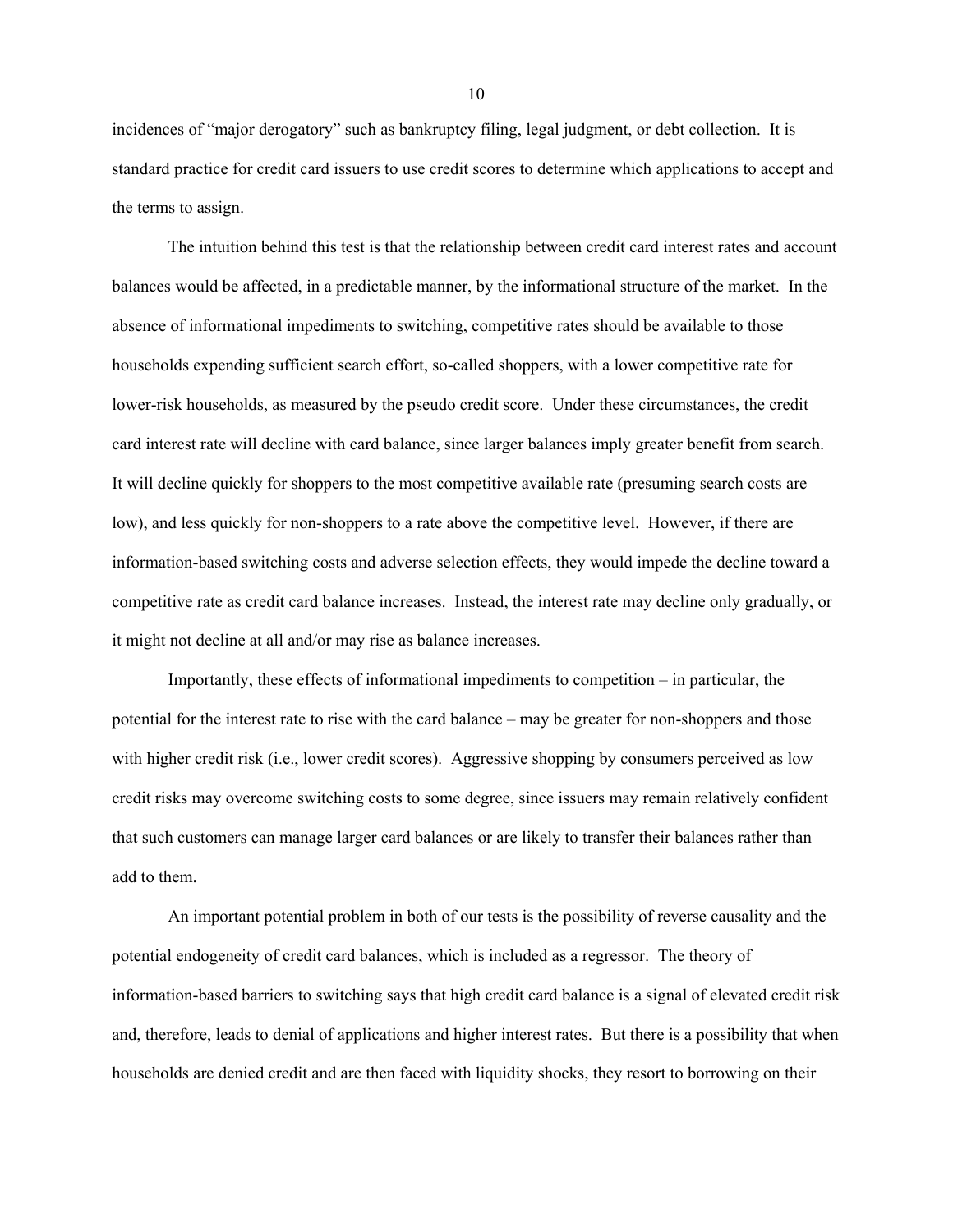incidences of "major derogatory" such as bankruptcy filing, legal judgment, or debt collection. It is standard practice for credit card issuers to use credit scores to determine which applications to accept and the terms to assign.

The intuition behind this test is that the relationship between credit card interest rates and account balances would be affected, in a predictable manner, by the informational structure of the market. In the absence of informational impediments to switching, competitive rates should be available to those households expending sufficient search effort, so-called shoppers, with a lower competitive rate for lower-risk households, as measured by the pseudo credit score. Under these circumstances, the credit card interest rate will decline with card balance, since larger balances imply greater benefit from search. It will decline quickly for shoppers to the most competitive available rate (presuming search costs are low), and less quickly for non-shoppers to a rate above the competitive level. However, if there are information-based switching costs and adverse selection effects, they would impede the decline toward a competitive rate as credit card balance increases. Instead, the interest rate may decline only gradually, or it might not decline at all and/or may rise as balance increases.

Importantly, these effects of informational impediments to competition – in particular, the potential for the interest rate to rise with the card balance – may be greater for non-shoppers and those with higher credit risk (i.e., lower credit scores). Aggressive shopping by consumers perceived as low credit risks may overcome switching costs to some degree, since issuers may remain relatively confident that such customers can manage larger card balances or are likely to transfer their balances rather than add to them.

An important potential problem in both of our tests is the possibility of reverse causality and the potential endogeneity of credit card balances, which is included as a regressor. The theory of information-based barriers to switching says that high credit card balance is a signal of elevated credit risk and, therefore, leads to denial of applications and higher interest rates. But there is a possibility that when households are denied credit and are then faced with liquidity shocks, they resort to borrowing on their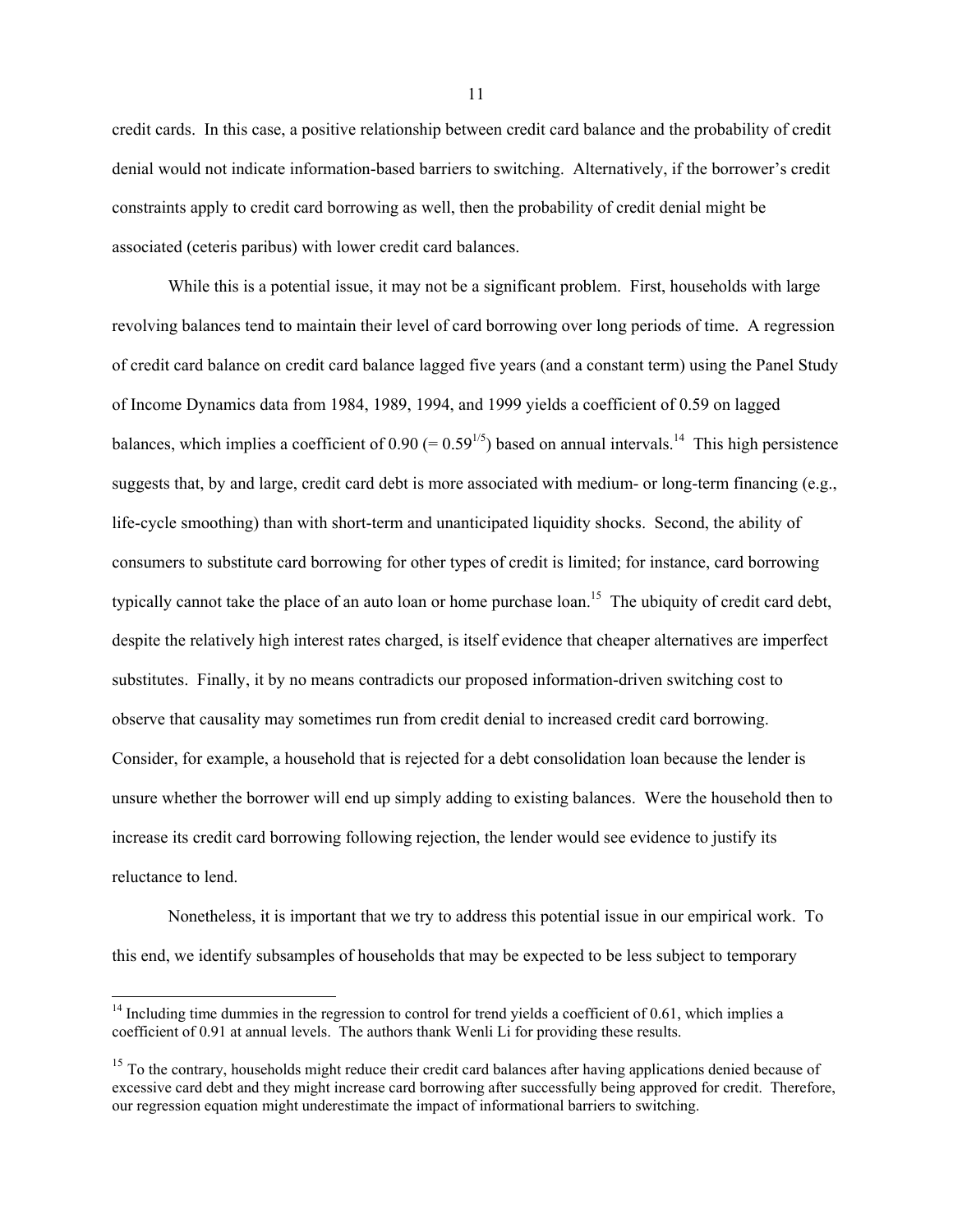credit cards. In this case, a positive relationship between credit card balance and the probability of credit denial would not indicate information-based barriers to switching. Alternatively, if the borrower's credit constraints apply to credit card borrowing as well, then the probability of credit denial might be associated (ceteris paribus) with lower credit card balances.

While this is a potential issue, it may not be a significant problem. First, households with large revolving balances tend to maintain their level of card borrowing over long periods of time. A regression of credit card balance on credit card balance lagged five years (and a constant term) using the Panel Study of Income Dynamics data from 1984, 1989, 1994, and 1999 yields a coefficient of 0.59 on lagged balances, which implies a coefficient of 0.90 (=  $0.59^{1/5}$ ) based on annual intervals.<sup>14</sup> This high persistence suggests that, by and large, credit card debt is more associated with medium- or long-term financing (e.g., life-cycle smoothing) than with short-term and unanticipated liquidity shocks. Second, the ability of consumers to substitute card borrowing for other types of credit is limited; for instance, card borrowing typically cannot take the place of an auto loan or home purchase loan.<sup>15</sup> The ubiquity of credit card debt, despite the relatively high interest rates charged, is itself evidence that cheaper alternatives are imperfect substitutes. Finally, it by no means contradicts our proposed information-driven switching cost to observe that causality may sometimes run from credit denial to increased credit card borrowing. Consider, for example, a household that is rejected for a debt consolidation loan because the lender is unsure whether the borrower will end up simply adding to existing balances. Were the household then to increase its credit card borrowing following rejection, the lender would see evidence to justify its reluctance to lend.

 Nonetheless, it is important that we try to address this potential issue in our empirical work. To this end, we identify subsamples of households that may be expected to be less subject to temporary

 $14$  Including time dummies in the regression to control for trend yields a coefficient of 0.61, which implies a coefficient of 0.91 at annual levels. The authors thank Wenli Li for providing these results.

<sup>&</sup>lt;sup>15</sup> To the contrary, households might reduce their credit card balances after having applications denied because of excessive card debt and they might increase card borrowing after successfully being approved for credit. Therefore, our regression equation might underestimate the impact of informational barriers to switching.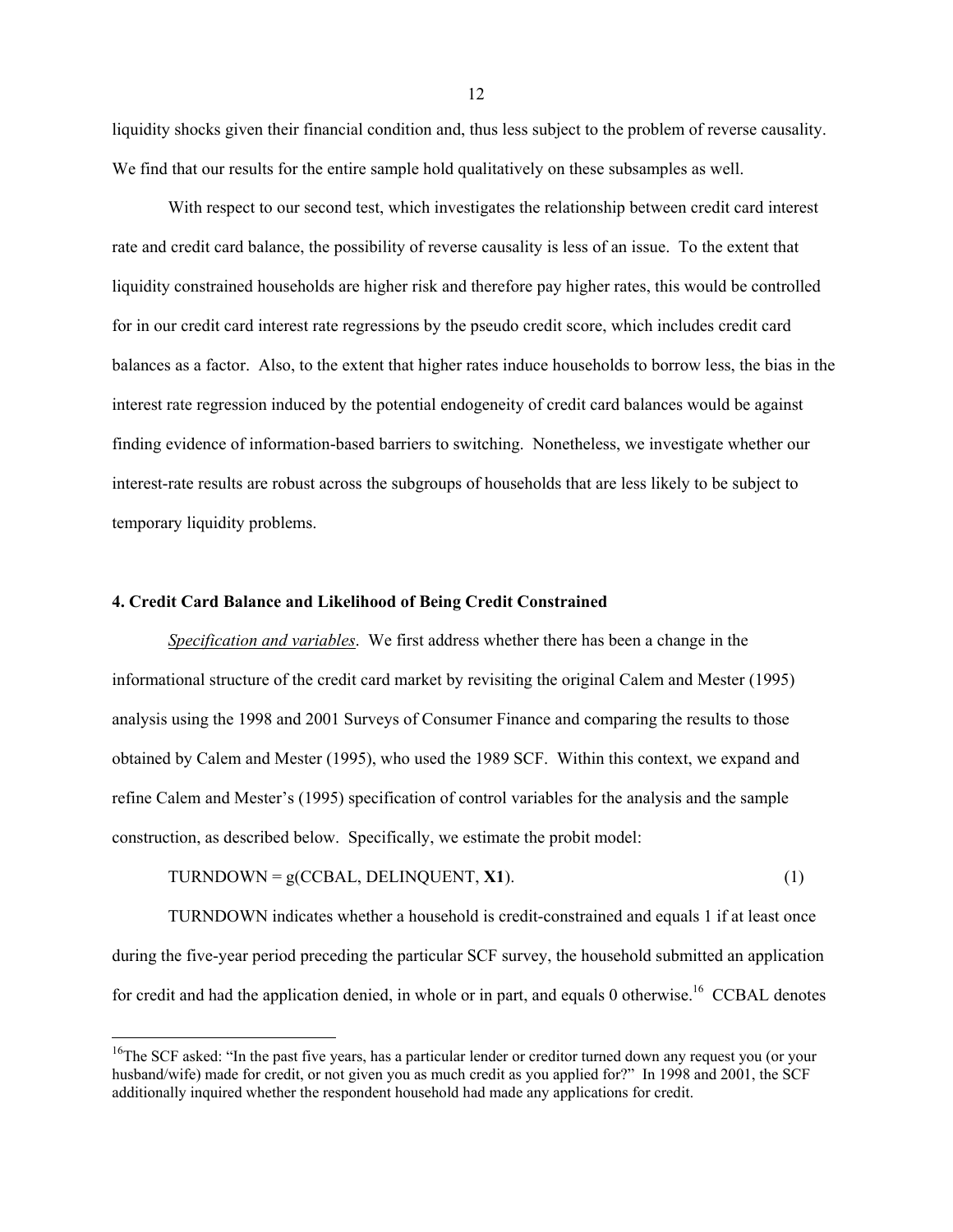liquidity shocks given their financial condition and, thus less subject to the problem of reverse causality. We find that our results for the entire sample hold qualitatively on these subsamples as well.

With respect to our second test, which investigates the relationship between credit card interest rate and credit card balance, the possibility of reverse causality is less of an issue. To the extent that liquidity constrained households are higher risk and therefore pay higher rates, this would be controlled for in our credit card interest rate regressions by the pseudo credit score, which includes credit card balances as a factor. Also, to the extent that higher rates induce households to borrow less, the bias in the interest rate regression induced by the potential endogeneity of credit card balances would be against finding evidence of information-based barriers to switching. Nonetheless, we investigate whether our interest-rate results are robust across the subgroups of households that are less likely to be subject to temporary liquidity problems.

### **4. Credit Card Balance and Likelihood of Being Credit Constrained**

*Specification and variables*. We first address whether there has been a change in the informational structure of the credit card market by revisiting the original Calem and Mester (1995) analysis using the 1998 and 2001 Surveys of Consumer Finance and comparing the results to those obtained by Calem and Mester (1995), who used the 1989 SCF. Within this context, we expand and refine Calem and Mester's (1995) specification of control variables for the analysis and the sample construction, as described below. Specifically, we estimate the probit model:

 $TURNDOWN = g(CCBAL, DELINQUENT, **X1**).$  (1)

1

TURNDOWN indicates whether a household is credit-constrained and equals 1 if at least once during the five-year period preceding the particular SCF survey, the household submitted an application for credit and had the application denied, in whole or in part, and equals 0 otherwise.<sup>16</sup> CCBAL denotes

<sup>&</sup>lt;sup>16</sup>The SCF asked: "In the past five years, has a particular lender or creditor turned down any request you (or your husband/wife) made for credit, or not given you as much credit as you applied for?" In 1998 and 2001, the SCF additionally inquired whether the respondent household had made any applications for credit.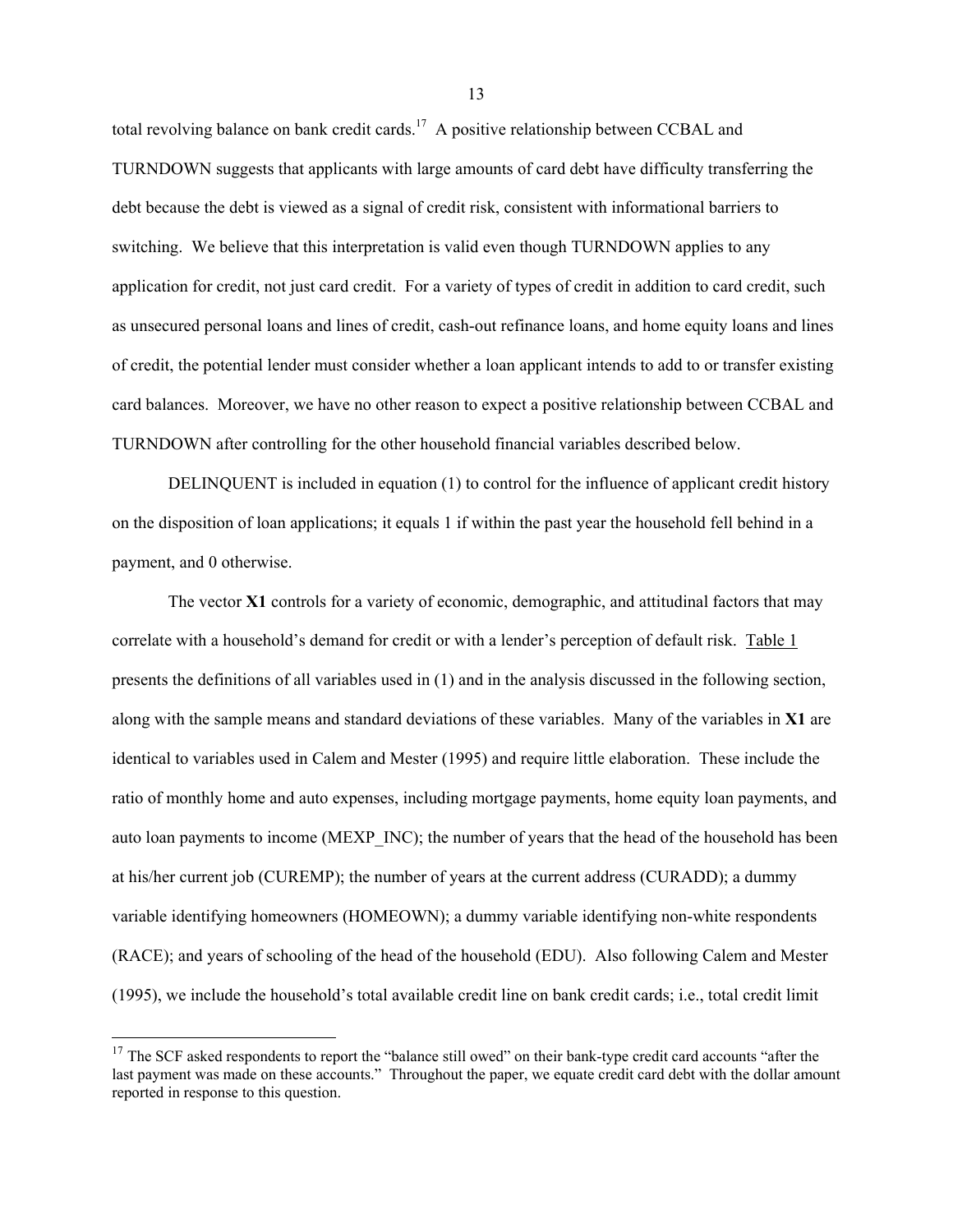total revolving balance on bank credit cards.<sup>17</sup> A positive relationship between CCBAL and TURNDOWN suggests that applicants with large amounts of card debt have difficulty transferring the debt because the debt is viewed as a signal of credit risk, consistent with informational barriers to switching. We believe that this interpretation is valid even though TURNDOWN applies to any application for credit, not just card credit. For a variety of types of credit in addition to card credit, such as unsecured personal loans and lines of credit, cash-out refinance loans, and home equity loans and lines of credit, the potential lender must consider whether a loan applicant intends to add to or transfer existing card balances. Moreover, we have no other reason to expect a positive relationship between CCBAL and TURNDOWN after controlling for the other household financial variables described below.

DELINQUENT is included in equation (1) to control for the influence of applicant credit history on the disposition of loan applications; it equals 1 if within the past year the household fell behind in a payment, and 0 otherwise.

The vector **X1** controls for a variety of economic, demographic, and attitudinal factors that may correlate with a household's demand for credit or with a lender's perception of default risk. Table 1 presents the definitions of all variables used in (1) and in the analysis discussed in the following section, along with the sample means and standard deviations of these variables. Many of the variables in **X1** are identical to variables used in Calem and Mester (1995) and require little elaboration. These include the ratio of monthly home and auto expenses, including mortgage payments, home equity loan payments, and auto loan payments to income (MEXP\_INC); the number of years that the head of the household has been at his/her current job (CUREMP); the number of years at the current address (CURADD); a dummy variable identifying homeowners (HOMEOWN); a dummy variable identifying non-white respondents (RACE); and years of schooling of the head of the household (EDU). Also following Calem and Mester (1995), we include the household's total available credit line on bank credit cards; i.e., total credit limit

l

<sup>&</sup>lt;sup>17</sup> The SCF asked respondents to report the "balance still owed" on their bank-type credit card accounts "after the last payment was made on these accounts." Throughout the paper, we equate credit card debt with the dollar amount reported in response to this question.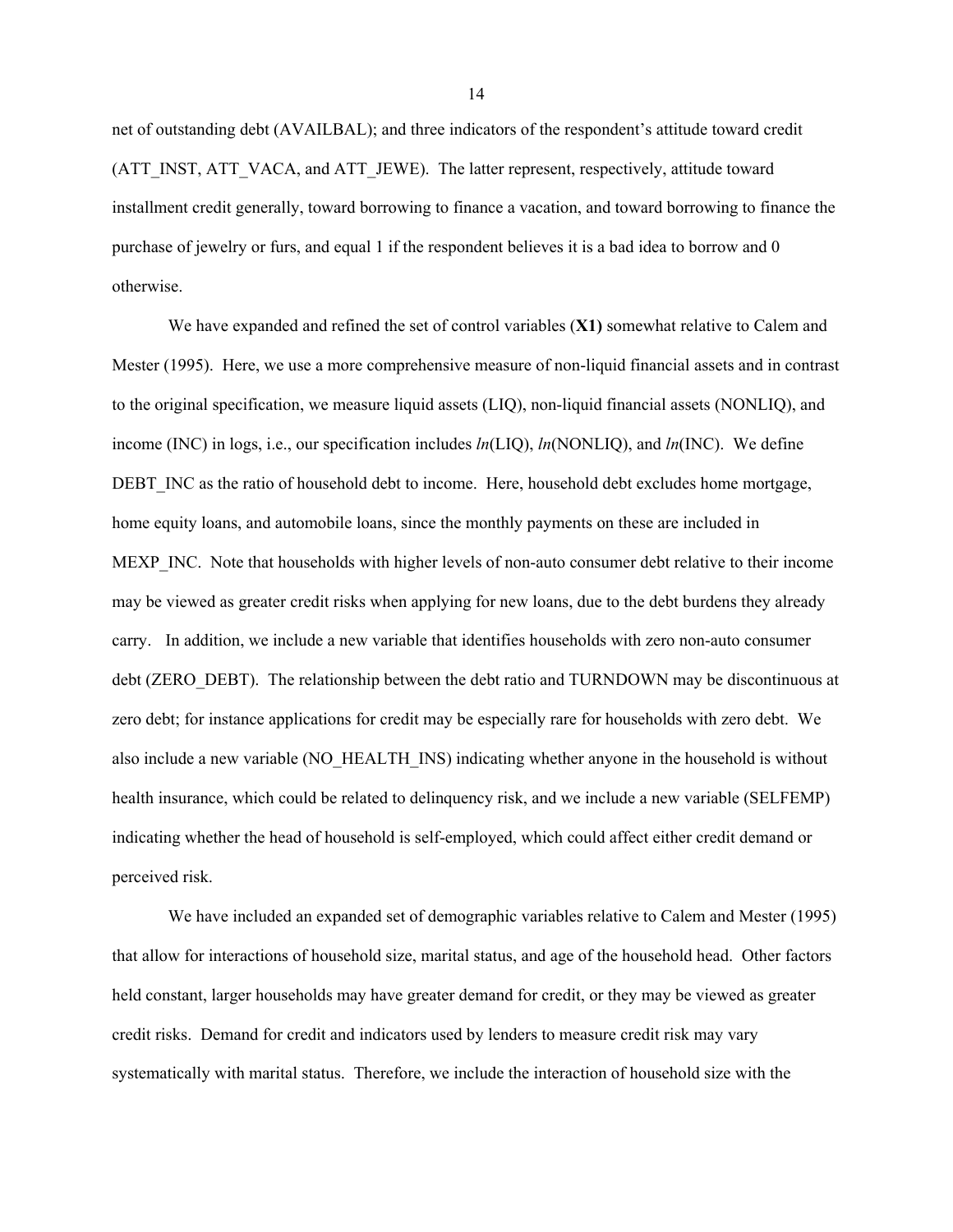net of outstanding debt (AVAILBAL); and three indicators of the respondent's attitude toward credit (ATT\_INST, ATT\_VACA, and ATT\_JEWE). The latter represent, respectively, attitude toward installment credit generally, toward borrowing to finance a vacation, and toward borrowing to finance the purchase of jewelry or furs, and equal 1 if the respondent believes it is a bad idea to borrow and 0 otherwise.

We have expanded and refined the set of control variables (**X1)** somewhat relative to Calem and Mester (1995). Here, we use a more comprehensive measure of non-liquid financial assets and in contrast to the original specification, we measure liquid assets (LIQ), non-liquid financial assets (NONLIQ), and income (INC) in logs, i.e., our specification includes *ln*(LIQ), *ln*(NONLIQ), and *ln*(INC). We define DEBT INC as the ratio of household debt to income. Here, household debt excludes home mortgage, home equity loans, and automobile loans, since the monthly payments on these are included in MEXP INC. Note that households with higher levels of non-auto consumer debt relative to their income may be viewed as greater credit risks when applying for new loans, due to the debt burdens they already carry. In addition, we include a new variable that identifies households with zero non-auto consumer debt (ZERO DEBT). The relationship between the debt ratio and TURNDOWN may be discontinuous at zero debt; for instance applications for credit may be especially rare for households with zero debt. We also include a new variable (NO\_HEALTH\_INS) indicating whether anyone in the household is without health insurance, which could be related to delinquency risk, and we include a new variable (SELFEMP) indicating whether the head of household is self-employed, which could affect either credit demand or perceived risk.

We have included an expanded set of demographic variables relative to Calem and Mester (1995) that allow for interactions of household size, marital status, and age of the household head. Other factors held constant, larger households may have greater demand for credit, or they may be viewed as greater credit risks. Demand for credit and indicators used by lenders to measure credit risk may vary systematically with marital status. Therefore, we include the interaction of household size with the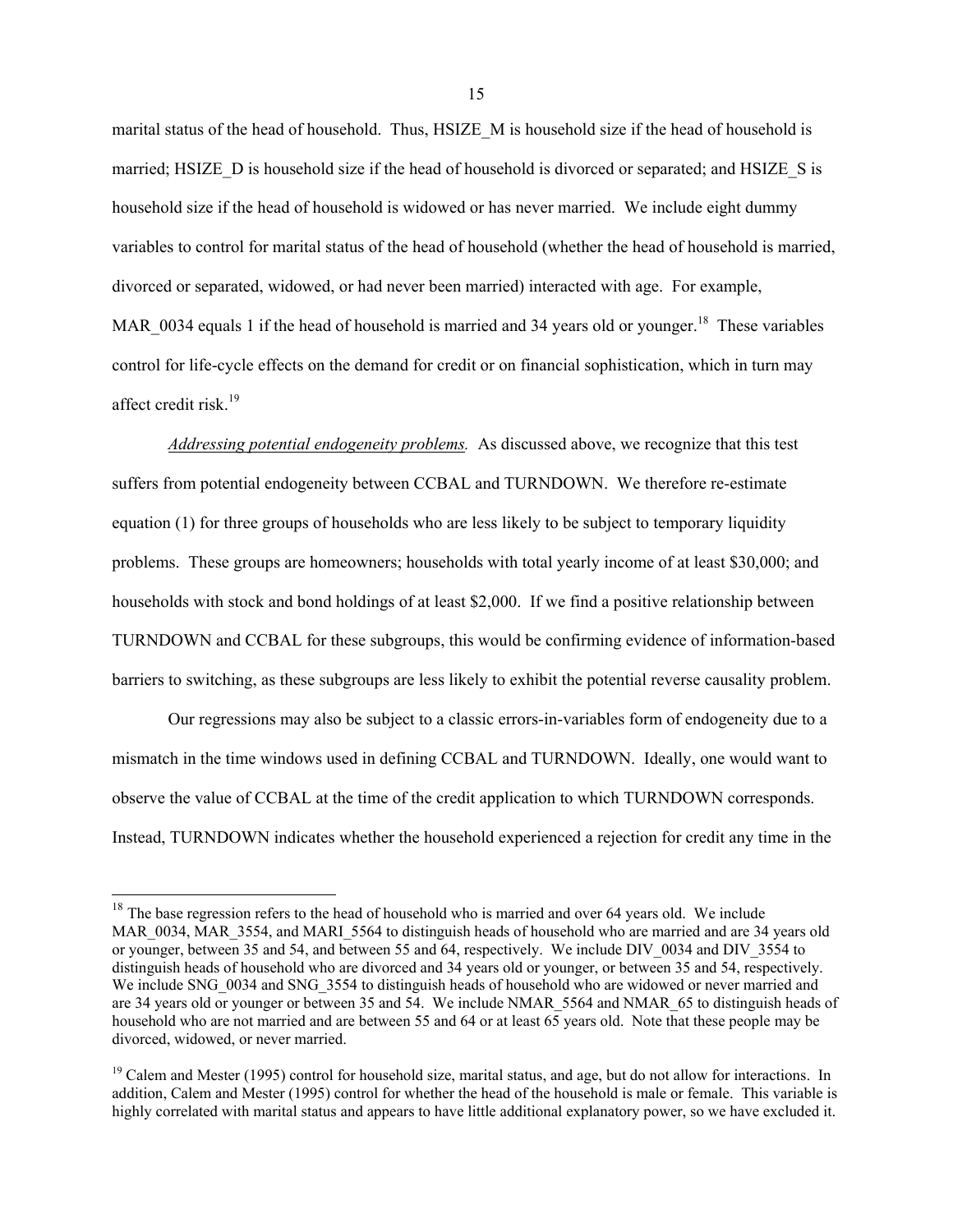marital status of the head of household. Thus, HSIZE M is household size if the head of household is married; HSIZE D is household size if the head of household is divorced or separated; and HSIZE S is household size if the head of household is widowed or has never married. We include eight dummy variables to control for marital status of the head of household (whether the head of household is married, divorced or separated, widowed, or had never been married) interacted with age. For example, MAR 0034 equals 1 if the head of household is married and 34 years old or younger.<sup>18</sup> These variables control for life-cycle effects on the demand for credit or on financial sophistication, which in turn may affect credit risk.<sup>19</sup>

*Addressing potential endogeneity problems.* As discussed above, we recognize that this test suffers from potential endogeneity between CCBAL and TURNDOWN. We therefore re-estimate equation (1) for three groups of households who are less likely to be subject to temporary liquidity problems. These groups are homeowners; households with total yearly income of at least \$30,000; and households with stock and bond holdings of at least \$2,000. If we find a positive relationship between TURNDOWN and CCBAL for these subgroups, this would be confirming evidence of information-based barriers to switching, as these subgroups are less likely to exhibit the potential reverse causality problem.

Our regressions may also be subject to a classic errors-in-variables form of endogeneity due to a mismatch in the time windows used in defining CCBAL and TURNDOWN. Ideally, one would want to observe the value of CCBAL at the time of the credit application to which TURNDOWN corresponds. Instead, TURNDOWN indicates whether the household experienced a rejection for credit any time in the

 $18$  The base regression refers to the head of household who is married and over 64 years old. We include MAR 0034, MAR 3554, and MARI 5564 to distinguish heads of household who are married and are 34 years old or younger, between 35 and 54, and between 55 and 64, respectively. We include DIV\_0034 and DIV\_3554 to distinguish heads of household who are divorced and 34 years old or younger, or between 35 and 54, respectively. We include SNG\_0034 and SNG\_3554 to distinguish heads of household who are widowed or never married and are 34 years old or younger or between 35 and 54. We include NMAR 5564 and NMAR 65 to distinguish heads of household who are not married and are between 55 and 64 or at least 65 years old. Note that these people may be divorced, widowed, or never married.

<sup>&</sup>lt;sup>19</sup> Calem and Mester (1995) control for household size, marital status, and age, but do not allow for interactions. In addition, Calem and Mester (1995) control for whether the head of the household is male or female. This variable is highly correlated with marital status and appears to have little additional explanatory power, so we have excluded it.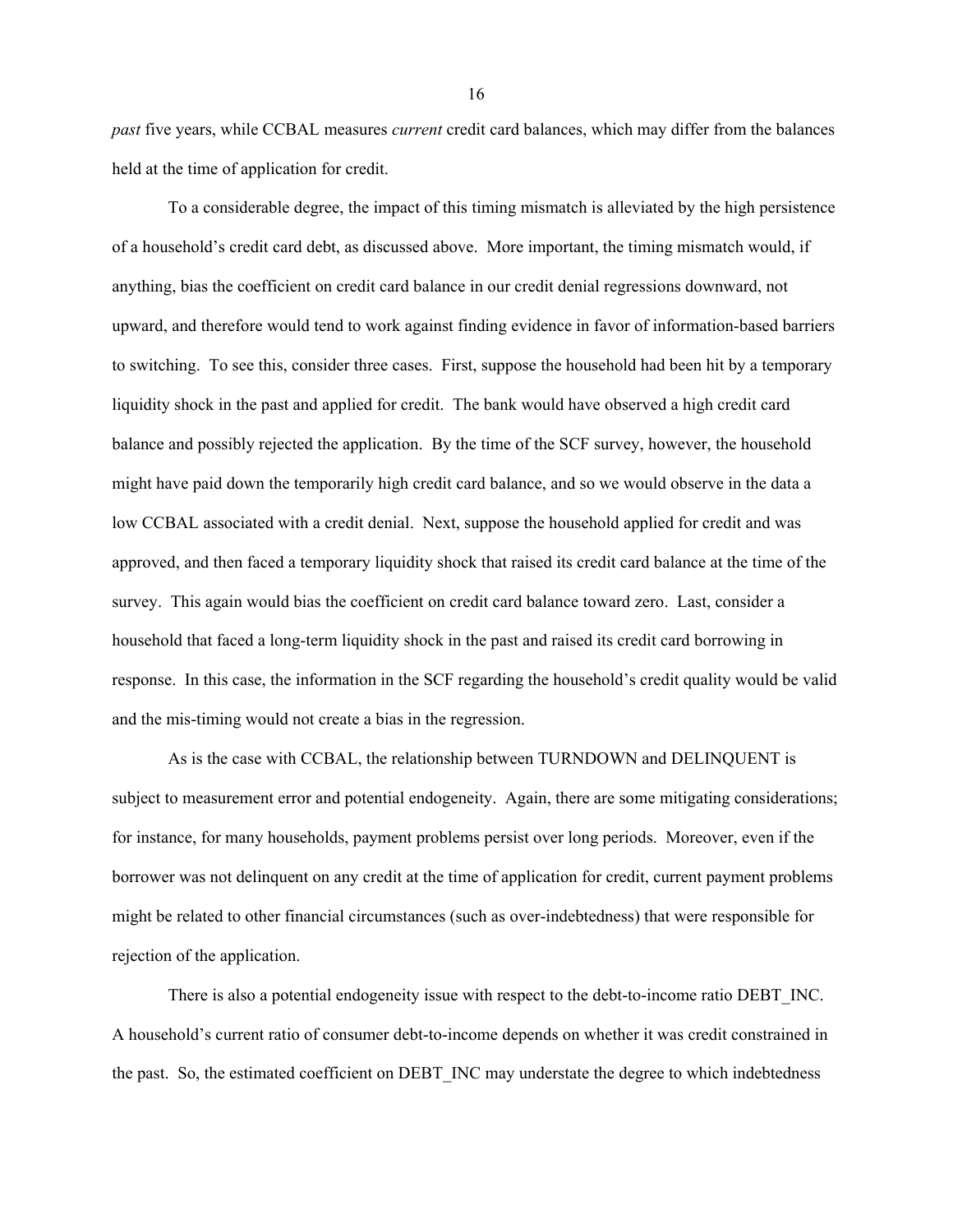*past* five years, while CCBAL measures *current* credit card balances, which may differ from the balances held at the time of application for credit.

To a considerable degree, the impact of this timing mismatch is alleviated by the high persistence of a household's credit card debt, as discussed above. More important, the timing mismatch would, if anything, bias the coefficient on credit card balance in our credit denial regressions downward, not upward, and therefore would tend to work against finding evidence in favor of information-based barriers to switching. To see this, consider three cases. First, suppose the household had been hit by a temporary liquidity shock in the past and applied for credit. The bank would have observed a high credit card balance and possibly rejected the application. By the time of the SCF survey, however, the household might have paid down the temporarily high credit card balance, and so we would observe in the data a low CCBAL associated with a credit denial. Next, suppose the household applied for credit and was approved, and then faced a temporary liquidity shock that raised its credit card balance at the time of the survey. This again would bias the coefficient on credit card balance toward zero. Last, consider a household that faced a long-term liquidity shock in the past and raised its credit card borrowing in response. In this case, the information in the SCF regarding the household's credit quality would be valid and the mis-timing would not create a bias in the regression.

As is the case with CCBAL, the relationship between TURNDOWN and DELINQUENT is subject to measurement error and potential endogeneity. Again, there are some mitigating considerations; for instance, for many households, payment problems persist over long periods. Moreover, even if the borrower was not delinquent on any credit at the time of application for credit, current payment problems might be related to other financial circumstances (such as over-indebtedness) that were responsible for rejection of the application.

There is also a potential endogeneity issue with respect to the debt-to-income ratio DEBT\_INC. A household's current ratio of consumer debt-to-income depends on whether it was credit constrained in the past. So, the estimated coefficient on DEBT\_INC may understate the degree to which indebtedness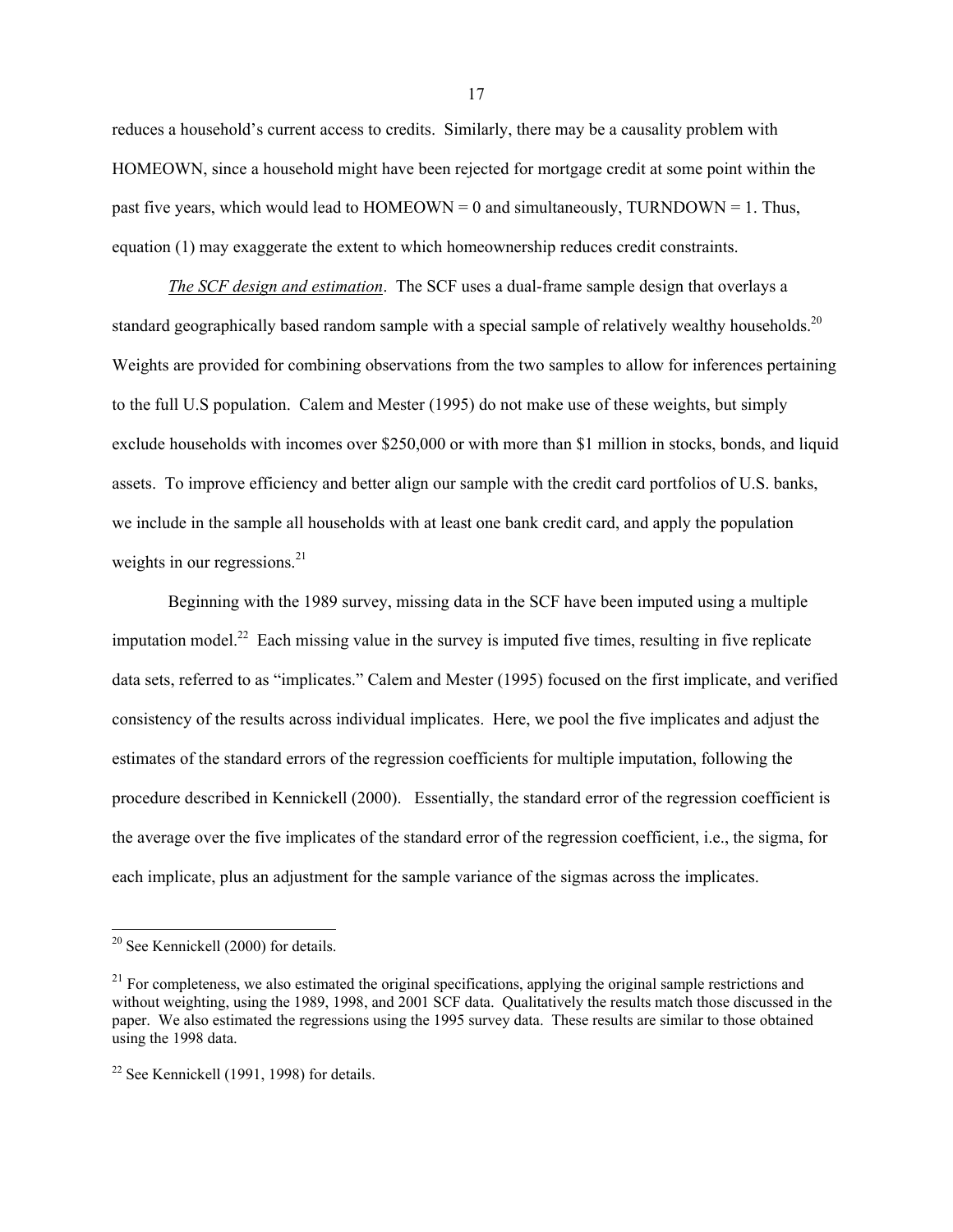reduces a household's current access to credits. Similarly, there may be a causality problem with HOMEOWN, since a household might have been rejected for mortgage credit at some point within the past five years, which would lead to  $HOMEOWN = 0$  and simultaneously,  $TURNDOWN = 1$ . Thus, equation (1) may exaggerate the extent to which homeownership reduces credit constraints.

*The SCF design and estimation*. The SCF uses a dual-frame sample design that overlays a standard geographically based random sample with a special sample of relatively wealthy households.<sup>20</sup> Weights are provided for combining observations from the two samples to allow for inferences pertaining to the full U.S population. Calem and Mester (1995) do not make use of these weights, but simply exclude households with incomes over \$250,000 or with more than \$1 million in stocks, bonds, and liquid assets. To improve efficiency and better align our sample with the credit card portfolios of U.S. banks, we include in the sample all households with at least one bank credit card, and apply the population weights in our regressions. $^{21}$ 

Beginning with the 1989 survey, missing data in the SCF have been imputed using a multiple imputation model.<sup>22</sup> Each missing value in the survey is imputed five times, resulting in five replicate data sets, referred to as "implicates." Calem and Mester (1995) focused on the first implicate, and verified consistency of the results across individual implicates. Here, we pool the five implicates and adjust the estimates of the standard errors of the regression coefficients for multiple imputation, following the procedure described in Kennickell (2000). Essentially, the standard error of the regression coefficient is the average over the five implicates of the standard error of the regression coefficient, i.e., the sigma, for each implicate, plus an adjustment for the sample variance of the sigmas across the implicates.

-

 $20$  See Kennickell (2000) for details.

 $21$  For completeness, we also estimated the original specifications, applying the original sample restrictions and without weighting, using the 1989, 1998, and 2001 SCF data. Qualitatively the results match those discussed in the paper. We also estimated the regressions using the 1995 survey data. These results are similar to those obtained using the 1998 data.

 $22$  See Kennickell (1991, 1998) for details.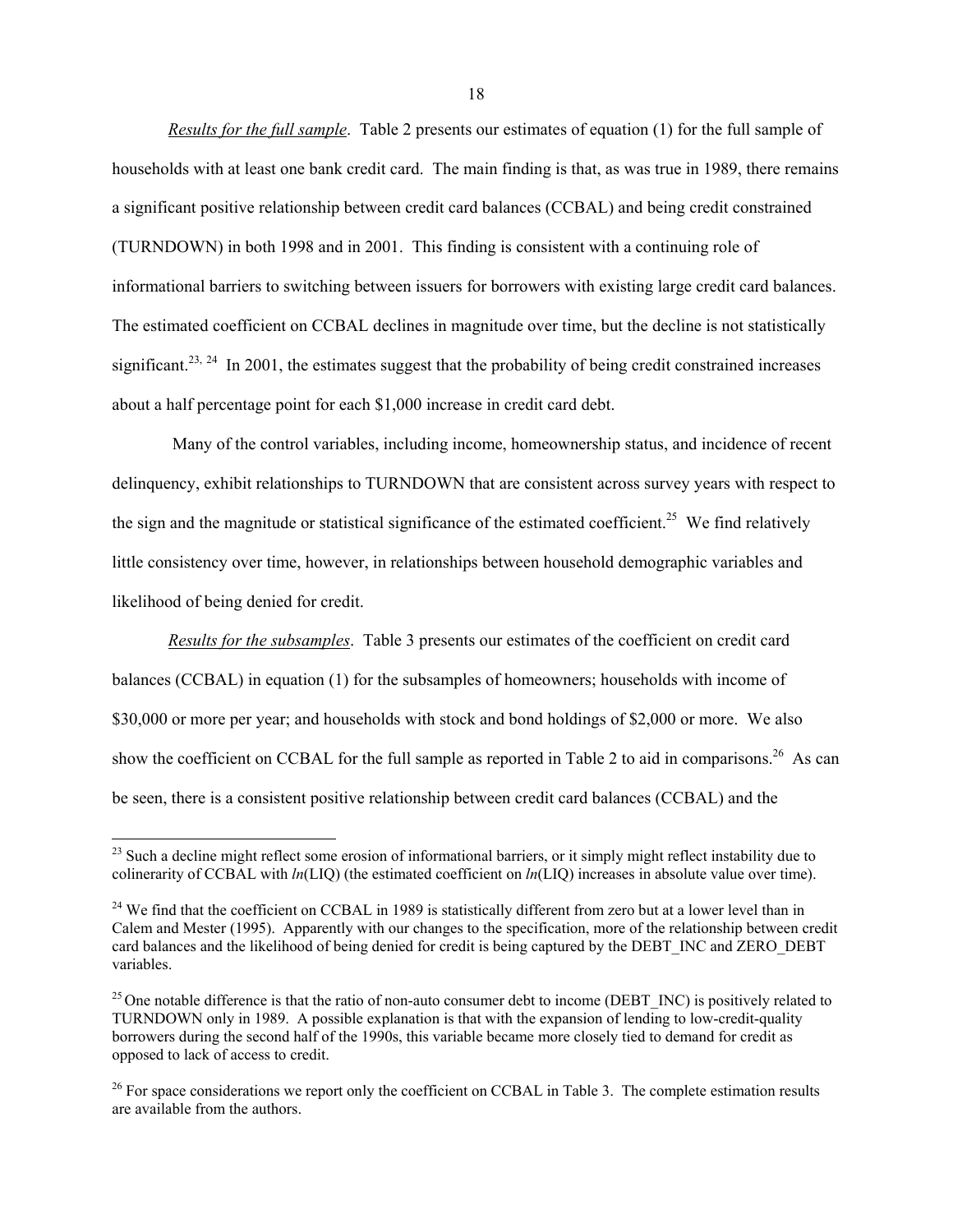*Results for the full sample*. Table 2 presents our estimates of equation (1) for the full sample of households with at least one bank credit card. The main finding is that, as was true in 1989, there remains a significant positive relationship between credit card balances (CCBAL) and being credit constrained (TURNDOWN) in both 1998 and in 2001. This finding is consistent with a continuing role of informational barriers to switching between issuers for borrowers with existing large credit card balances. The estimated coefficient on CCBAL declines in magnitude over time, but the decline is not statistically significant.<sup>23, 24</sup> In 2001, the estimates suggest that the probability of being credit constrained increases about a half percentage point for each \$1,000 increase in credit card debt.

 Many of the control variables, including income, homeownership status, and incidence of recent delinquency, exhibit relationships to TURNDOWN that are consistent across survey years with respect to the sign and the magnitude or statistical significance of the estimated coefficient.<sup>25</sup> We find relatively little consistency over time, however, in relationships between household demographic variables and likelihood of being denied for credit.

*Results for the subsamples*. Table 3 presents our estimates of the coefficient on credit card balances (CCBAL) in equation (1) for the subsamples of homeowners; households with income of \$30,000 or more per year; and households with stock and bond holdings of \$2,000 or more. We also show the coefficient on CCBAL for the full sample as reported in Table 2 to aid in comparisons.<sup>26</sup> As can be seen, there is a consistent positive relationship between credit card balances (CCBAL) and the

<sup>&</sup>lt;sup>23</sup> Such a decline might reflect some erosion of informational barriers, or it simply might reflect instability due to colinerarity of CCBAL with *ln*(LIQ) (the estimated coefficient on *ln*(LIQ) increases in absolute value over time).

<sup>&</sup>lt;sup>24</sup> We find that the coefficient on CCBAL in 1989 is statistically different from zero but at a lower level than in Calem and Mester (1995). Apparently with our changes to the specification, more of the relationship between credit card balances and the likelihood of being denied for credit is being captured by the DEBT\_INC and ZERO\_DEBT variables.

<sup>&</sup>lt;sup>25</sup> One notable difference is that the ratio of non-auto consumer debt to income (DEBT\_INC) is positively related to TURNDOWN only in 1989. A possible explanation is that with the expansion of lending to low-credit-quality borrowers during the second half of the 1990s, this variable became more closely tied to demand for credit as opposed to lack of access to credit.

 $26$  For space considerations we report only the coefficient on CCBAL in Table 3. The complete estimation results are available from the authors.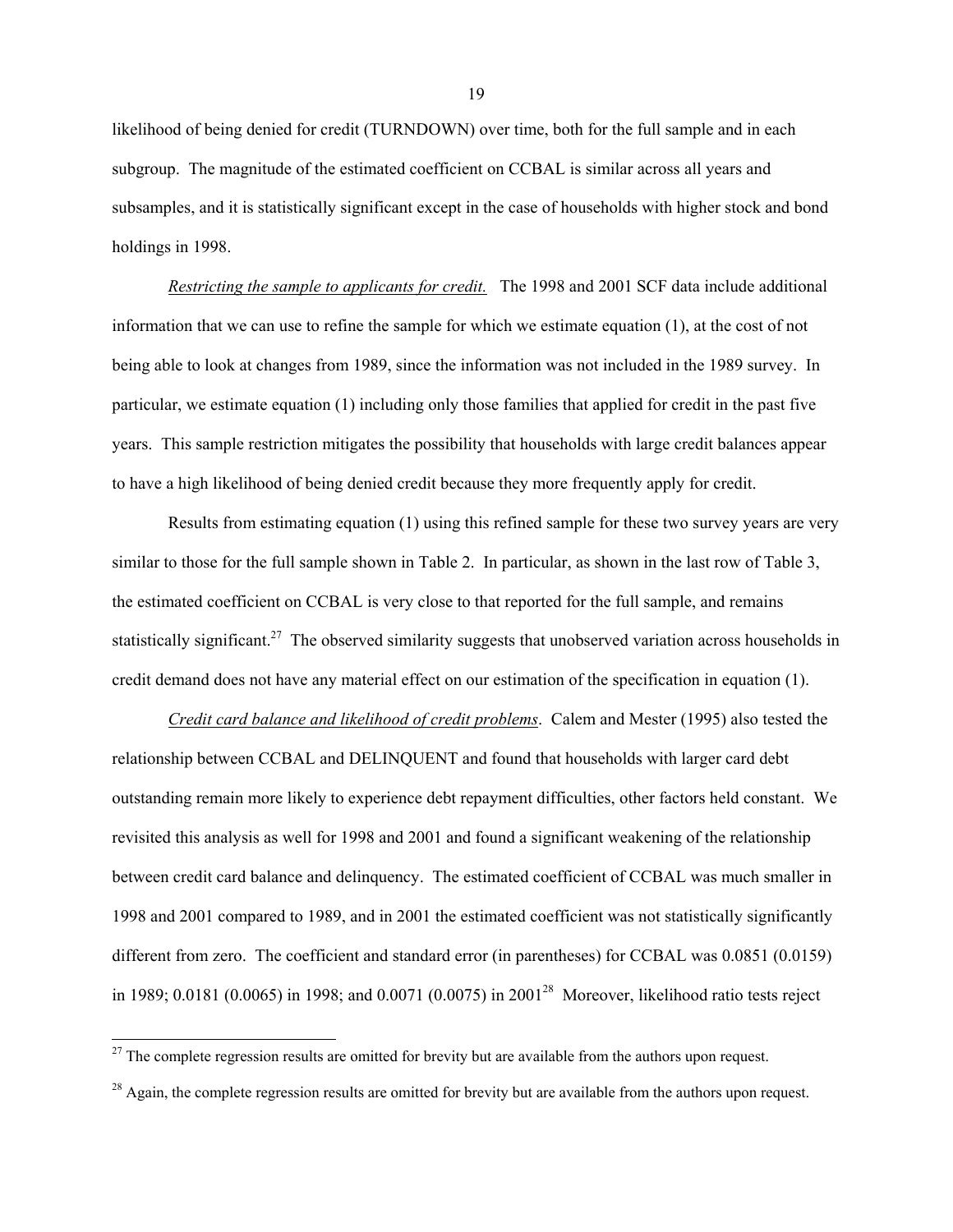likelihood of being denied for credit (TURNDOWN) over time, both for the full sample and in each subgroup. The magnitude of the estimated coefficient on CCBAL is similar across all years and subsamples, and it is statistically significant except in the case of households with higher stock and bond holdings in 1998.

*Restricting the sample to applicants for credit.* The 1998 and 2001 SCF data include additional information that we can use to refine the sample for which we estimate equation (1), at the cost of not being able to look at changes from 1989, since the information was not included in the 1989 survey. In particular, we estimate equation (1) including only those families that applied for credit in the past five years. This sample restriction mitigates the possibility that households with large credit balances appear to have a high likelihood of being denied credit because they more frequently apply for credit.

Results from estimating equation (1) using this refined sample for these two survey years are very similar to those for the full sample shown in Table 2. In particular, as shown in the last row of Table 3, the estimated coefficient on CCBAL is very close to that reported for the full sample, and remains statistically significant.<sup>27</sup> The observed similarity suggests that unobserved variation across households in credit demand does not have any material effect on our estimation of the specification in equation (1).

 *Credit card balance and likelihood of credit problems*. Calem and Mester (1995) also tested the relationship between CCBAL and DELINQUENT and found that households with larger card debt outstanding remain more likely to experience debt repayment difficulties, other factors held constant. We revisited this analysis as well for 1998 and 2001 and found a significant weakening of the relationship between credit card balance and delinquency. The estimated coefficient of CCBAL was much smaller in 1998 and 2001 compared to 1989, and in 2001 the estimated coefficient was not statistically significantly different from zero. The coefficient and standard error (in parentheses) for CCBAL was 0.0851 (0.0159) in 1989; 0.0181 (0.0065) in 1998; and 0.0071 (0.0075) in 200128 Moreover, likelihood ratio tests reject

 $27$  The complete regression results are omitted for brevity but are available from the authors upon request.

 $^{28}$  Again, the complete regression results are omitted for brevity but are available from the authors upon request.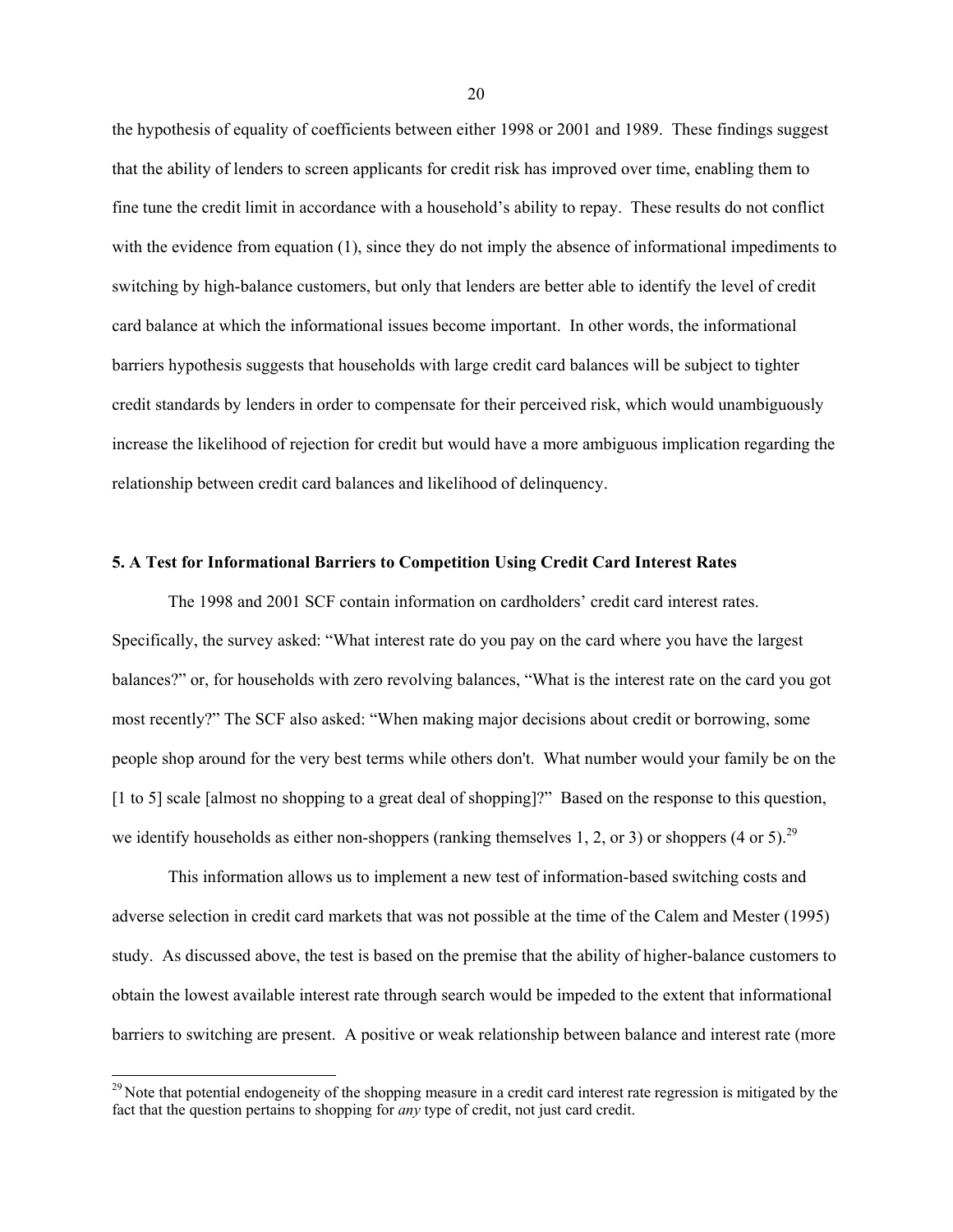the hypothesis of equality of coefficients between either 1998 or 2001 and 1989. These findings suggest that the ability of lenders to screen applicants for credit risk has improved over time, enabling them to fine tune the credit limit in accordance with a household's ability to repay. These results do not conflict with the evidence from equation (1), since they do not imply the absence of informational impediments to switching by high-balance customers, but only that lenders are better able to identify the level of credit card balance at which the informational issues become important. In other words, the informational barriers hypothesis suggests that households with large credit card balances will be subject to tighter credit standards by lenders in order to compensate for their perceived risk, which would unambiguously increase the likelihood of rejection for credit but would have a more ambiguous implication regarding the relationship between credit card balances and likelihood of delinquency.

### **5. A Test for Informational Barriers to Competition Using Credit Card Interest Rates**

The 1998 and 2001 SCF contain information on cardholders' credit card interest rates. Specifically, the survey asked: "What interest rate do you pay on the card where you have the largest balances?" or, for households with zero revolving balances, "What is the interest rate on the card you got most recently?" The SCF also asked: "When making major decisions about credit or borrowing, some people shop around for the very best terms while others don't. What number would your family be on the [1 to 5] scale [almost no shopping to a great deal of shopping]?" Based on the response to this question, we identify households as either non-shoppers (ranking themselves 1, 2, or 3) or shoppers (4 or 5).<sup>29</sup>

This information allows us to implement a new test of information-based switching costs and adverse selection in credit card markets that was not possible at the time of the Calem and Mester (1995) study. As discussed above, the test is based on the premise that the ability of higher-balance customers to obtain the lowest available interest rate through search would be impeded to the extent that informational barriers to switching are present. A positive or weak relationship between balance and interest rate (more

 $29$  Note that potential endogeneity of the shopping measure in a credit card interest rate regression is mitigated by the fact that the question pertains to shopping for *any* type of credit, not just card credit.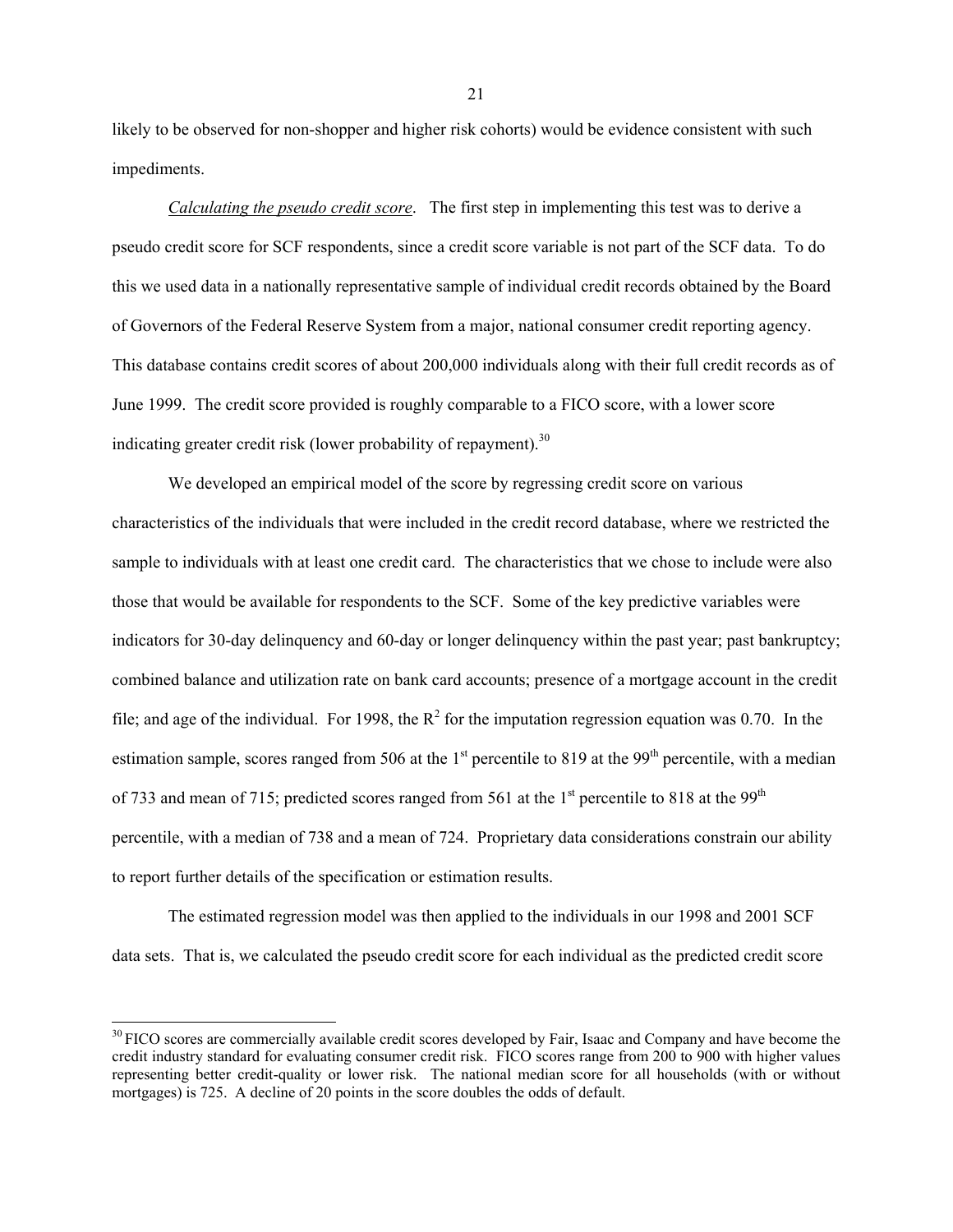likely to be observed for non-shopper and higher risk cohorts) would be evidence consistent with such impediments.

*Calculating the pseudo credit score*. The first step in implementing this test was to derive a pseudo credit score for SCF respondents, since a credit score variable is not part of the SCF data. To do this we used data in a nationally representative sample of individual credit records obtained by the Board of Governors of the Federal Reserve System from a major, national consumer credit reporting agency. This database contains credit scores of about 200,000 individuals along with their full credit records as of June 1999. The credit score provided is roughly comparable to a FICO score, with a lower score indicating greater credit risk (lower probability of repayment).<sup>30</sup>

We developed an empirical model of the score by regressing credit score on various characteristics of the individuals that were included in the credit record database, where we restricted the sample to individuals with at least one credit card. The characteristics that we chose to include were also those that would be available for respondents to the SCF. Some of the key predictive variables were indicators for 30-day delinquency and 60-day or longer delinquency within the past year; past bankruptcy; combined balance and utilization rate on bank card accounts; presence of a mortgage account in the credit file; and age of the individual. For 1998, the  $R^2$  for the imputation regression equation was 0.70. In the estimation sample, scores ranged from 506 at the  $1<sup>st</sup>$  percentile to 819 at the 99<sup>th</sup> percentile, with a median of 733 and mean of 715; predicted scores ranged from 561 at the  $1<sup>st</sup>$  percentile to 818 at the 99<sup>th</sup> percentile, with a median of 738 and a mean of 724. Proprietary data considerations constrain our ability to report further details of the specification or estimation results.

The estimated regression model was then applied to the individuals in our 1998 and 2001 SCF data sets. That is, we calculated the pseudo credit score for each individual as the predicted credit score

1

<sup>&</sup>lt;sup>30</sup> FICO scores are commercially available credit scores developed by Fair, Isaac and Company and have become the credit industry standard for evaluating consumer credit risk. FICO scores range from 200 to 900 with higher values representing better credit-quality or lower risk. The national median score for all households (with or without mortgages) is 725. A decline of 20 points in the score doubles the odds of default.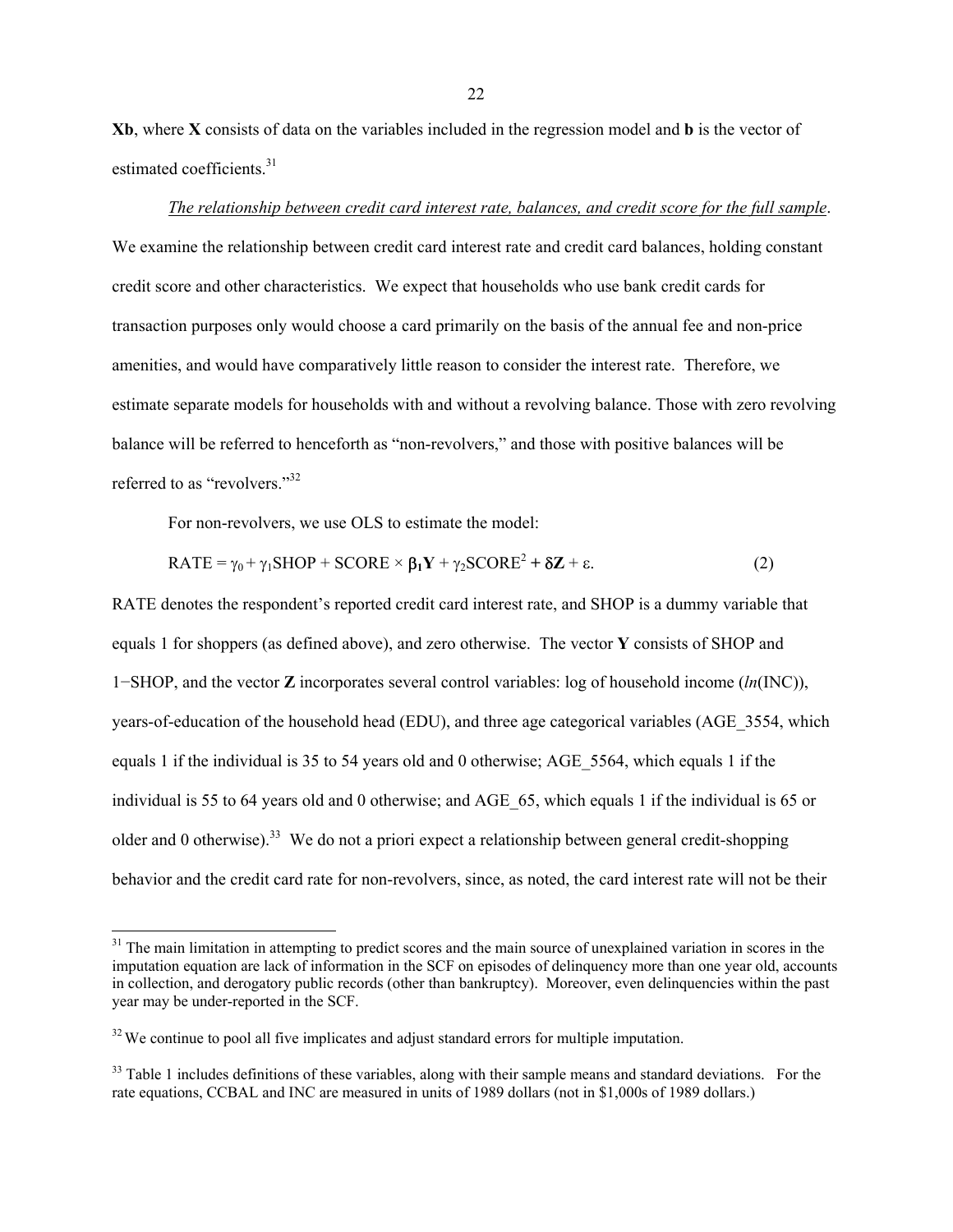**Xb**, where **X** consists of data on the variables included in the regression model and **b** is the vector of estimated coefficients.<sup>31</sup>

### *The relationship between credit card interest rate, balances, and credit score for the full sample*.

We examine the relationship between credit card interest rate and credit card balances, holding constant credit score and other characteristics. We expect that households who use bank credit cards for transaction purposes only would choose a card primarily on the basis of the annual fee and non-price amenities, and would have comparatively little reason to consider the interest rate. Therefore, we estimate separate models for households with and without a revolving balance. Those with zero revolving balance will be referred to henceforth as "non-revolvers," and those with positive balances will be referred to as "revolvers."<sup>32</sup>

For non-revolvers, we use OLS to estimate the model:

$$
RATE = \gamma_0 + \gamma_1 SHOP + SCORE \times \beta_1 Y + \gamma_2 SCORE^2 + \delta Z + \varepsilon.
$$
 (2)

RATE denotes the respondent's reported credit card interest rate, and SHOP is a dummy variable that equals 1 for shoppers (as defined above), and zero otherwise. The vector **Y** consists of SHOP and 1−SHOP, and the vector **Z** incorporates several control variables: log of household income (*ln*(INC)), years-of-education of the household head (EDU), and three age categorical variables (AGE\_3554, which equals 1 if the individual is 35 to 54 years old and 0 otherwise; AGE\_5564, which equals 1 if the individual is 55 to 64 years old and 0 otherwise; and AGE\_65, which equals 1 if the individual is 65 or older and 0 otherwise).<sup>33</sup> We do not a priori expect a relationship between general credit-shopping behavior and the credit card rate for non-revolvers, since, as noted, the card interest rate will not be their

<sup>&</sup>lt;sup>31</sup> The main limitation in attempting to predict scores and the main source of unexplained variation in scores in the imputation equation are lack of information in the SCF on episodes of delinquency more than one year old, accounts in collection, and derogatory public records (other than bankruptcy). Moreover, even delinquencies within the past year may be under-reported in the SCF.

 $32$  We continue to pool all five implicates and adjust standard errors for multiple imputation.

<sup>&</sup>lt;sup>33</sup> Table 1 includes definitions of these variables, along with their sample means and standard deviations. For the rate equations, CCBAL and INC are measured in units of 1989 dollars (not in \$1,000s of 1989 dollars.)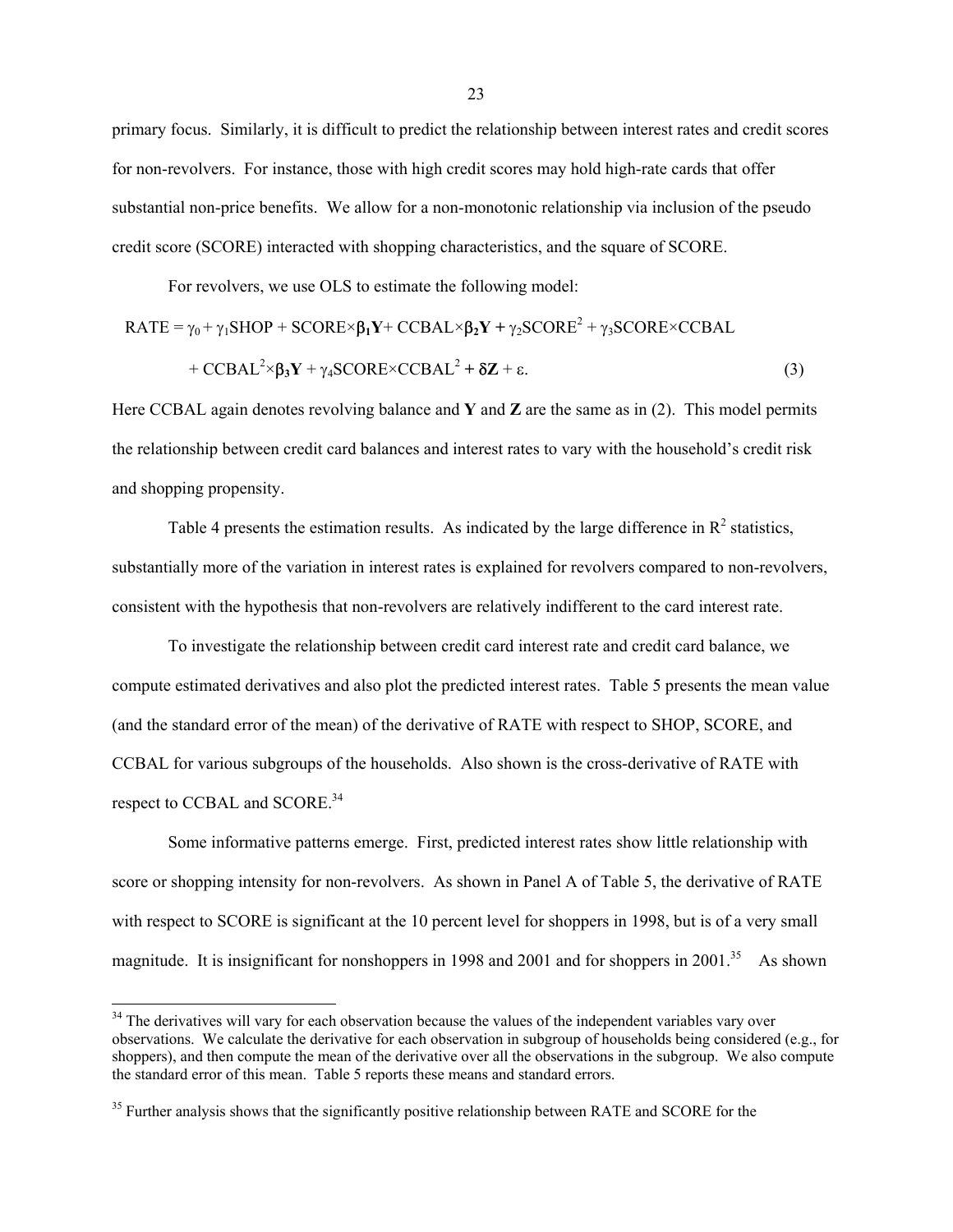primary focus. Similarly, it is difficult to predict the relationship between interest rates and credit scores for non-revolvers. For instance, those with high credit scores may hold high-rate cards that offer substantial non-price benefits. We allow for a non-monotonic relationship via inclusion of the pseudo credit score (SCORE) interacted with shopping characteristics, and the square of SCORE.

For revolvers, we use OLS to estimate the following model:

\n
$$
RATE = \gamma_0 + \gamma_1 \text{SHOP} + \text{SCORE} \times \beta_1 Y + \text{CCBAL} \times \beta_2 Y + \gamma_2 \text{SCORE}^2 + \gamma_3 \text{SCORE} \times \text{CCBAL} + \text{CCBAL}^2 \times \beta_3 Y + \gamma_4 \text{SCORE} \times \text{CCBAL}^2 + \delta Z + \varepsilon.
$$
\n

\n\n (3)\n

Here CCBAL again denotes revolving balance and **Y** and **Z** are the same as in (2). This model permits the relationship between credit card balances and interest rates to vary with the household's credit risk and shopping propensity.

Table 4 presents the estimation results. As indicated by the large difference in  $\mathbb{R}^2$  statistics, substantially more of the variation in interest rates is explained for revolvers compared to non-revolvers, consistent with the hypothesis that non-revolvers are relatively indifferent to the card interest rate.

 To investigate the relationship between credit card interest rate and credit card balance, we compute estimated derivatives and also plot the predicted interest rates. Table 5 presents the mean value (and the standard error of the mean) of the derivative of RATE with respect to SHOP, SCORE, and CCBAL for various subgroups of the households. Also shown is the cross-derivative of RATE with respect to CCBAL and SCORE.<sup>34</sup>

 Some informative patterns emerge. First, predicted interest rates show little relationship with score or shopping intensity for non-revolvers. As shown in Panel A of Table 5, the derivative of RATE with respect to SCORE is significant at the 10 percent level for shoppers in 1998, but is of a very small magnitude. It is insignificant for nonshoppers in 1998 and 2001 and for shoppers in 2001.<sup>35</sup> As shown

<sup>&</sup>lt;sup>34</sup> The derivatives will vary for each observation because the values of the independent variables vary over observations. We calculate the derivative for each observation in subgroup of households being considered (e.g., for shoppers), and then compute the mean of the derivative over all the observations in the subgroup. We also compute the standard error of this mean. Table 5 reports these means and standard errors.

<sup>&</sup>lt;sup>35</sup> Further analysis shows that the significantly positive relationship between RATE and SCORE for the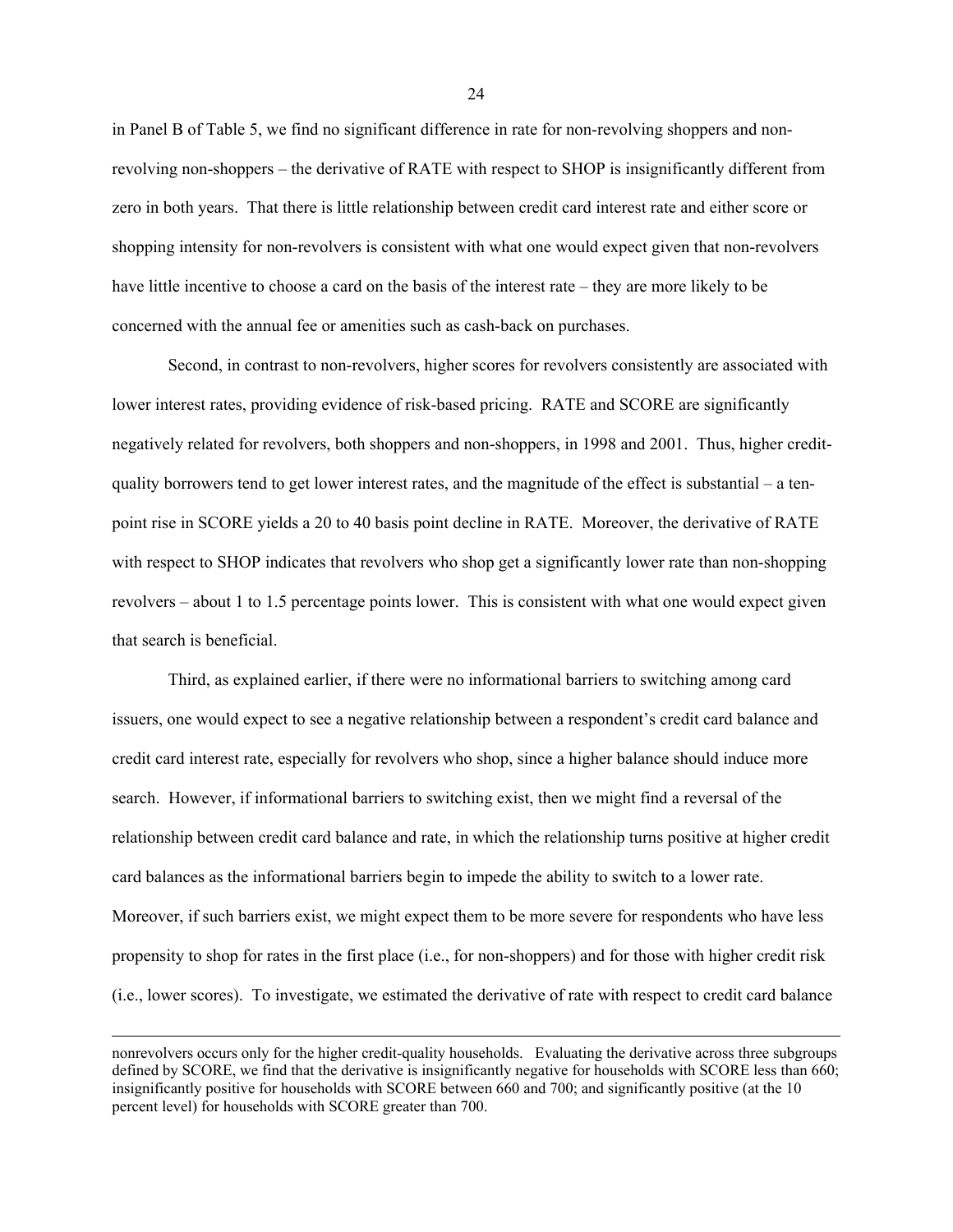in Panel B of Table 5, we find no significant difference in rate for non-revolving shoppers and nonrevolving non-shoppers – the derivative of RATE with respect to SHOP is insignificantly different from zero in both years. That there is little relationship between credit card interest rate and either score or shopping intensity for non-revolvers is consistent with what one would expect given that non-revolvers have little incentive to choose a card on the basis of the interest rate – they are more likely to be concerned with the annual fee or amenities such as cash-back on purchases.

 Second, in contrast to non-revolvers, higher scores for revolvers consistently are associated with lower interest rates, providing evidence of risk-based pricing. RATE and SCORE are significantly negatively related for revolvers, both shoppers and non-shoppers, in 1998 and 2001. Thus, higher creditquality borrowers tend to get lower interest rates, and the magnitude of the effect is substantial – a tenpoint rise in SCORE yields a 20 to 40 basis point decline in RATE. Moreover, the derivative of RATE with respect to SHOP indicates that revolvers who shop get a significantly lower rate than non-shopping revolvers – about 1 to 1.5 percentage points lower. This is consistent with what one would expect given that search is beneficial.

 Third, as explained earlier, if there were no informational barriers to switching among card issuers, one would expect to see a negative relationship between a respondent's credit card balance and credit card interest rate, especially for revolvers who shop, since a higher balance should induce more search. However, if informational barriers to switching exist, then we might find a reversal of the relationship between credit card balance and rate, in which the relationship turns positive at higher credit card balances as the informational barriers begin to impede the ability to switch to a lower rate. Moreover, if such barriers exist, we might expect them to be more severe for respondents who have less propensity to shop for rates in the first place (i.e., for non-shoppers) and for those with higher credit risk (i.e., lower scores). To investigate, we estimated the derivative of rate with respect to credit card balance

l

nonrevolvers occurs only for the higher credit-quality households. Evaluating the derivative across three subgroups defined by SCORE, we find that the derivative is insignificantly negative for households with SCORE less than 660; insignificantly positive for households with SCORE between 660 and 700; and significantly positive (at the 10 percent level) for households with SCORE greater than 700.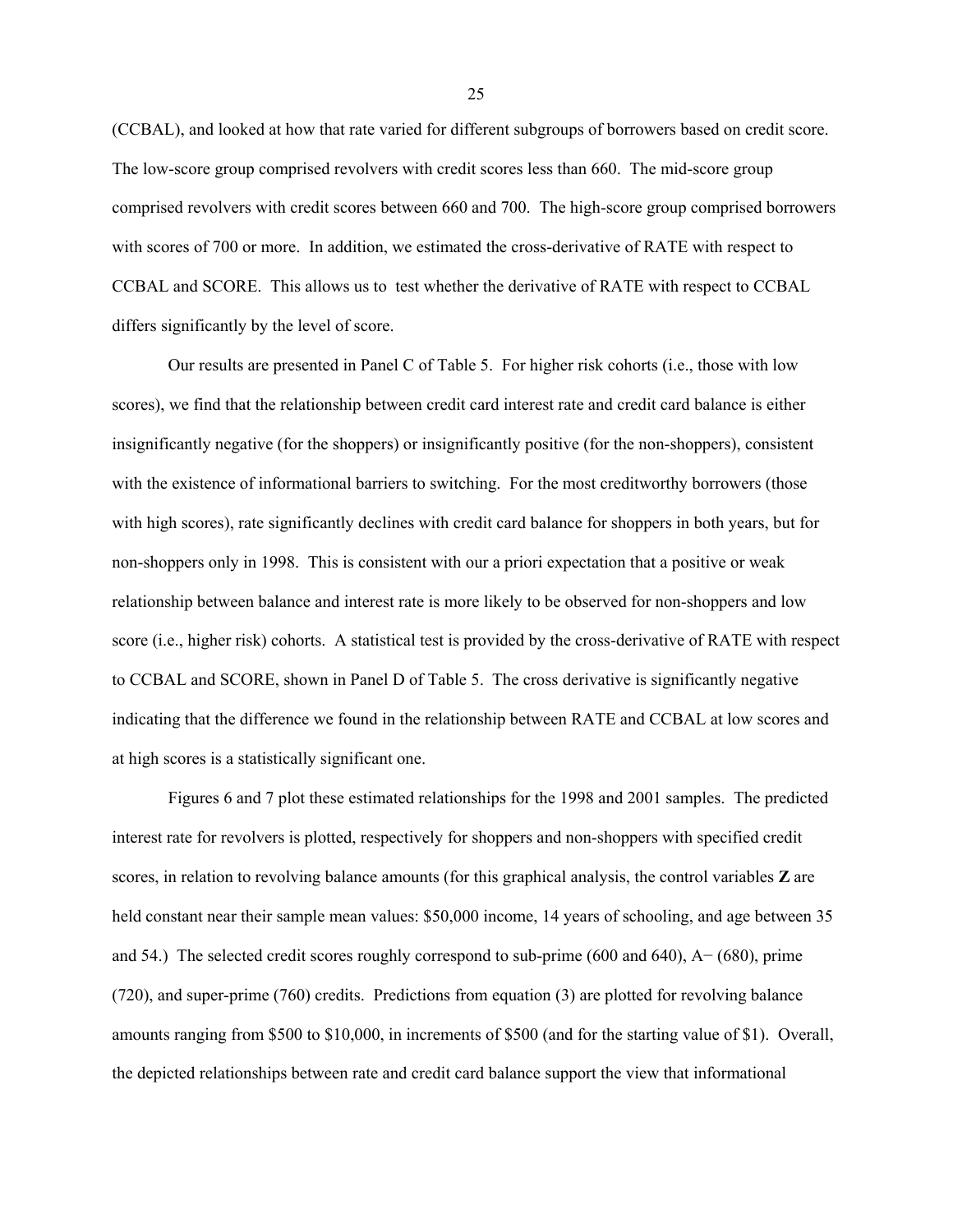(CCBAL), and looked at how that rate varied for different subgroups of borrowers based on credit score. The low-score group comprised revolvers with credit scores less than 660. The mid-score group comprised revolvers with credit scores between 660 and 700. The high-score group comprised borrowers with scores of 700 or more. In addition, we estimated the cross-derivative of RATE with respect to CCBAL and SCORE. This allows us to test whether the derivative of RATE with respect to CCBAL differs significantly by the level of score.

 Our results are presented in Panel C of Table 5. For higher risk cohorts (i.e., those with low scores), we find that the relationship between credit card interest rate and credit card balance is either insignificantly negative (for the shoppers) or insignificantly positive (for the non-shoppers), consistent with the existence of informational barriers to switching. For the most creditworthy borrowers (those with high scores), rate significantly declines with credit card balance for shoppers in both years, but for non-shoppers only in 1998. This is consistent with our a priori expectation that a positive or weak relationship between balance and interest rate is more likely to be observed for non-shoppers and low score (i.e., higher risk) cohorts. A statistical test is provided by the cross-derivative of RATE with respect to CCBAL and SCORE, shown in Panel D of Table 5. The cross derivative is significantly negative indicating that the difference we found in the relationship between RATE and CCBAL at low scores and at high scores is a statistically significant one.

 Figures 6 and 7 plot these estimated relationships for the 1998 and 2001 samples. The predicted interest rate for revolvers is plotted, respectively for shoppers and non-shoppers with specified credit scores, in relation to revolving balance amounts (for this graphical analysis, the control variables **Z** are held constant near their sample mean values: \$50,000 income, 14 years of schooling, and age between 35 and 54.) The selected credit scores roughly correspond to sub-prime (600 and 640), A− (680), prime (720), and super-prime (760) credits. Predictions from equation (3) are plotted for revolving balance amounts ranging from \$500 to \$10,000, in increments of \$500 (and for the starting value of \$1). Overall, the depicted relationships between rate and credit card balance support the view that informational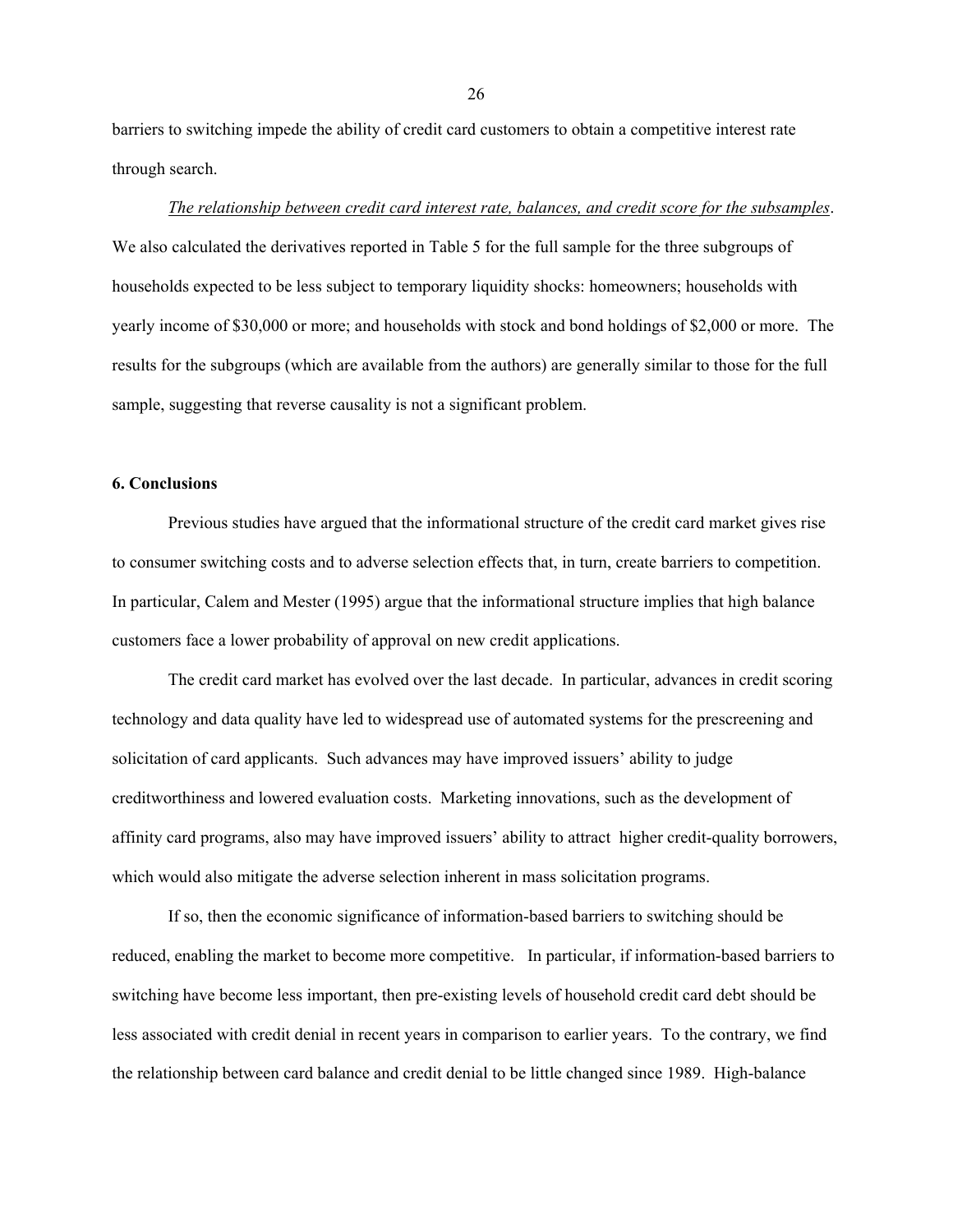barriers to switching impede the ability of credit card customers to obtain a competitive interest rate through search.

### *The relationship between credit card interest rate, balances, and credit score for the subsamples*.

We also calculated the derivatives reported in Table 5 for the full sample for the three subgroups of households expected to be less subject to temporary liquidity shocks: homeowners; households with yearly income of \$30,000 or more; and households with stock and bond holdings of \$2,000 or more. The results for the subgroups (which are available from the authors) are generally similar to those for the full sample, suggesting that reverse causality is not a significant problem.

### **6. Conclusions**

Previous studies have argued that the informational structure of the credit card market gives rise to consumer switching costs and to adverse selection effects that, in turn, create barriers to competition. In particular, Calem and Mester (1995) argue that the informational structure implies that high balance customers face a lower probability of approval on new credit applications.

The credit card market has evolved over the last decade. In particular, advances in credit scoring technology and data quality have led to widespread use of automated systems for the prescreening and solicitation of card applicants. Such advances may have improved issuers' ability to judge creditworthiness and lowered evaluation costs. Marketing innovations, such as the development of affinity card programs, also may have improved issuers' ability to attract higher credit-quality borrowers, which would also mitigate the adverse selection inherent in mass solicitation programs.

If so, then the economic significance of information-based barriers to switching should be reduced, enabling the market to become more competitive. In particular, if information-based barriers to switching have become less important, then pre-existing levels of household credit card debt should be less associated with credit denial in recent years in comparison to earlier years. To the contrary, we find the relationship between card balance and credit denial to be little changed since 1989. High-balance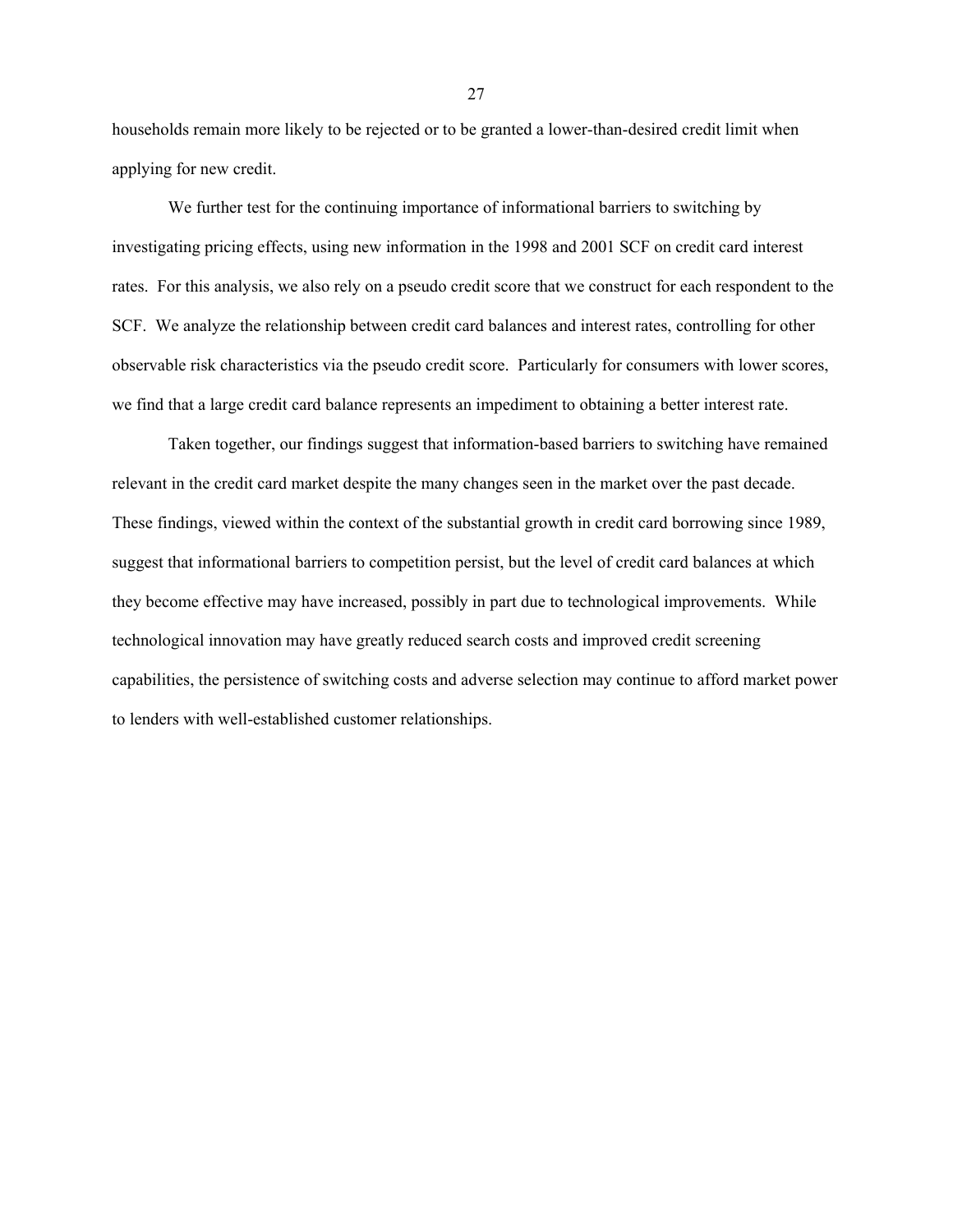households remain more likely to be rejected or to be granted a lower-than-desired credit limit when applying for new credit.

We further test for the continuing importance of informational barriers to switching by investigating pricing effects, using new information in the 1998 and 2001 SCF on credit card interest rates. For this analysis, we also rely on a pseudo credit score that we construct for each respondent to the SCF. We analyze the relationship between credit card balances and interest rates, controlling for other observable risk characteristics via the pseudo credit score. Particularly for consumers with lower scores, we find that a large credit card balance represents an impediment to obtaining a better interest rate.

Taken together, our findings suggest that information-based barriers to switching have remained relevant in the credit card market despite the many changes seen in the market over the past decade. These findings, viewed within the context of the substantial growth in credit card borrowing since 1989, suggest that informational barriers to competition persist, but the level of credit card balances at which they become effective may have increased, possibly in part due to technological improvements. While technological innovation may have greatly reduced search costs and improved credit screening capabilities, the persistence of switching costs and adverse selection may continue to afford market power to lenders with well-established customer relationships.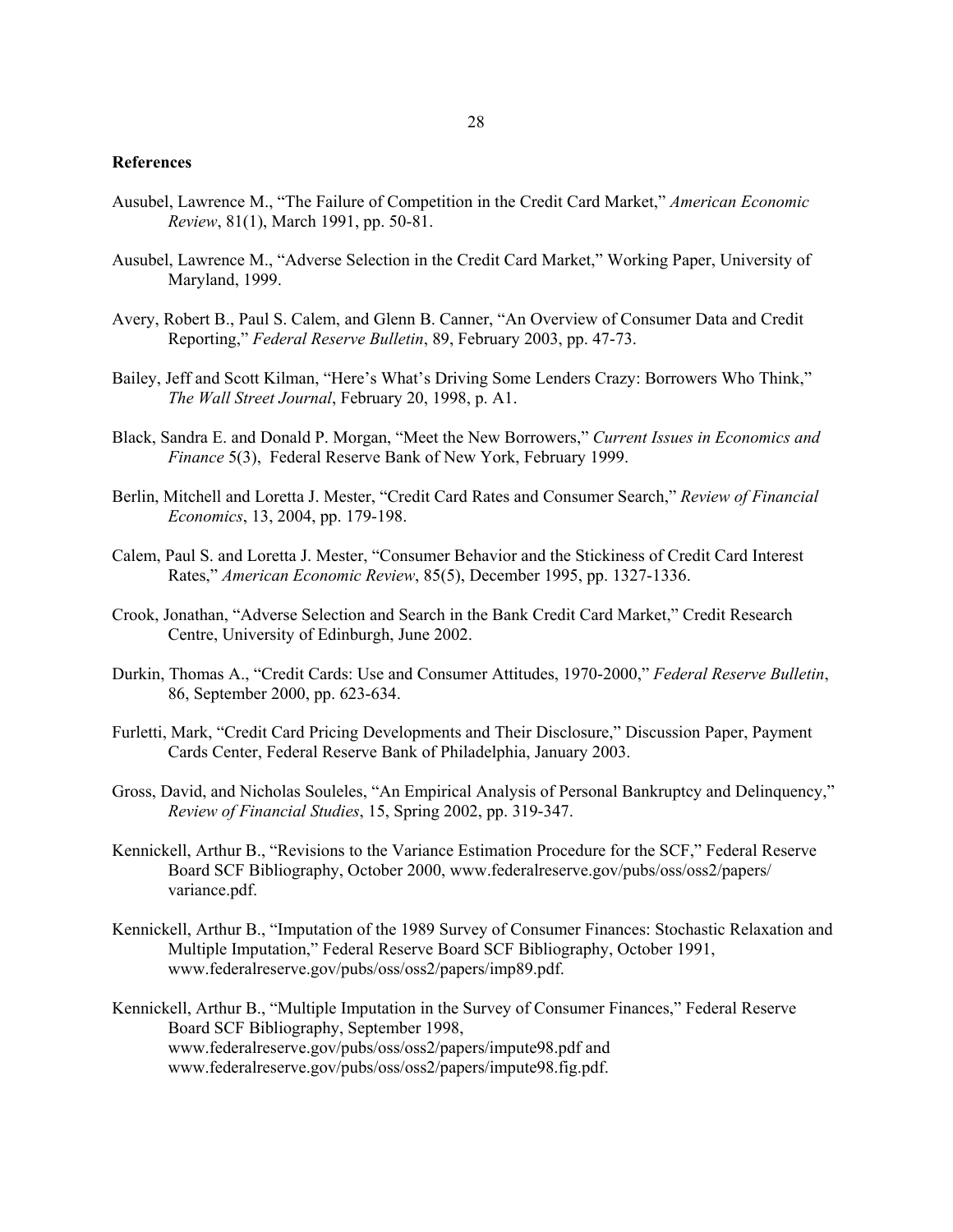### **References**

- Ausubel, Lawrence M., "The Failure of Competition in the Credit Card Market," *American Economic Review*, 81(1), March 1991, pp. 50-81.
- Ausubel, Lawrence M., "Adverse Selection in the Credit Card Market," Working Paper, University of Maryland, 1999.
- Avery, Robert B., Paul S. Calem, and Glenn B. Canner, "An Overview of Consumer Data and Credit Reporting," *Federal Reserve Bulletin*, 89, February 2003, pp. 47-73.
- Bailey, Jeff and Scott Kilman, "Here's What's Driving Some Lenders Crazy: Borrowers Who Think," *The Wall Street Journal*, February 20, 1998, p. A1.
- Black, Sandra E. and Donald P. Morgan, "Meet the New Borrowers," *Current Issues in Economics and Finance* 5(3), Federal Reserve Bank of New York, February 1999.
- Berlin, Mitchell and Loretta J. Mester, "Credit Card Rates and Consumer Search," *Review of Financial Economics*, 13, 2004, pp. 179-198.
- Calem, Paul S. and Loretta J. Mester, "Consumer Behavior and the Stickiness of Credit Card Interest Rates," *American Economic Review*, 85(5), December 1995, pp. 1327-1336.
- Crook, Jonathan, "Adverse Selection and Search in the Bank Credit Card Market," Credit Research Centre, University of Edinburgh, June 2002.
- Durkin, Thomas A., "Credit Cards: Use and Consumer Attitudes, 1970-2000," *Federal Reserve Bulletin*, 86, September 2000, pp. 623-634.
- Furletti, Mark, "Credit Card Pricing Developments and Their Disclosure," Discussion Paper, Payment Cards Center, Federal Reserve Bank of Philadelphia, January 2003.
- Gross, David, and Nicholas Souleles, "An Empirical Analysis of Personal Bankruptcy and Delinquency," *Review of Financial Studies*, 15, Spring 2002, pp. 319-347.
- Kennickell, Arthur B., "Revisions to the Variance Estimation Procedure for the SCF," Federal Reserve Board SCF Bibliography, October 2000, www.federalreserve.gov/pubs/oss/oss2/papers/ variance.pdf.
- Kennickell, Arthur B., "Imputation of the 1989 Survey of Consumer Finances: Stochastic Relaxation and Multiple Imputation," Federal Reserve Board SCF Bibliography, October 1991, www.federalreserve.gov/pubs/oss/oss2/papers/imp89.pdf.
- Kennickell, Arthur B., "Multiple Imputation in the Survey of Consumer Finances," Federal Reserve Board SCF Bibliography, September 1998, www.federalreserve.gov/pubs/oss/oss2/papers/impute98.pdf and www.federalreserve.gov/pubs/oss/oss2/papers/impute98.fig.pdf.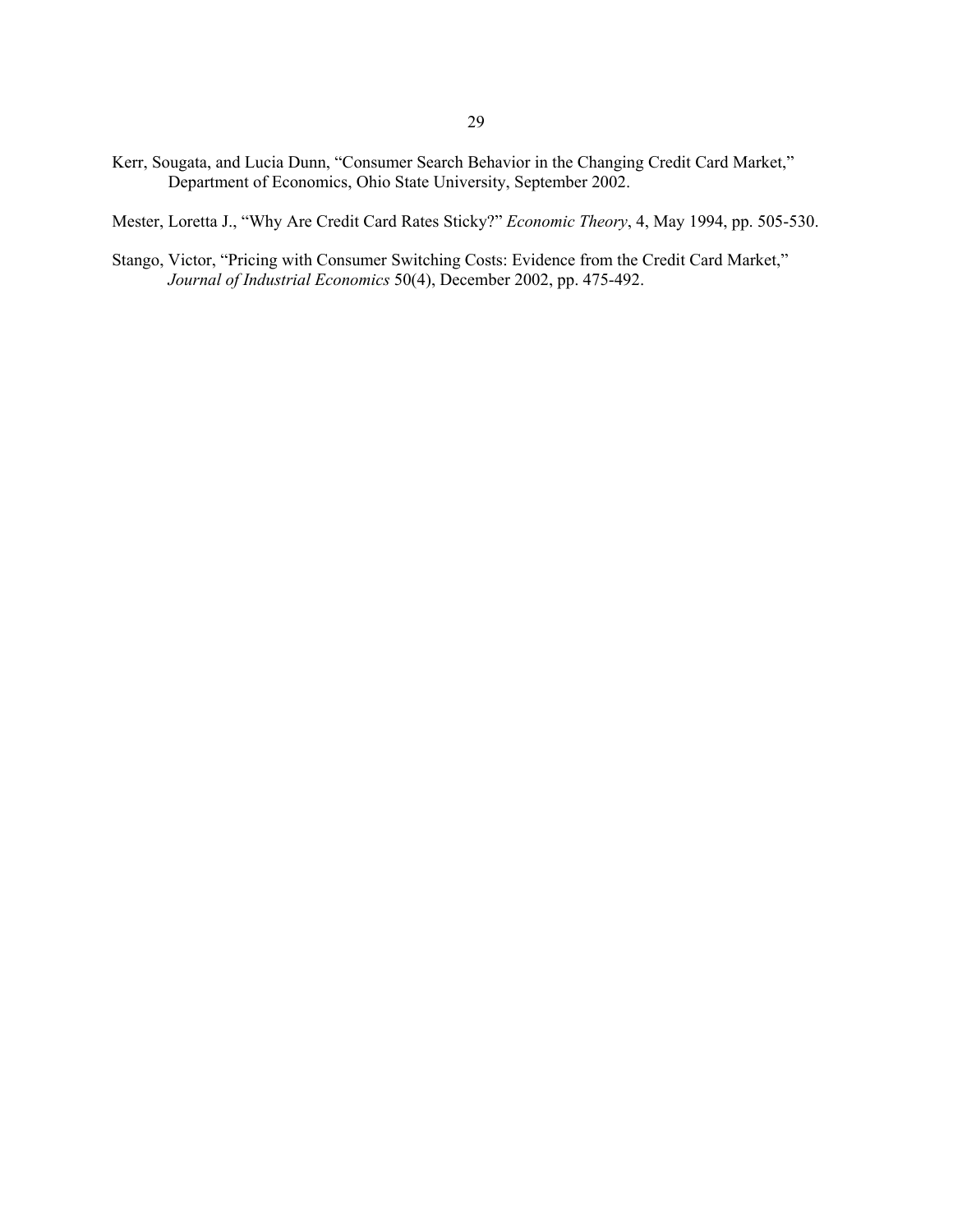Kerr, Sougata, and Lucia Dunn, "Consumer Search Behavior in the Changing Credit Card Market," Department of Economics, Ohio State University, September 2002.

Mester, Loretta J., "Why Are Credit Card Rates Sticky?" *Economic Theory*, 4, May 1994, pp. 505-530.

Stango, Victor, "Pricing with Consumer Switching Costs: Evidence from the Credit Card Market," *Journal of Industrial Economics* 50(4), December 2002, pp. 475-492.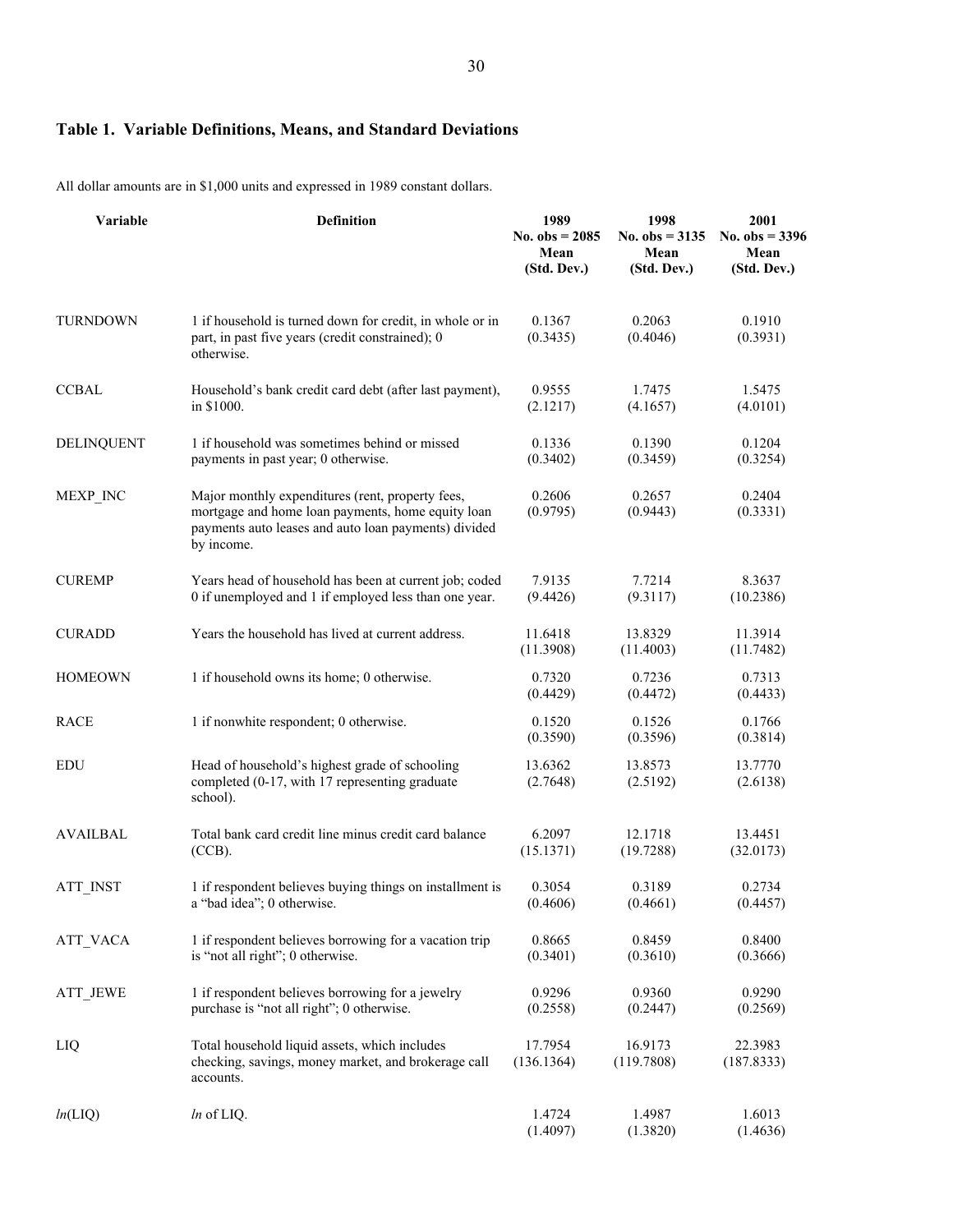## **Table 1. Variable Definitions, Means, and Standard Deviations**

All dollar amounts are in \$1,000 units and expressed in 1989 constant dollars.

| Variable          | <b>Definition</b>                                                                                                                                                           | 1989<br>No. $obs = 2085$<br>Mean<br>(Std. Dev.) | 1998<br>No. $obs = 3135$<br>Mean<br>(Std. Dev.) | 2001<br>No. $obs = 3396$<br>Mean<br>(Std. Dev.) |
|-------------------|-----------------------------------------------------------------------------------------------------------------------------------------------------------------------------|-------------------------------------------------|-------------------------------------------------|-------------------------------------------------|
| <b>TURNDOWN</b>   | 1 if household is turned down for credit, in whole or in<br>part, in past five years (credit constrained); 0<br>otherwise.                                                  | 0.1367<br>(0.3435)                              | 0.2063<br>(0.4046)                              | 0.1910<br>(0.3931)                              |
| <b>CCBAL</b>      | Household's bank credit card debt (after last payment),<br>in \$1000.                                                                                                       | 0.9555<br>(2.1217)                              | 1.7475<br>(4.1657)                              | 1.5475<br>(4.0101)                              |
| <b>DELINQUENT</b> | 1 if household was sometimes behind or missed<br>payments in past year; 0 otherwise.                                                                                        | 0.1336<br>(0.3402)                              | 0.1390<br>(0.3459)                              | 0.1204<br>(0.3254)                              |
| MEXP INC          | Major monthly expenditures (rent, property fees,<br>mortgage and home loan payments, home equity loan<br>payments auto leases and auto loan payments) divided<br>by income. | 0.2606<br>(0.9795)                              | 0.2657<br>(0.9443)                              | 0.2404<br>(0.3331)                              |
| <b>CUREMP</b>     | Years head of household has been at current job; coded<br>0 if unemployed and 1 if employed less than one year.                                                             | 7.9135<br>(9.4426)                              | 7.7214<br>(9.3117)                              | 8.3637<br>(10.2386)                             |
| <b>CURADD</b>     | Years the household has lived at current address.                                                                                                                           | 11.6418<br>(11.3908)                            | 13.8329<br>(11.4003)                            | 11.3914<br>(11.7482)                            |
| <b>HOMEOWN</b>    | 1 if household owns its home; 0 otherwise.                                                                                                                                  | 0.7320<br>(0.4429)                              | 0.7236<br>(0.4472)                              | 0.7313<br>(0.4433)                              |
| RACE              | 1 if nonwhite respondent; 0 otherwise.                                                                                                                                      | 0.1520<br>(0.3590)                              | 0.1526<br>(0.3596)                              | 0.1766<br>(0.3814)                              |
| EDU               | Head of household's highest grade of schooling<br>completed (0-17, with 17 representing graduate<br>school).                                                                | 13.6362<br>(2.7648)                             | 13.8573<br>(2.5192)                             | 13.7770<br>(2.6138)                             |
| <b>AVAILBAL</b>   | Total bank card credit line minus credit card balance<br>$(CCB)$ .                                                                                                          | 6.2097<br>(15.1371)                             | 12.1718<br>(19.7288)                            | 13.4451<br>(32.0173)                            |
| ATT INST          | 1 if respondent believes buying things on installment is<br>a "bad idea"; 0 otherwise.                                                                                      | 0.3054<br>(0.4606)                              | 0.3189<br>(0.4661)                              | 0.2734<br>(0.4457)                              |
| <b>ATT_VACA</b>   | 1 if respondent believes borrowing for a vacation trip<br>is "not all right"; 0 otherwise.                                                                                  | 0.8665<br>(0.3401)                              | 0.8459<br>(0.3610)                              | 0.8400<br>(0.3666)                              |
| <b>ATT JEWE</b>   | 1 if respondent believes borrowing for a jewelry<br>purchase is "not all right"; 0 otherwise.                                                                               | 0.9296<br>(0.2558)                              | 0.9360<br>(0.2447)                              | 0.9290<br>(0.2569)                              |
| LIQ               | Total household liquid assets, which includes<br>checking, savings, money market, and brokerage call<br>accounts.                                                           | 17.7954<br>(136.1364)                           | 16.9173<br>(119.7808)                           | 22.3983<br>(187.8333)                           |
| ln(LIQ)           | In of LIQ.                                                                                                                                                                  | 1.4724<br>(1.4097)                              | 1.4987<br>(1.3820)                              | 1.6013<br>(1.4636)                              |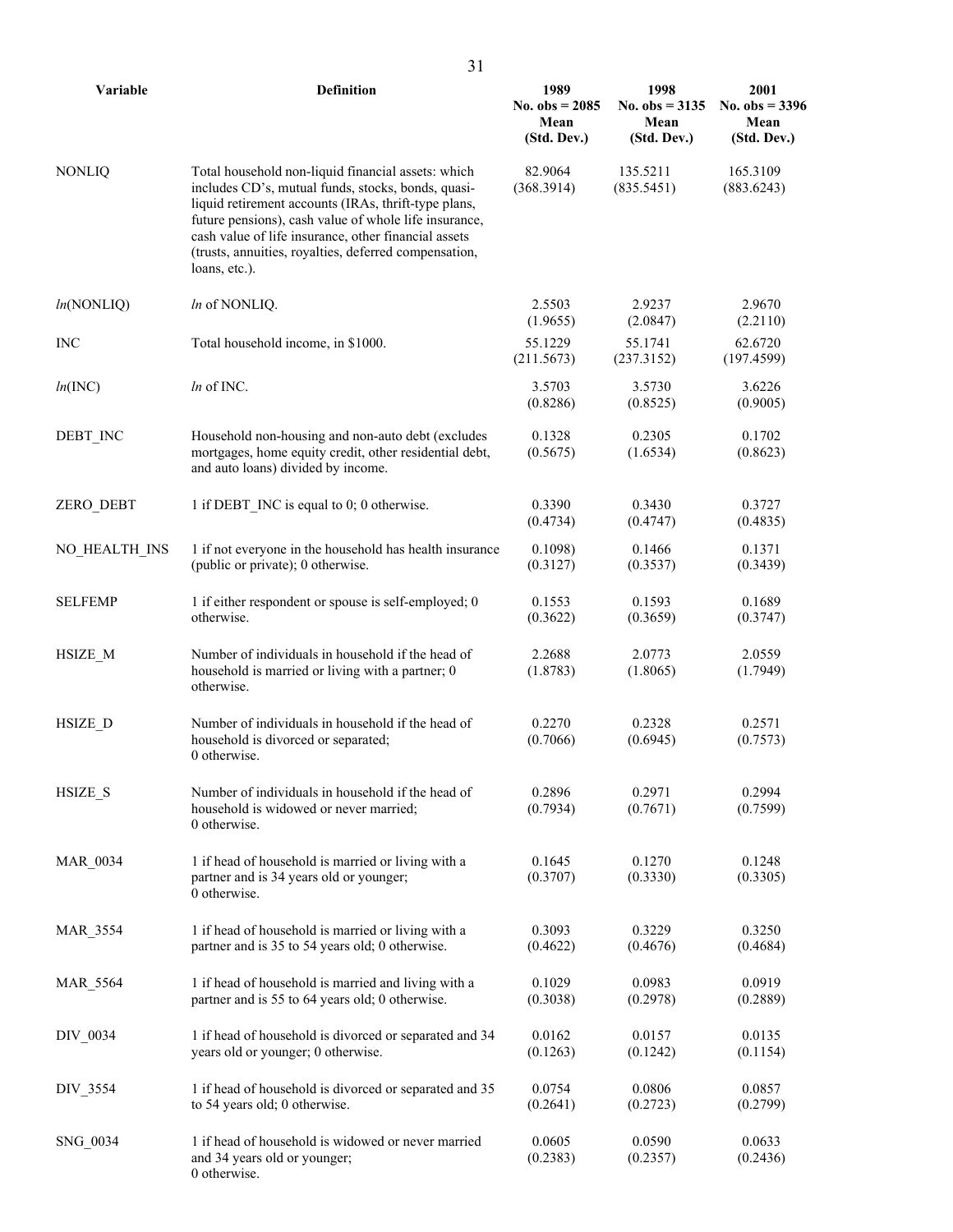| Variable         | <b>Definition</b>                                                                                                                                                                                                                                                                                                                                           | 1989<br>No. $obs = 2085$<br>Mean<br>(Std. Dev.) | 1998<br>No. $obs = 3135$<br>Mean<br>(Std. Dev.) | 2001<br>No. $obs = 3396$<br>Mean<br>(Std. Dev.) |
|------------------|-------------------------------------------------------------------------------------------------------------------------------------------------------------------------------------------------------------------------------------------------------------------------------------------------------------------------------------------------------------|-------------------------------------------------|-------------------------------------------------|-------------------------------------------------|
| <b>NONLIQ</b>    | Total household non-liquid financial assets: which<br>includes CD's, mutual funds, stocks, bonds, quasi-<br>liquid retirement accounts (IRAs, thrift-type plans,<br>future pensions), cash value of whole life insurance,<br>cash value of life insurance, other financial assets<br>(trusts, annuities, royalties, deferred compensation,<br>loans, etc.). | 82.9064<br>(368.3914)                           | 135.5211<br>(835.5451)                          | 165.3109<br>(883.6243)                          |
| ln(NONLIQ)       | In of NONLIQ.                                                                                                                                                                                                                                                                                                                                               | 2.5503<br>(1.9655)                              | 2.9237<br>(2.0847)                              | 2.9670<br>(2.2110)                              |
| <b>INC</b>       | Total household income, in \$1000.                                                                                                                                                                                                                                                                                                                          | 55.1229<br>(211.5673)                           | 55.1741<br>(237.3152)                           | 62.6720<br>(197.4599)                           |
| ln(INC)          | In of INC.                                                                                                                                                                                                                                                                                                                                                  | 3.5703<br>(0.8286)                              | 3.5730<br>(0.8525)                              | 3.6226<br>(0.9005)                              |
| DEBT INC         | Household non-housing and non-auto debt (excludes<br>mortgages, home equity credit, other residential debt,<br>and auto loans) divided by income.                                                                                                                                                                                                           | 0.1328<br>(0.5675)                              | 0.2305<br>(1.6534)                              | 0.1702<br>(0.8623)                              |
| <b>ZERO DEBT</b> | 1 if DEBT INC is equal to 0; 0 otherwise.                                                                                                                                                                                                                                                                                                                   | 0.3390<br>(0.4734)                              | 0.3430<br>(0.4747)                              | 0.3727<br>(0.4835)                              |
| NO HEALTH INS    | 1 if not everyone in the household has health insurance<br>(public or private); 0 otherwise.                                                                                                                                                                                                                                                                | 0.1098<br>(0.3127)                              | 0.1466<br>(0.3537)                              | 0.1371<br>(0.3439)                              |
| <b>SELFEMP</b>   | 1 if either respondent or spouse is self-employed; 0<br>otherwise.                                                                                                                                                                                                                                                                                          | 0.1553<br>(0.3622)                              | 0.1593<br>(0.3659)                              | 0.1689<br>(0.3747)                              |
| HSIZE M          | Number of individuals in household if the head of<br>household is married or living with a partner; 0<br>otherwise.                                                                                                                                                                                                                                         | 2.2688<br>(1.8783)                              | 2.0773<br>(1.8065)                              | 2.0559<br>(1.7949)                              |
| HSIZE D          | Number of individuals in household if the head of<br>household is divorced or separated;<br>0 otherwise.                                                                                                                                                                                                                                                    | 0.2270<br>(0.7066)                              | 0.2328<br>(0.6945)                              | 0.2571<br>(0.7573)                              |
| HSIZE_S          | Number of individuals in household if the head of<br>household is widowed or never married;<br>0 otherwise.                                                                                                                                                                                                                                                 | 0.2896<br>(0.7934)                              | 0.2971<br>(0.7671)                              | 0.2994<br>(0.7599)                              |
| <b>MAR 0034</b>  | 1 if head of household is married or living with a<br>partner and is 34 years old or younger;<br>0 otherwise.                                                                                                                                                                                                                                               | 0.1645<br>(0.3707)                              | 0.1270<br>(0.3330)                              | 0.1248<br>(0.3305)                              |
| <b>MAR 3554</b>  | 1 if head of household is married or living with a<br>partner and is 35 to 54 years old; 0 otherwise.                                                                                                                                                                                                                                                       | 0.3093<br>(0.4622)                              | 0.3229<br>(0.4676)                              | 0.3250<br>(0.4684)                              |
| <b>MAR 5564</b>  | 1 if head of household is married and living with a<br>partner and is 55 to 64 years old; 0 otherwise.                                                                                                                                                                                                                                                      | 0.1029<br>(0.3038)                              | 0.0983<br>(0.2978)                              | 0.0919<br>(0.2889)                              |
| DIV_0034         | 1 if head of household is divorced or separated and 34<br>years old or younger; 0 otherwise.                                                                                                                                                                                                                                                                | 0.0162<br>(0.1263)                              | 0.0157<br>(0.1242)                              | 0.0135<br>(0.1154)                              |
| DIV_3554         | 1 if head of household is divorced or separated and 35<br>to 54 years old; 0 otherwise.                                                                                                                                                                                                                                                                     | 0.0754<br>(0.2641)                              | 0.0806<br>(0.2723)                              | 0.0857<br>(0.2799)                              |
| SNG_0034         | 1 if head of household is widowed or never married<br>and 34 years old or younger;<br>0 otherwise.                                                                                                                                                                                                                                                          | 0.0605<br>(0.2383)                              | 0.0590<br>(0.2357)                              | 0.0633<br>(0.2436)                              |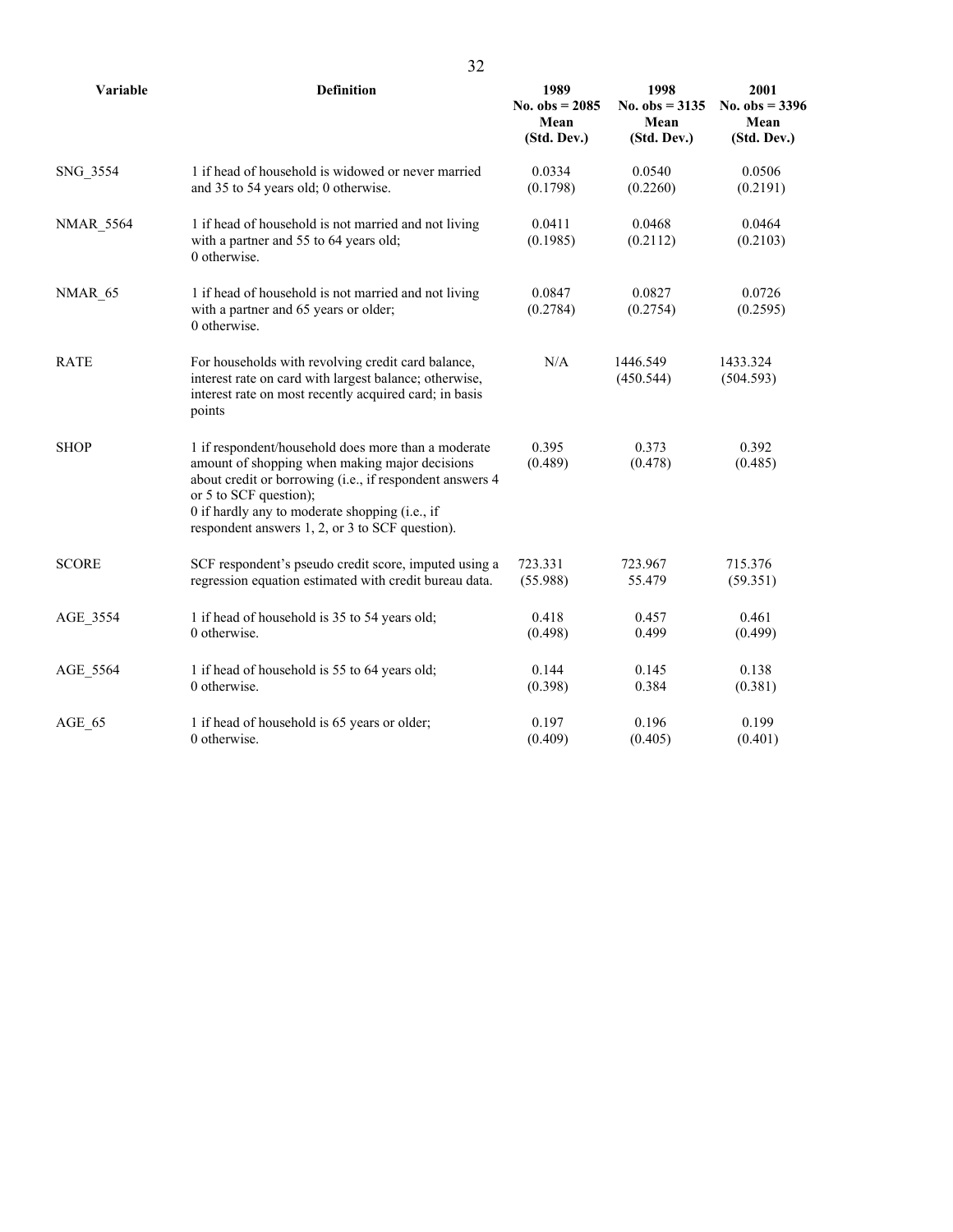| Variable         | <b>Definition</b>                                                                                                                                                                                                                                                                                | 1989<br>No. $obs = 2085$<br>Mean<br>(Std. Dev.) | 1998<br>No. $obs = 3135$<br>Mean<br>(Std. Dev.) | 2001<br>No. $obs = 3396$<br>Mean<br>(Std. Dev.) |
|------------------|--------------------------------------------------------------------------------------------------------------------------------------------------------------------------------------------------------------------------------------------------------------------------------------------------|-------------------------------------------------|-------------------------------------------------|-------------------------------------------------|
| SNG 3554         | 1 if head of household is widowed or never married                                                                                                                                                                                                                                               | 0.0334                                          | 0.0540                                          | 0.0506                                          |
|                  | and 35 to 54 years old; 0 otherwise.                                                                                                                                                                                                                                                             | (0.1798)                                        | (0.2260)                                        | (0.2191)                                        |
| <b>NMAR 5564</b> | 1 if head of household is not married and not living<br>with a partner and 55 to 64 years old;<br>0 otherwise.                                                                                                                                                                                   | 0.0411<br>(0.1985)                              | 0.0468<br>(0.2112)                              | 0.0464<br>(0.2103)                              |
| NMAR 65          | 1 if head of household is not married and not living<br>with a partner and 65 years or older;<br>0 otherwise.                                                                                                                                                                                    | 0.0847<br>(0.2784)                              | 0.0827<br>(0.2754)                              | 0.0726<br>(0.2595)                              |
| <b>RATE</b>      | For households with revolving credit card balance,<br>interest rate on card with largest balance; otherwise,<br>interest rate on most recently acquired card; in basis<br>points                                                                                                                 | N/A                                             | 1446.549<br>(450.544)                           | 1433.324<br>(504.593)                           |
| <b>SHOP</b>      | 1 if respondent/household does more than a moderate<br>amount of shopping when making major decisions<br>about credit or borrowing (i.e., if respondent answers 4<br>or 5 to SCF question);<br>0 if hardly any to moderate shopping (i.e., if<br>respondent answers 1, 2, or 3 to SCF question). | 0.395<br>(0.489)                                | 0.373<br>(0.478)                                | 0.392<br>(0.485)                                |
| <b>SCORE</b>     | SCF respondent's pseudo credit score, imputed using a                                                                                                                                                                                                                                            | 723.331                                         | 723.967                                         | 715.376                                         |
|                  | regression equation estimated with credit bureau data.                                                                                                                                                                                                                                           | (55.988)                                        | 55.479                                          | (59.351)                                        |
| AGE 3554         | 1 if head of household is 35 to 54 years old;                                                                                                                                                                                                                                                    | 0.418                                           | 0.457                                           | 0.461                                           |
|                  | 0 otherwise.                                                                                                                                                                                                                                                                                     | (0.498)                                         | 0.499                                           | (0.499)                                         |
| AGE 5564         | 1 if head of household is 55 to 64 years old;                                                                                                                                                                                                                                                    | 0.144                                           | 0.145                                           | 0.138                                           |
|                  | 0 otherwise.                                                                                                                                                                                                                                                                                     | (0.398)                                         | 0.384                                           | (0.381)                                         |
| AGE 65           | 1 if head of household is 65 years or older;                                                                                                                                                                                                                                                     | 0.197                                           | 0.196                                           | 0.199                                           |
|                  | 0 otherwise.                                                                                                                                                                                                                                                                                     | (0.409)                                         | (0.405)                                         | (0.401)                                         |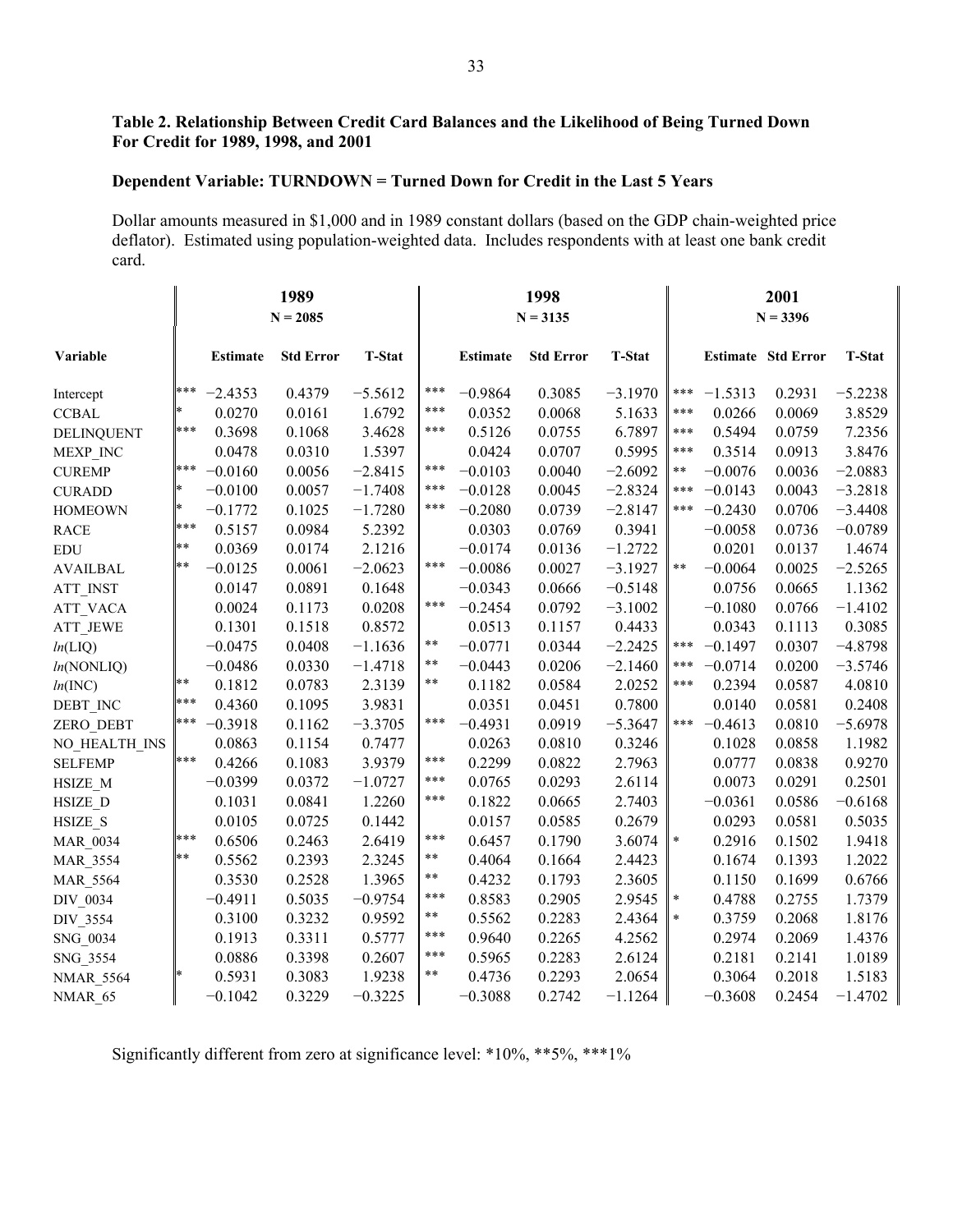### **Table 2. Relationship Between Credit Card Balances and the Likelihood of Being Turned Down For Credit for 1989, 1998, and 2001**

### **Dependent Variable: TURNDOWN = Turned Down for Credit in the Last 5 Years**

Dollar amounts measured in \$1,000 and in 1989 constant dollars (based on the GDP chain-weighted price deflator). Estimated using population-weighted data. Includes respondents with at least one bank credit card.

|                   |               |                 | 1989<br>$N = 2085$ |               |            |                 | 1998<br>$N = 3135$ |               |            |           | 2001<br>$N = 3396$        |               |
|-------------------|---------------|-----------------|--------------------|---------------|------------|-----------------|--------------------|---------------|------------|-----------|---------------------------|---------------|
| Variable          |               | <b>Estimate</b> | <b>Std Error</b>   | <b>T-Stat</b> |            | <b>Estimate</b> | <b>Std Error</b>   | <b>T-Stat</b> |            |           | <b>Estimate Std Error</b> | <b>T-Stat</b> |
| Intercept         | ***           | $-2.4353$       | 0.4379             | $-5.5612$     | ***        | $-0.9864$       | 0.3085             | $-3.1970$     | ***        | $-1.5313$ | 0.2931                    | $-5.2238$     |
| <b>CCBAL</b>      |               | 0.0270          | 0.0161             | 1.6792        | ***        | 0.0352          | 0.0068             | 5.1633        | ***        | 0.0266    | 0.0069                    | 3.8529        |
| <b>DELINQUENT</b> | $***$         | 0.3698          | 0.1068             | 3.4628        | ***        | 0.5126          | 0.0755             | 6.7897        | $***$      | 0.5494    | 0.0759                    | 7.2356        |
| MEXP_INC          |               | 0.0478          | 0.0310             | 1.5397        |            | 0.0424          | 0.0707             | 0.5995        | $***$      | 0.3514    | 0.0913                    | 3.8476        |
| <b>CUREMP</b>     | $***$         | $-0.0160$       | 0.0056             | $-2.8415$     | ***        | $-0.0103$       | 0.0040             | $-2.6092$     | $\ast\ast$ | $-0.0076$ | 0.0036                    | $-2.0883$     |
| <b>CURADD</b>     | $\ast$        | $-0.0100$       | 0.0057             | $-1.7408$     | ***        | $-0.0128$       | 0.0045             | $-2.8324$     | ***        | $-0.0143$ | 0.0043                    | $-3.2818$     |
| <b>HOMEOWN</b>    | $\ast$        | $-0.1772$       | 0.1025             | $-1.7280$     | ***        | $-0.2080$       | 0.0739             | $-2.8147$     | ***        | $-0.2430$ | 0.0706                    | $-3.4408$     |
| <b>RACE</b>       | ***           | 0.5157          | 0.0984             | 5.2392        |            | 0.0303          | 0.0769             | 0.3941        |            | $-0.0058$ | 0.0736                    | $-0.0789$     |
| <b>EDU</b>        | $\ast$ $\ast$ | 0.0369          | 0.0174             | 2.1216        |            | $-0.0174$       | 0.0136             | $-1.2722$     |            | 0.0201    | 0.0137                    | 1.4674        |
| <b>AVAILBAL</b>   | $* *$         | $-0.0125$       | 0.0061             | $-2.0623$     | ***        | $-0.0086$       | 0.0027             | $-3.1927$     | $\ast\ast$ | $-0.0064$ | 0.0025                    | $-2.5265$     |
| <b>ATT INST</b>   |               | 0.0147          | 0.0891             | 0.1648        |            | $-0.0343$       | 0.0666             | $-0.5148$     |            | 0.0756    | 0.0665                    | 1.1362        |
| <b>ATT VACA</b>   |               | 0.0024          | 0.1173             | 0.0208        | ***        | $-0.2454$       | 0.0792             | $-3.1002$     |            | $-0.1080$ | 0.0766                    | $-1.4102$     |
| <b>ATT JEWE</b>   |               | 0.1301          | 0.1518             | 0.8572        |            | 0.0513          | 0.1157             | 0.4433        |            | 0.0343    | 0.1113                    | 0.3085        |
| ln(LIQ)           |               | $-0.0475$       | 0.0408             | $-1.1636$     | **         | $-0.0771$       | 0.0344             | $-2.2425$     | ***        | $-0.1497$ | 0.0307                    | $-4.8798$     |
| ln(NONLIQ)        |               | $-0.0486$       | 0.0330             | $-1.4718$     | $**$       | $-0.0443$       | 0.0206             | $-2.1460$     | ***        | $-0.0714$ | 0.0200                    | $-3.5746$     |
| ln(INC)           | $\ast$ $\ast$ | 0.1812          | 0.0783             | 2.3139        | $\ast\ast$ | 0.1182          | 0.0584             | 2.0252        | $***$      | 0.2394    | 0.0587                    | 4.0810        |
| DEBT_INC          | ***           | 0.4360          | 0.1095             | 3.9831        |            | 0.0351          | 0.0451             | 0.7800        |            | 0.0140    | 0.0581                    | 0.2408        |
| <b>ZERO DEBT</b>  | $***$         | $-0.3918$       | 0.1162             | $-3.3705$     | ***        | $-0.4931$       | 0.0919             | $-5.3647$     | ***        | $-0.4613$ | 0.0810                    | $-5.6978$     |
| NO_HEALTH_INS     |               | 0.0863          | 0.1154             | 0.7477        |            | 0.0263          | 0.0810             | 0.3246        |            | 0.1028    | 0.0858                    | 1.1982        |
| <b>SELFEMP</b>    | ***           | 0.4266          | 0.1083             | 3.9379        | ***        | 0.2299          | 0.0822             | 2.7963        |            | 0.0777    | 0.0838                    | 0.9270        |
| HSIZE M           |               | $-0.0399$       | 0.0372             | $-1.0727$     | ***        | 0.0765          | 0.0293             | 2.6114        |            | 0.0073    | 0.0291                    | 0.2501        |
| HSIZE_D           |               | 0.1031          | 0.0841             | 1.2260        | ***        | 0.1822          | 0.0665             | 2.7403        |            | $-0.0361$ | 0.0586                    | $-0.6168$     |
| HSIZE S           |               | 0.0105          | 0.0725             | 0.1442        |            | 0.0157          | 0.0585             | 0.2679        |            | 0.0293    | 0.0581                    | 0.5035        |
| <b>MAR 0034</b>   | ***           | 0.6506          | 0.2463             | 2.6419        | ***        | 0.6457          | 0.1790             | 3.6074        | $\ast$     | 0.2916    | 0.1502                    | 1.9418        |
| <b>MAR 3554</b>   | $***$         | 0.5562          | 0.2393             | 2.3245        | $***$      | 0.4064          | 0.1664             | 2.4423        |            | 0.1674    | 0.1393                    | 1.2022        |
| <b>MAR_5564</b>   |               | 0.3530          | 0.2528             | 1.3965        | $***$      | 0.4232          | 0.1793             | 2.3605        |            | 0.1150    | 0.1699                    | 0.6766        |
| DIV 0034          |               | $-0.4911$       | 0.5035             | $-0.9754$     | ***        | 0.8583          | 0.2905             | 2.9545        | $\ast$     | 0.4788    | 0.2755                    | 1.7379        |
| DIV_3554          |               | 0.3100          | 0.3232             | 0.9592        | $***$      | 0.5562          | 0.2283             | 2.4364        | $\ast$     | 0.3759    | 0.2068                    | 1.8176        |
| SNG 0034          |               | 0.1913          | 0.3311             | 0.5777        | ***        | 0.9640          | 0.2265             | 4.2562        |            | 0.2974    | 0.2069                    | 1.4376        |
| SNG_3554          |               | 0.0886          | 0.3398             | 0.2607        | ***        | 0.5965          | 0.2283             | 2.6124        |            | 0.2181    | 0.2141                    | 1.0189        |
| <b>NMAR_5564</b>  |               | 0.5931          | 0.3083             | 1.9238        | $\ast\ast$ | 0.4736          | 0.2293             | 2.0654        |            | 0.3064    | 0.2018                    | 1.5183        |
| NMAR 65           |               | $-0.1042$       | 0.3229             | $-0.3225$     |            | $-0.3088$       | 0.2742             | $-1.1264$     |            | $-0.3608$ | 0.2454                    | $-1.4702$     |

Significantly different from zero at significance level: \*10%, \*\*5%, \*\*\*1%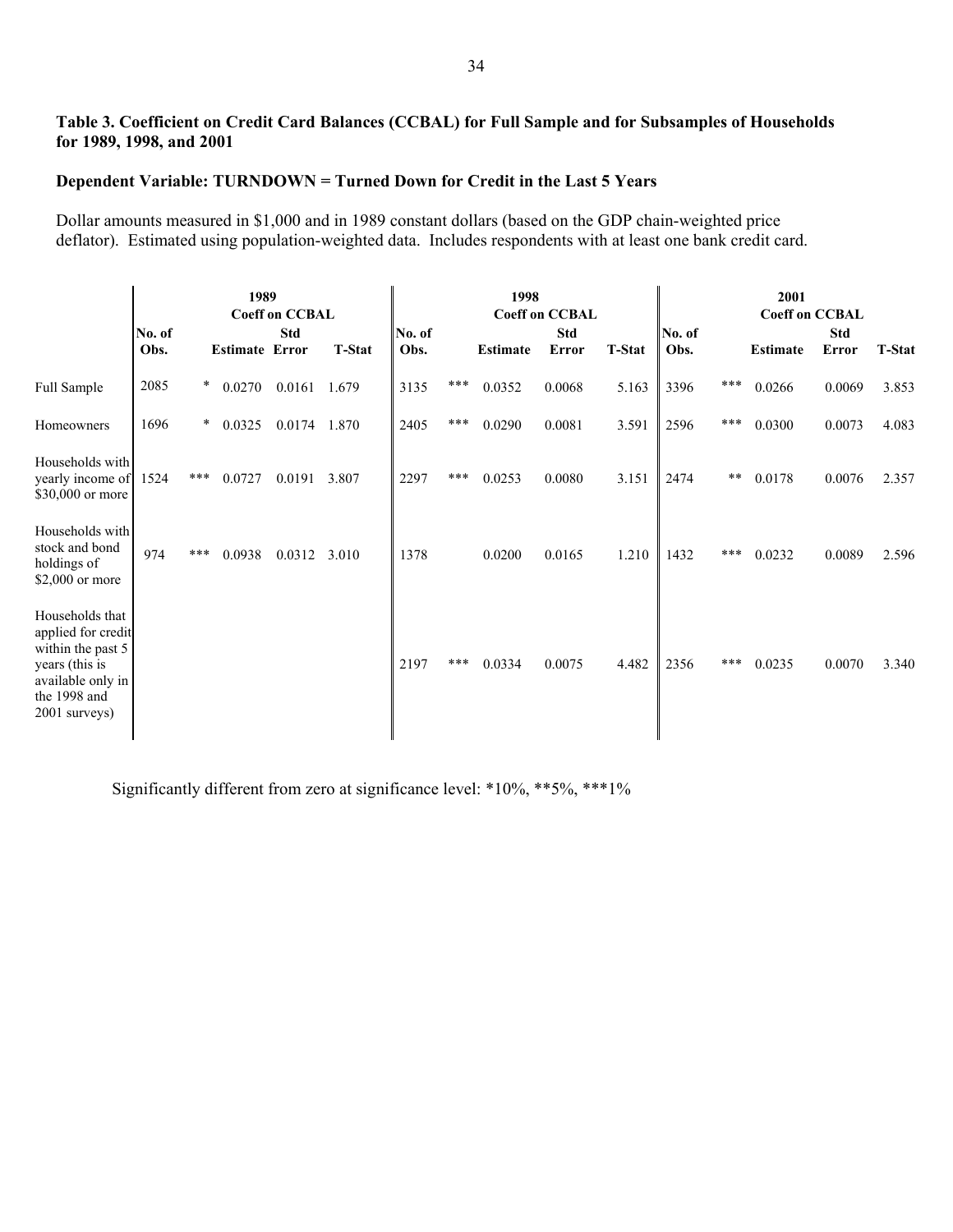### **Table 3. Coefficient on Credit Card Balances (CCBAL) for Full Sample and for Subsamples of Households for 1989, 1998, and 2001**

### **Dependent Variable: TURNDOWN = Turned Down for Credit in the Last 5 Years**

Dollar amounts measured in \$1,000 and in 1989 constant dollars (based on the GDP chain-weighted price deflator). Estimated using population-weighted data. Includes respondents with at least one bank credit card.

|                                                                                                                                    |                | 1989<br><b>Coeff on CCBAL</b> |                       |            |               |                | 1998<br><b>Coeff on CCBAL</b> |                 |                            |               | 2001<br><b>Coeff on CCBAL</b> |       |                 |                     |               |
|------------------------------------------------------------------------------------------------------------------------------------|----------------|-------------------------------|-----------------------|------------|---------------|----------------|-------------------------------|-----------------|----------------------------|---------------|-------------------------------|-------|-----------------|---------------------|---------------|
|                                                                                                                                    | No. of<br>Obs. |                               | <b>Estimate Error</b> | <b>Std</b> | <b>T-Stat</b> | No. of<br>Obs. |                               | <b>Estimate</b> | <b>Std</b><br><b>Error</b> | <b>T-Stat</b> | No. of<br>Obs.                |       | <b>Estimate</b> | <b>Std</b><br>Error | <b>T-Stat</b> |
| Full Sample                                                                                                                        | 2085           | $\ast$                        | 0.0270                | 0.0161     | 1.679         | 3135           | $***$                         | 0.0352          | 0.0068                     | 5.163         | 3396                          | $***$ | 0.0266          | 0.0069              | 3.853         |
| Homeowners                                                                                                                         | 1696           | $\ast$                        | 0.0325                | 0.0174     | 1.870         | 2405           | $***$                         | 0.0290          | 0.0081                     | 3.591         | 2596                          | $***$ | 0.0300          | 0.0073              | 4.083         |
| Households with<br>yearly income of<br>\$30,000 or more                                                                            | 1524           | ***                           | 0.0727                | 0.0191     | 3.807         | 2297           | ***                           | 0.0253          | 0.0080                     | 3.151         | 2474                          | $***$ | 0.0178          | 0.0076              | 2.357         |
| Households with<br>stock and bond<br>holdings of<br>\$2,000 or more                                                                | 974            | $***$                         | 0.0938                | 0.0312     | 3.010         | 1378           |                               | 0.0200          | 0.0165                     | 1.210         | 1432                          | $***$ | 0.0232          | 0.0089              | 2.596         |
| Households that<br>applied for credit<br>within the past 5<br>years (this is<br>available only in<br>the 1998 and<br>2001 surveys) |                |                               |                       |            |               | 2197           | $***$                         | 0.0334          | 0.0075                     | 4.482         | 2356                          | $***$ | 0.0235          | 0.0070              | 3.340         |

Significantly different from zero at significance level: \*10%, \*\*5%, \*\*\*1%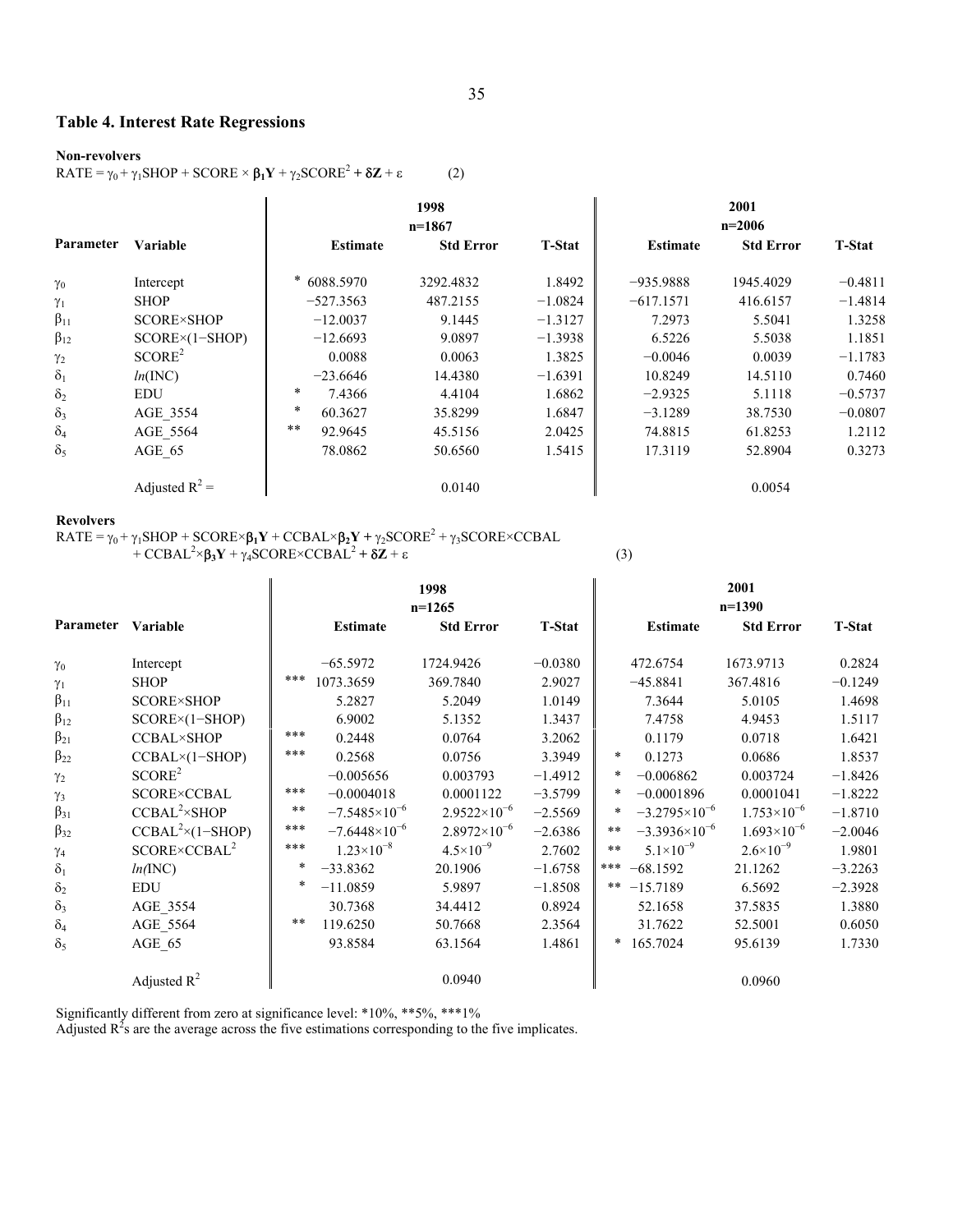#### **Table 4. Interest Rate Regressions**

#### **Non-revolvers**

RATE =  $\gamma_0 + \gamma_1$ SHOP + SCORE ×  $\beta_1 Y + \gamma_2$ SCORE<sup>2</sup> +  $\delta Z + \epsilon$  (2)

|              |                    |        |                 | 1998<br>$n=1867$ | 2001<br>$n=2006$ |                 |                  |               |  |
|--------------|--------------------|--------|-----------------|------------------|------------------|-----------------|------------------|---------------|--|
| Parameter    | Variable           |        | <b>Estimate</b> | <b>Std Error</b> | <b>T-Stat</b>    | <b>Estimate</b> | <b>Std Error</b> | <b>T-Stat</b> |  |
| $\gamma_0$   | Intercept          |        | 6088.5970       | 3292.4832        | 1.8492           | $-935.9888$     | 1945.4029        | $-0.4811$     |  |
| $\gamma_1$   | <b>SHOP</b>        |        | $-527.3563$     | 487.2155         | $-1.0824$        | $-617.1571$     | 416.6157         | $-1.4814$     |  |
| $\beta_{11}$ | <b>SCORE×SHOP</b>  |        | $-12.0037$      | 9.1445           | $-1.3127$        | 7.2973          | 5.5041           | 1.3258        |  |
| $\beta_{12}$ | $SCOREX(1-SHOP)$   |        | $-12.6693$      | 9.0897           | $-1.3938$        | 6.5226          | 5.5038           | 1.1851        |  |
| $\gamma_2$   | SCORE <sup>2</sup> |        | 0.0088          | 0.0063           | 1.3825           | $-0.0046$       | 0.0039           | $-1.1783$     |  |
| $\delta_1$   | ln(INC)            |        | $-23.6646$      | 14.4380          | $-1.6391$        | 10.8249         | 14.5110          | 0.7460        |  |
| $\delta_2$   | EDU                | $\ast$ | 7.4366          | 4.4104           | 1.6862           | $-2.9325$       | 5.1118           | $-0.5737$     |  |
| $\delta_3$   | AGE 3554           | $\ast$ | 60.3627         | 35.8299          | 1.6847           | $-3.1289$       | 38.7530          | $-0.0807$     |  |
| $\delta_4$   | AGE 5564           | $* *$  | 92.9645         | 45.5156          | 2.0425           | 74.8815         | 61.8253          | 1.2112        |  |
| $\delta_5$   | AGE 65             |        | 78.0862         | 50.6560          | 1.5415           | 17.3119         | 52.8904          | 0.3273        |  |
|              | Adjusted $R^2$ =   |        |                 | 0.0140           |                  |                 | 0.0054           |               |  |

#### **Revolvers**

 $RATE = \gamma_0 + \gamma_1 SHOP + SCORE \times \beta_1 Y + CCBAL \times \beta_2 Y + \gamma_2 SCORE^2 + \gamma_3 SCORE \times CCBAL$  $+ \text{CCBAL}^2 \times \beta_3 Y + \gamma_4 \text{SCORE} \times \text{CCBAL}^2 + \delta Z + \epsilon$  (3)

**1998** 2001 **n=1265 n=1265 n=1390 Parameter Variable Estimate** Std Error **T-Stat | Estimate** Std Error **T-Stat** γ<sup>0</sup> Intercept −65.5972 1724.9426 −0.0380 472.6754 1673.9713 0.2824  $\gamma_1$  SHOP \*\*\* 1073.3659 369.7840 2.9027 −45.8841 367.4816 −0.1249  $\beta_{11}$  SCORE×SHOP 1 5.2827 5.2049 1.0149 7.3644 5.0105 1.4698 β<sup>12</sup> SCORE×(1−SHOP) 6.9002 5.1352 1.3437 7.4758 4.9453 1.5117  $\beta_{21}$  CCBAL×SHOP \*\*\* 0.2448 0.0764 3.2062 0.1179 0.0718 1.6421 β<sup>22</sup> CCBAL×(1−SHOP) \*\*\* 0.2568 0.0756 3.3949 \* 0.1273 0.0686 1.8537  $\gamma_2$  SCORE<sup>2</sup> −0.005656 0.003793 −1.4912 \* −0.006862 0.003724 −1.8426  $\gamma_3$  SCORE×CCBAL \*\*\* −0.0004018 0.0001122 −3.5799 \* −0.0001896 0.0001041 −1.8222<br>B  $\beta_{31}$  CCBAL<sup>2</sup>×SHOP  $-7.5485\times10^{-6}$  $2.9522\times10^{-6}$  -2.5569 \* -3.2795×10<sup>-6</sup>  $1.753\times10^{-6}$  -1.8710  $\beta_{32}$  CCBAL<sup>2</sup>×(1-SHOP) \*\*\*  $-7.6448\times10^{-6}$  $2.8972\times10^{-6}$  -2.6386 \*\* -3.3936×10<sup>-6</sup>  $1.693\times10^{-6}$  -2.0046  $\gamma_4$  SCORE×CCBAL<sup>2</sup> \*\*\* 1.23×10<sup>-8</sup>  $4.5\times10^{-9}$ 2.7602 \*\*  $5.1\times10^{-9}$  $2.6\times10^{-9}$  1.9801 δ<sup>1</sup> *ln(*INC) \* −33.8362 20.1906 −1.6758 \*\*\* −68.1592 21.1262 −3.2263  $\delta_2$  EDU \* −11.0859 5.9897 −1.8508 \*\* −15.7189 6.5692 −2.3928  $\delta_3$  AGE\_3554 1.3880 30.7368 34.4412 0.8924 52.1658 37.5835 1.3880  $\delta_4$  AGE\_5564 \*\* 119.6250 50.7668 2.3564 31.7622 52.5001 0.6050  $\delta_5$  AGE\_65 93.8584 63.1564 1.4861 \* 165.7024 95.6139 1.7330 Adjusted  $R^2$ 0.0940 0.0960

Significantly different from zero at significance level: \*10%, \*\*5%, \*\*\*1%

Adjusted  $R^2$ s are the average across the five estimations corresponding to the five implicates.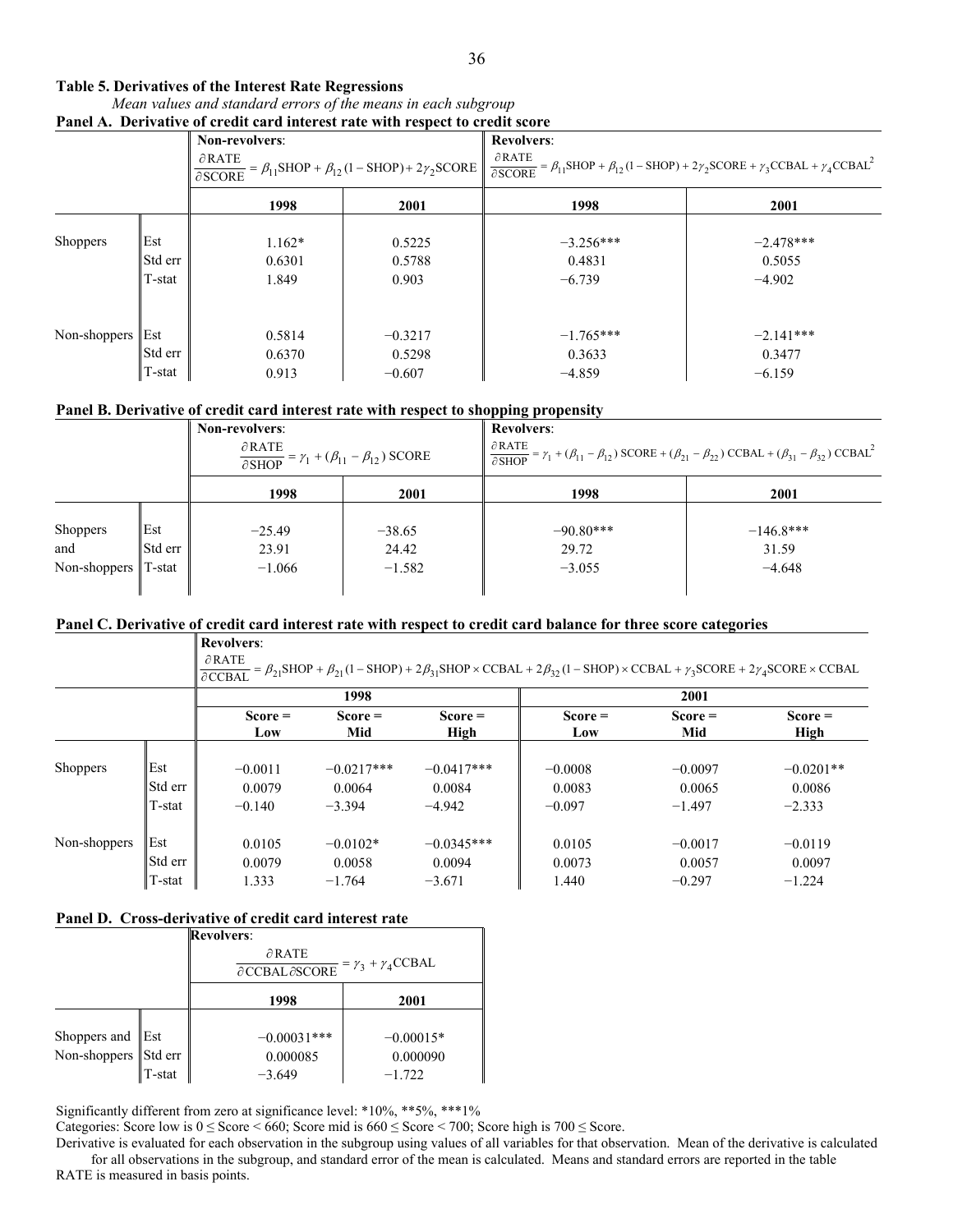### **Table 5. Derivatives of the Interest Rate Regressions**

|  |  | Mean values and standard errors of the means in each subgroup                     |  |
|--|--|-----------------------------------------------------------------------------------|--|
|  |  | <b>Danal A. Dorivative of eradit card interest rate with respect to eradit so</b> |  |

| Panel A. Derivative of credit card interest rate with respect to credit score |                                                                                                                                             |                       |           |                   |                                                                                                                                                                                     |  |  |  |  |
|-------------------------------------------------------------------------------|---------------------------------------------------------------------------------------------------------------------------------------------|-----------------------|-----------|-------------------|-------------------------------------------------------------------------------------------------------------------------------------------------------------------------------------|--|--|--|--|
|                                                                               |                                                                                                                                             | <b>Non-revolvers:</b> |           | <b>Revolvers:</b> |                                                                                                                                                                                     |  |  |  |  |
|                                                                               | $\partial$ RATE<br>$\frac{\delta S}{\delta \text{SCORE}} = \beta_{11} \text{SHOP} + \beta_{12} (1 - \text{SHOP}) + 2 \gamma_2 \text{SCORE}$ |                       |           |                   | $\frac{\upsilon \text{rA1E}}{\partial \text{SCORE}} = \beta_{11}\text{SHOP} + \beta_{12}(1-\text{SHOP}) + 2\gamma_2 \text{SCORE} + \gamma_3 \text{CCBAL} + \gamma_4 \text{CCBAL}^2$ |  |  |  |  |
|                                                                               |                                                                                                                                             | 1998                  | 2001      | 1998              | 2001                                                                                                                                                                                |  |  |  |  |
| <b>Shoppers</b>                                                               | Est                                                                                                                                         | $1.162*$              | 0.5225    | $-3.256***$       | $-2.478***$                                                                                                                                                                         |  |  |  |  |
|                                                                               | Std err                                                                                                                                     | 0.6301                | 0.5788    | 0.4831            | 0.5055                                                                                                                                                                              |  |  |  |  |
|                                                                               | T-stat                                                                                                                                      | 1.849                 | 0.903     | $-6.739$          | $-4.902$                                                                                                                                                                            |  |  |  |  |
| Non-shoppers Est                                                              |                                                                                                                                             | 0.5814                | $-0.3217$ | $-1.765***$       | $-2.141***$                                                                                                                                                                         |  |  |  |  |
|                                                                               | Std err                                                                                                                                     | 0.6370                | 0.5298    | 0.3633            | 0.3477                                                                                                                                                                              |  |  |  |  |
|                                                                               | T-stat                                                                                                                                      | 0.913                 | $-0.607$  | $-4.859$          | $-6.159$                                                                                                                                                                            |  |  |  |  |

### **Panel B. Derivative of credit card interest rate with respect to shopping propensity**

|                                        |                          | <b>Non-revolvers:</b><br>$\partial$ RATE<br>$\frac{}{\partial \text{SHOP}} = \gamma_1 + (\beta_{11} - \beta_{12}) \text{ SCORE}$ |                               | <b>Revolvers:</b><br>$\partial$ RATE<br>$\frac{\rho_{12}}{\rho_{23}} = \gamma_1 + (\beta_{11} - \beta_{12}) \text{SCORE} + (\beta_{21} - \beta_{22}) \text{CCBAL} + (\beta_{31} - \beta_{32}) \text{CCBAL}^2$ |                                  |  |  |
|----------------------------------------|--------------------------|----------------------------------------------------------------------------------------------------------------------------------|-------------------------------|---------------------------------------------------------------------------------------------------------------------------------------------------------------------------------------------------------------|----------------------------------|--|--|
|                                        |                          | 1998                                                                                                                             | 2001                          | 1998                                                                                                                                                                                                          | 2001                             |  |  |
| <b>Shoppers</b><br>and<br>Non-shoppers | Est<br>Std err<br>T-stat | $-25.49$<br>23.91<br>$-1.066$                                                                                                    | $-38.65$<br>24.42<br>$-1.582$ | $-90.80***$<br>29.72<br>$-3.055$                                                                                                                                                                              | $-146.8***$<br>31.59<br>$-4.648$ |  |  |

### **Panel C. Derivative of credit card interest rate with respect to credit card balance for three score categories**

|                 |         | <b>Revolvers:</b> |                  |                   |                                                                                                                                                                                                                                                                                                                                                                                                                                                                                                                 |                  |                   |
|-----------------|---------|-------------------|------------------|-------------------|-----------------------------------------------------------------------------------------------------------------------------------------------------------------------------------------------------------------------------------------------------------------------------------------------------------------------------------------------------------------------------------------------------------------------------------------------------------------------------------------------------------------|------------------|-------------------|
|                 |         | $\partial$ RATE   |                  |                   | $\frac{\circ \cdots \circ \circ \circ \circ \circ \circ \circ \circ \circ \circ}{\partial \text{CCBAL}} = \beta_{21}\text{SHOP} + \beta_{21}(1-\text{SHOP}) + 2\beta_{31}\text{SHOP} \times \text{CCBAL} + 2\beta_{32}(1-\text{SHOP}) \times \text{CCBAL} + \gamma_3 \text{SCORE} + 2\gamma_4 \text{SCORE} \times \text{CCBAL} + \gamma_5 \text{SCORE} + \gamma_6 \text{SCORE} + \gamma_7 \text{SCORE} + \gamma_8 \text{CORE} + \gamma_9 \text{SCORE} + \gamma_9 \text{SCORE} + \gamma_9 \text{SCORE} + \gamma$ |                  |                   |
|                 |         |                   | 1998             |                   |                                                                                                                                                                                                                                                                                                                                                                                                                                                                                                                 | 2001             |                   |
|                 |         | $Score =$<br>Low  | $Score =$<br>Mid | $Score =$<br>High | $Score =$<br>Low                                                                                                                                                                                                                                                                                                                                                                                                                                                                                                | $Score =$<br>Mid | $Score =$<br>High |
|                 |         |                   |                  |                   |                                                                                                                                                                                                                                                                                                                                                                                                                                                                                                                 |                  |                   |
| <b>Shoppers</b> | Est     | $-0.0011$         | $-0.0217***$     | $-0.0417***$      | $-0.0008$                                                                                                                                                                                                                                                                                                                                                                                                                                                                                                       | $-0.0097$        | $-0.0201**$       |
|                 | Std err | 0.0079            | 0.0064           | 0.0084            | 0.0083                                                                                                                                                                                                                                                                                                                                                                                                                                                                                                          | 0.0065           | 0.0086            |
|                 | T-stat  | $-0.140$          | $-3.394$         | $-4.942$          | $-0.097$                                                                                                                                                                                                                                                                                                                                                                                                                                                                                                        | $-1.497$         | $-2.333$          |
| Non-shoppers    | Est     | 0.0105            | $-0.0102*$       | $-0.0345***$      | 0.0105                                                                                                                                                                                                                                                                                                                                                                                                                                                                                                          | $-0.0017$        | $-0.0119$         |
|                 | Std err | 0.0079            | 0.0058           | 0.0094            | 0.0073                                                                                                                                                                                                                                                                                                                                                                                                                                                                                                          | 0.0057           | 0.0097            |
|                 | T-stat  | 1.333             | $-1.764$         | $-3.671$          | 1.440                                                                                                                                                                                                                                                                                                                                                                                                                                                                                                           | $-0.297$         | $-1.224$          |

### **Panel D. Cross-derivative of credit card interest rate**

|                                          |        | <b>Revolvers:</b><br>$\partial$ RATE<br>$\partial \text{CCBAL} \, \partial \text{SCORE}$ | $\tau=\gamma_3+\gamma_4{\rm CCBAL}$ |
|------------------------------------------|--------|------------------------------------------------------------------------------------------|-------------------------------------|
|                                          |        | 1998                                                                                     | 2001                                |
| Shoppers and Est<br>Non-shoppers Std err | T-stat | $-0.00031***$<br>0.000085<br>$-3.649$                                                    | $-0.00015*$<br>0.000090<br>$-1.722$ |

Significantly different from zero at significance level: \*10%, \*\*5%, \*\*\*1%

Categories: Score low is  $0 \leq$  Score  $\leq$  660; Score mid is 660  $\leq$  Score  $\leq$  700; Score high is 700  $\leq$  Score.

Derivative is evaluated for each observation in the subgroup using values of all variables for that observation. Mean of the derivative is calculated for all observations in the subgroup, and standard error of the mean is calculated. Means and standard errors are reported in the table RATE is measured in basis points.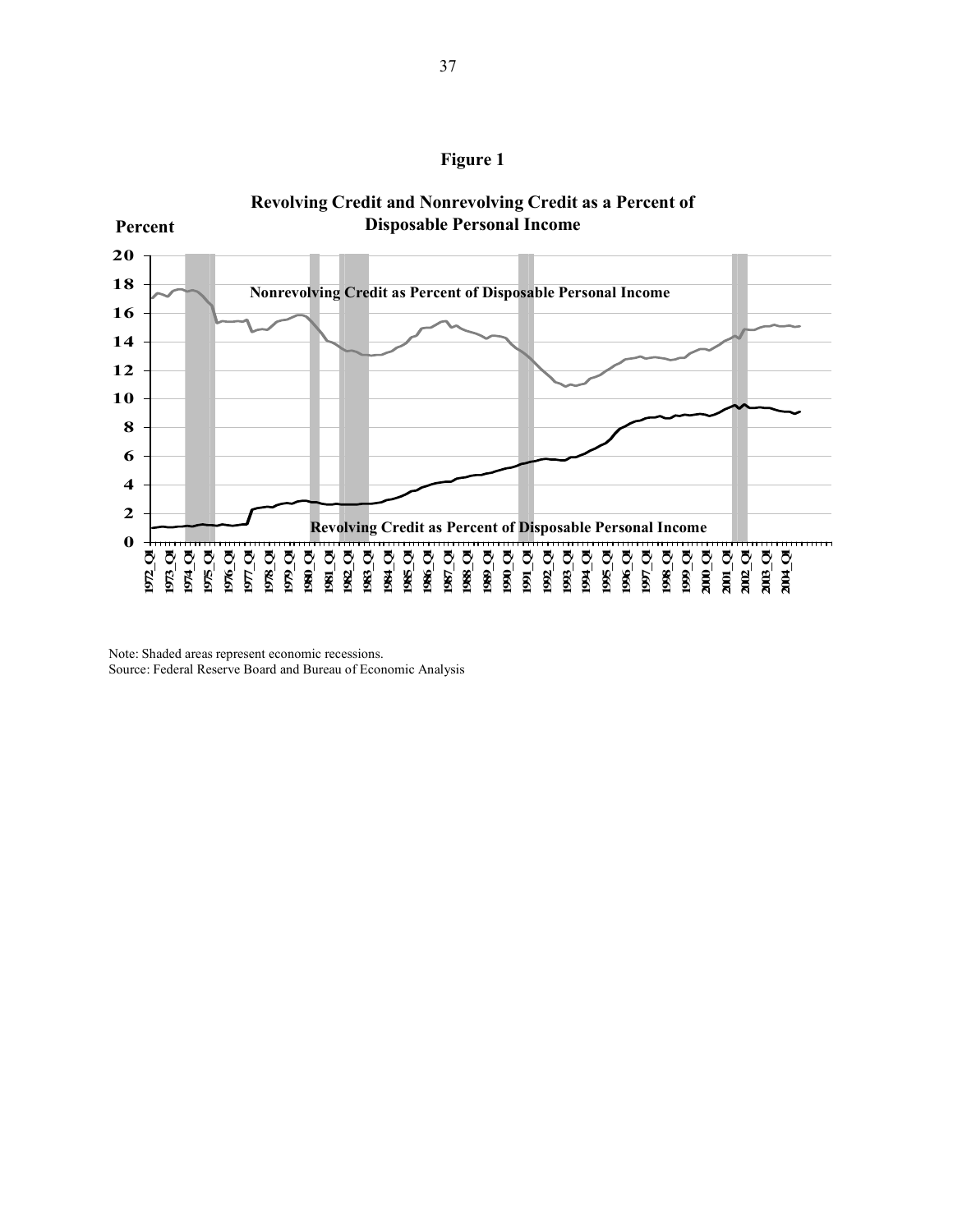



Note: Shaded areas represent economic recessions. Source: Federal Reserve Board and Bureau of Economic Analysis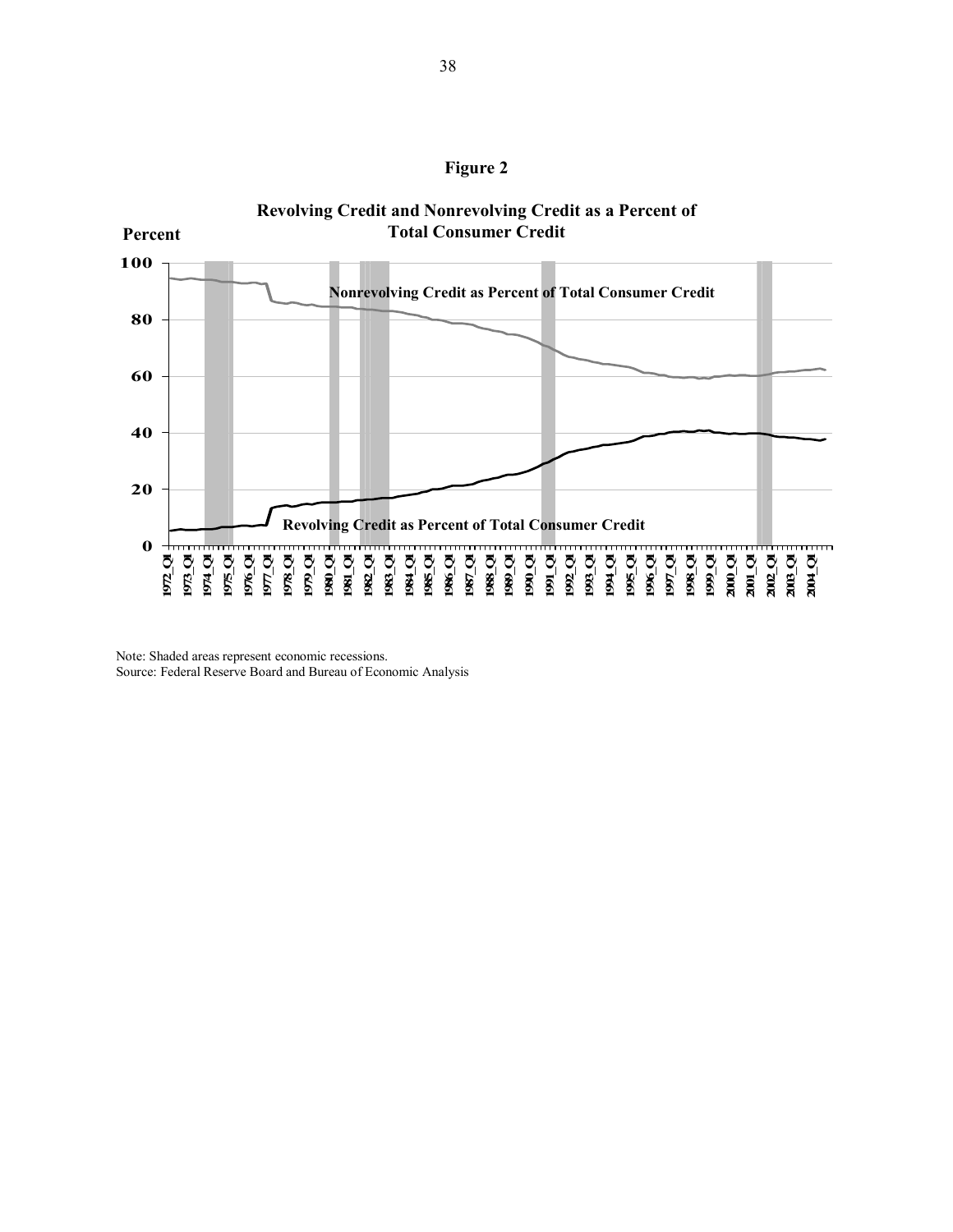

**Revolving Credit and Nonrevolving Credit as a Percent of**

**Figure 2**

Note: Shaded areas represent economic recessions. Source: Federal Reserve Board and Bureau of Economic Analysis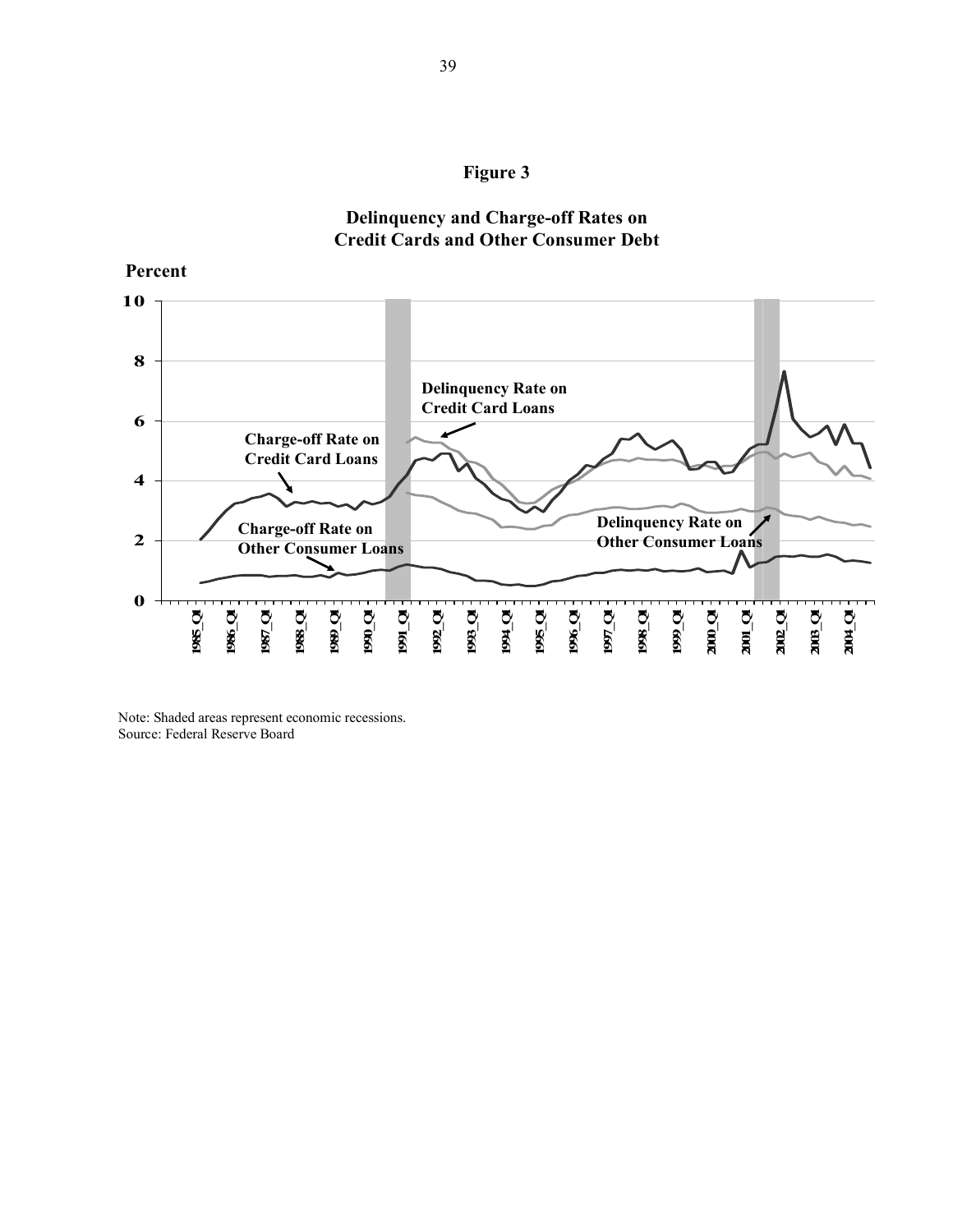

# **Delinquency and Charge-off Rates on Credit Cards and Other Consumer Debt**



Note: Shaded areas represent economic recessions. Source: Federal Reserve Board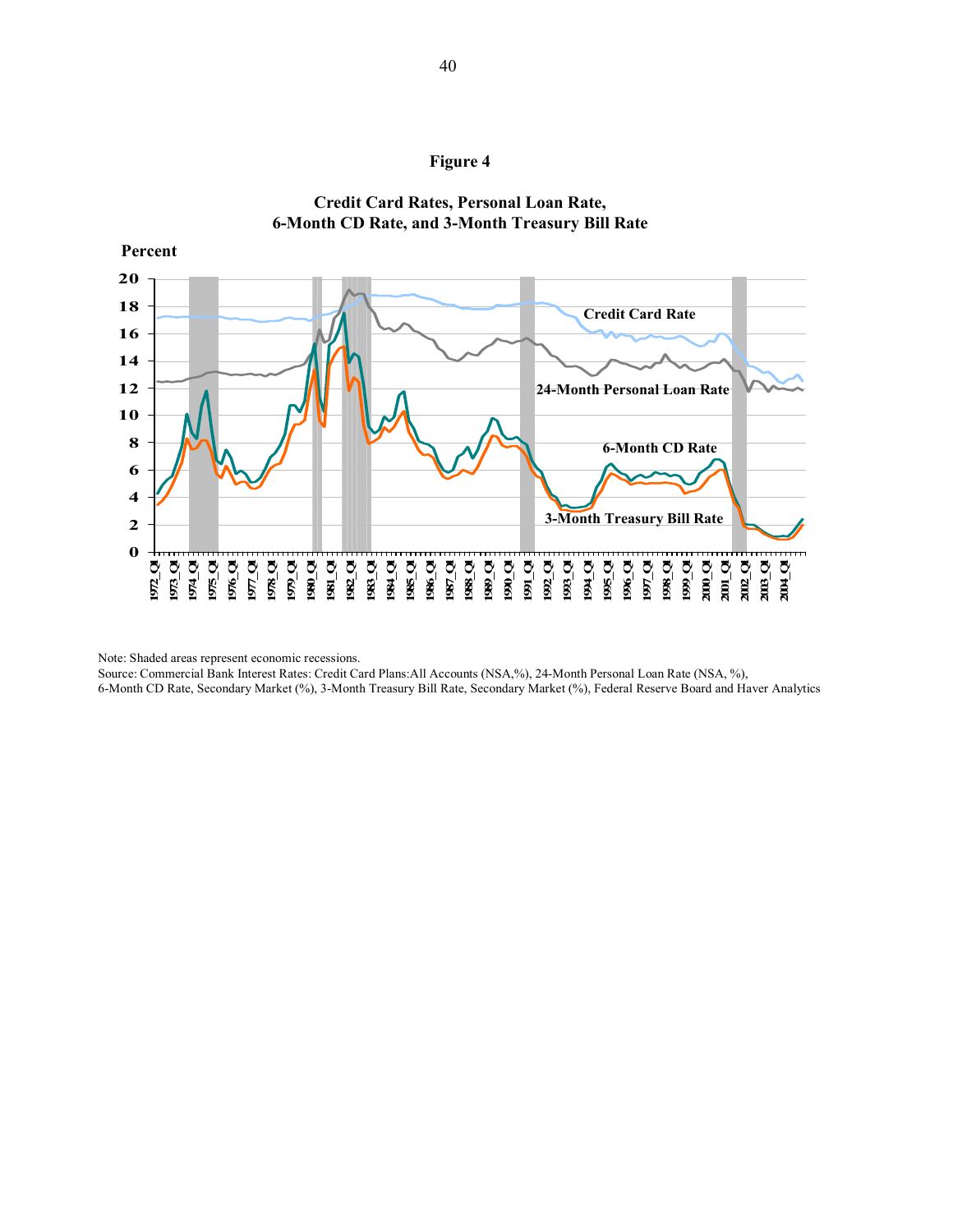





Note: Shaded areas represent economic recessions.

Source: Commercial Bank Interest Rates: Credit Card Plans:All Accounts (NSA,%), 24-Month Personal Loan Rate (NSA, %), 6-Month CD Rate, Secondary Market (%), 3-Month Treasury Bill Rate, Secondary Market (%), Federal Reserve Board and Haver Analytics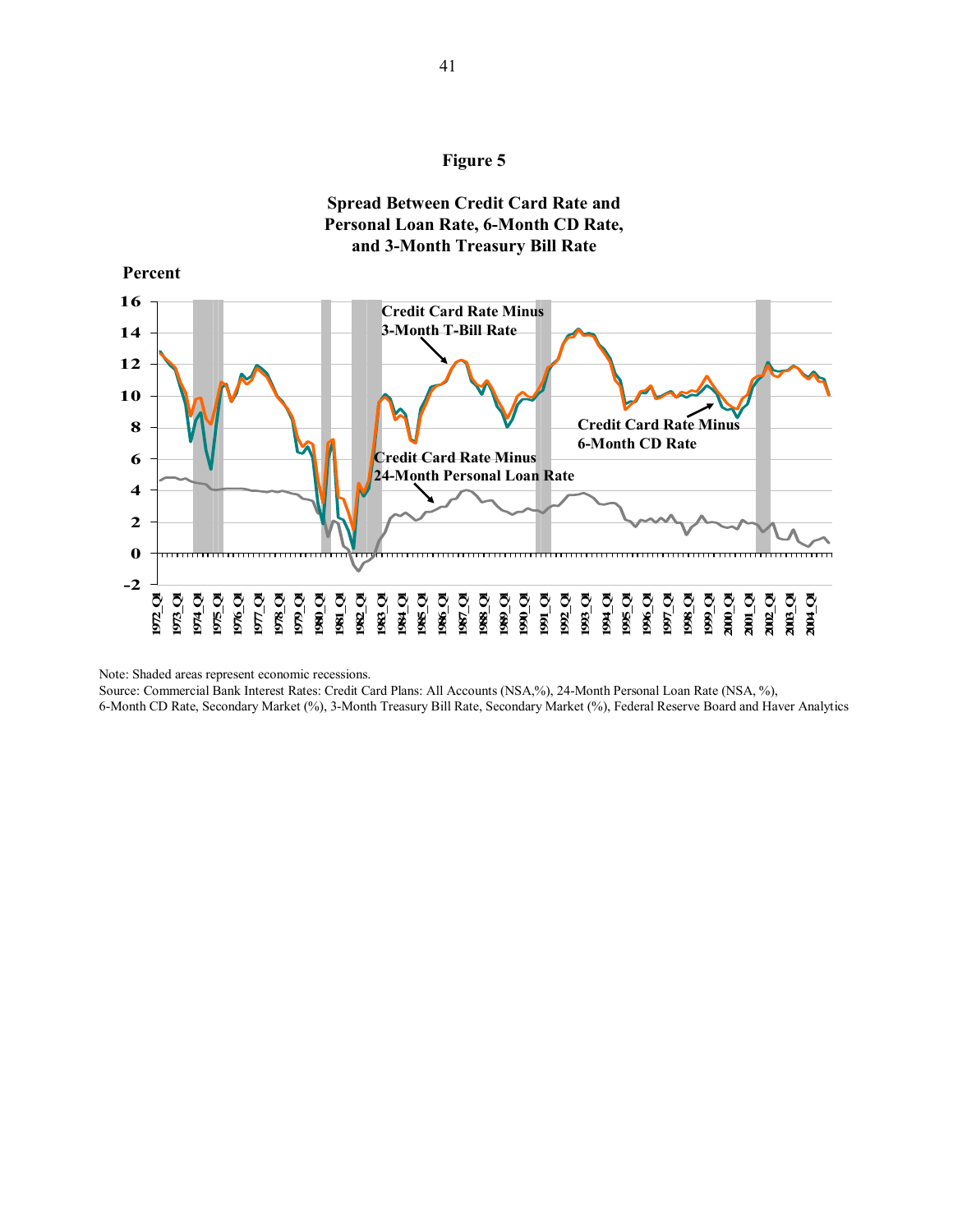



# **Spread Between Credit Card Rate and Personal Loan Rate, 6-Month CD Rate,**

Note: Shaded areas represent economic recessions.

Source: Commercial Bank Interest Rates: Credit Card Plans: All Accounts (NSA,%), 24-Month Personal Loan Rate (NSA, %), 6-Month CD Rate, Secondary Market (%), 3-Month Treasury Bill Rate, Secondary Market (%), Federal Reserve Board and Haver Analytics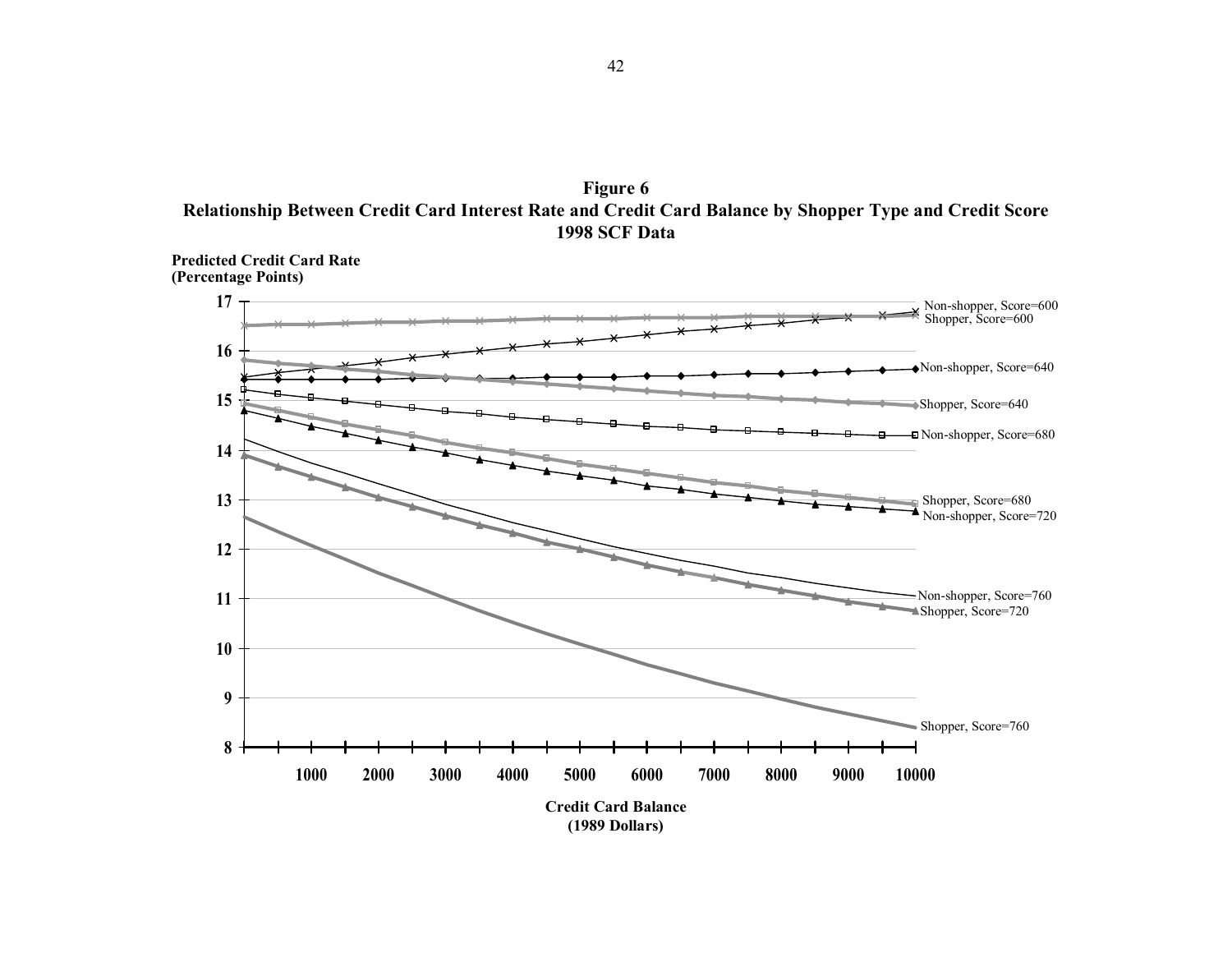